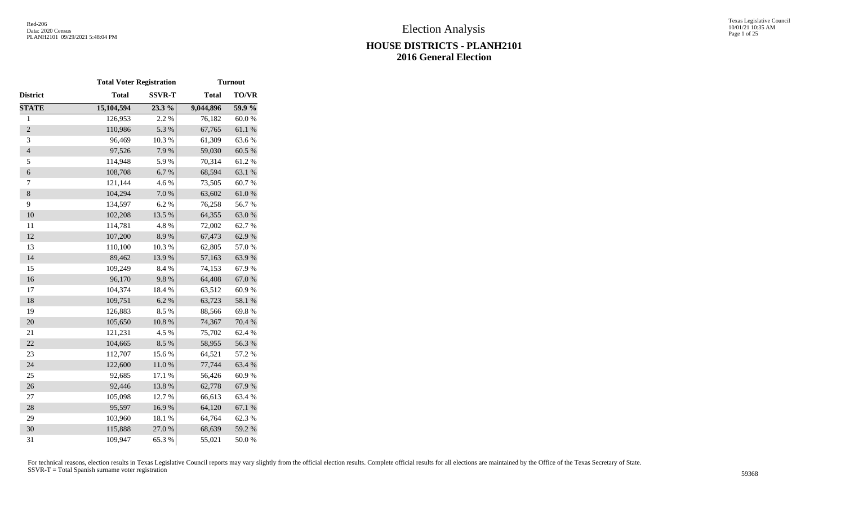|                | <b>Total Voter Registration</b> |               |              | <b>Turnout</b>   |
|----------------|---------------------------------|---------------|--------------|------------------|
| District       | <b>Total</b>                    | <b>SSVR-T</b> | <b>Total</b> | TO/VR            |
| <b>STATE</b>   | 15,104,594                      | 23.3 %        | 9,044,896    | 59.9 %           |
| $\mathbf{1}$   | 126,953                         | 2.2 %         | 76,182       | 60.0%            |
| $\overline{2}$ | 110,986                         | 5.3 %         | 67,765       | $61.1\text{ }\%$ |
| 3              | 96,469                          | 10.3 %        | 61,309       | 63.6%            |
| $\overline{4}$ | 97,526                          | 7.9%          | 59,030       | 60.5 %           |
| 5              | 114,948                         | 5.9%          | 70,314       | 61.2%            |
| 6              | 108,708                         | 6.7%          | 68,594       | 63.1%            |
| 7              | 121,144                         | 4.6 %         | 73,505       | 60.7%            |
| $\,8\,$        | 104,294                         | $7.0\ \%$     | 63,602       | $61.0\ \%$       |
| 9              | 134,597                         | 6.2%          | 76,258       | 56.7%            |
| 10             | 102,208                         | 13.5 %        | 64,355       | 63.0%            |
| 11             | 114,781                         | 4.8 %         | 72,002       | 62.7%            |
| 12             | 107,200                         | 8.9%          | 67,473       | 62.9%            |
| 13             | 110,100                         | 10.3%         | 62,805       | 57.0%            |
| 14             | 89,462                          | 13.9%         | 57,163       | 63.9%            |
| 15             | 109,249                         | 8.4%          | 74,153       | 67.9%            |
| 16             | 96,170                          | 9.8%          | 64,408       | 67.0%            |
| 17             | 104,374                         | 18.4%         | 63,512       | 60.9%            |
| 18             | 109,751                         | 6.2 %         | 63,723       | 58.1 %           |
| 19             | 126,883                         | 8.5%          | 88,566       | 69.8%            |
| 20             | 105,650                         | $10.8~\%$     | 74,367       | 70.4 %           |
| 21             | 121,231                         | 4.5 %         | 75,702       | 62.4 %           |
| 22             | 104,665                         | 8.5%          | 58,955       | 56.3%            |
| 23             | 112,707                         | 15.6%         | 64,521       | 57.2 %           |
| 24             | 122,600                         | $11.0\ \%$    | 77,744       | 63.4%            |
| 25             | 92,685                          | 17.1 %        | 56,426       | 60.9%            |
| 26             | 92,446                          | 13.8 %        | 62,778       | 67.9%            |
| 27             | 105,098                         | 12.7 %        | 66,613       | 63.4%            |
| 28             | 95,597                          | 16.9%         | 64,120       | 67.1 %           |
| 29             | 103,960                         | 18.1 %        | 64,764       | 62.3%            |
| 30             | 115,888                         | 27.0 %        | 68,639       | 59.2 %           |
| 31             | 109,947                         | 65.3%         | 55,021       | $50.0\;\%$       |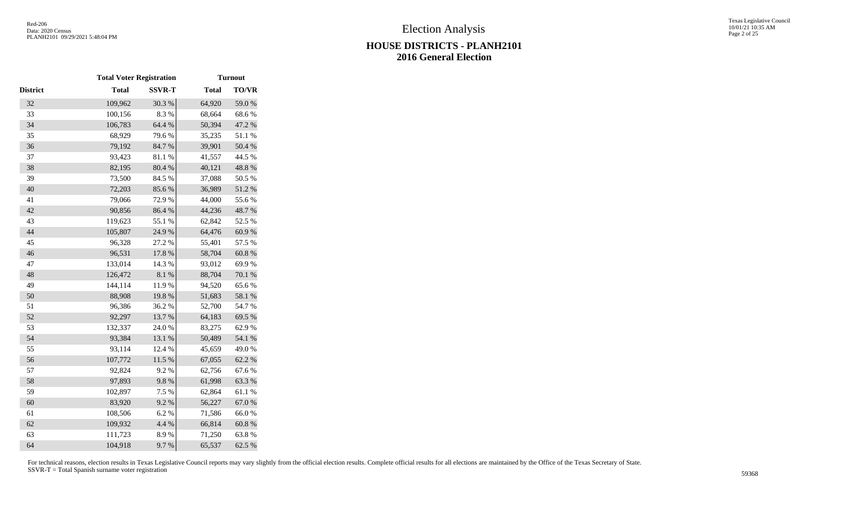|          | <b>Total Voter Registration</b> |               |              | <b>Turnout</b> |
|----------|---------------------------------|---------------|--------------|----------------|
| District | <b>Total</b>                    | <b>SSVR-T</b> | <b>Total</b> | TO/VR          |
| 32       | 109,962                         | 30.3%         | 64,920       | 59.0%          |
| 33       | 100,156                         | 8.3 %         | 68,664       | 68.6%          |
| 34       | 106,783                         | 64.4 %        | 50,394       | 47.2 %         |
| 35       | 68,929                          | 79.6%         | 35,235       | 51.1%          |
| 36       | 79,192                          | 84.7%         | 39,901       | $50.4~\%$      |
| 37       | 93,423                          | 81.1%         | 41,557       | 44.5 %         |
| 38       | 82,195                          | 80.4 %        | 40,121       | 48.8 %         |
| 39       | 73,500                          | 84.5 %        | 37,088       | 50.5 %         |
| 40       | 72,203                          | 85.6%         | 36,989       | 51.2 %         |
| 41       | 79,066                          | 72.9%         | 44,000       | 55.6%          |
| 42       | 90,856                          | 86.4%         | 44,236       | 48.7%          |
| 43       | 119,623                         | 55.1 %        | 62,842       | 52.5 %         |
| 44       | 105,807                         | 24.9%         | 64,476       | 60.9%          |
| 45       | 96,328                          | 27.2 %        | 55,401       | 57.5 %         |
| 46       | 96,531                          | 17.8%         | 58,704       | $60.8~\%$      |
| 47       | 133,014                         | 14.3 %        | 93,012       | 69.9%          |
| 48       | 126,472                         | $8.1~\%$      | 88,704       | $70.1~\%$      |
| 49       | 144,114                         | 11.9%         | 94,520       | 65.6%          |
| 50       | 88,908                          | 19.8%         | 51,683       | 58.1 %         |
| 51       | 96,386                          | 36.2%         | 52,700       | 54.7%          |
| 52       | 92,297                          | 13.7%         | 64,183       | 69.5 %         |
| 53       | 132,337                         | 24.0%         | 83,275       | 62.9%          |
| 54       | 93,384                          | 13.1 %        | 50,489       | 54.1 %         |
| 55       | 93,114                          | 12.4 %        | 45,659       | 49.0%          |
| 56       | 107,772                         | $11.5~\%$     | 67,055       | 62.2 %         |
| 57       | 92,824                          | 9.2%          | 62,756       | 67.6%          |
| 58       | 97,893                          | 9.8%          | 61,998       | 63.3%          |
| 59       | 102,897                         | 7.5 %         | 62,864       | 61.1%          |
| 60       | 83,920                          | 9.2%          | 56,227       | 67.0%          |
| 61       | 108,506                         | 6.2%          | 71,586       | 66.0%          |
| 62       | 109,932                         | 4.4 %         | 66,814       | $60.8~\%$      |
| 63       | 111,723                         | 8.9%          | 71,250       | 63.8%          |
| 64       | 104,918                         | 9.7%          | 65,537       | 62.5 %         |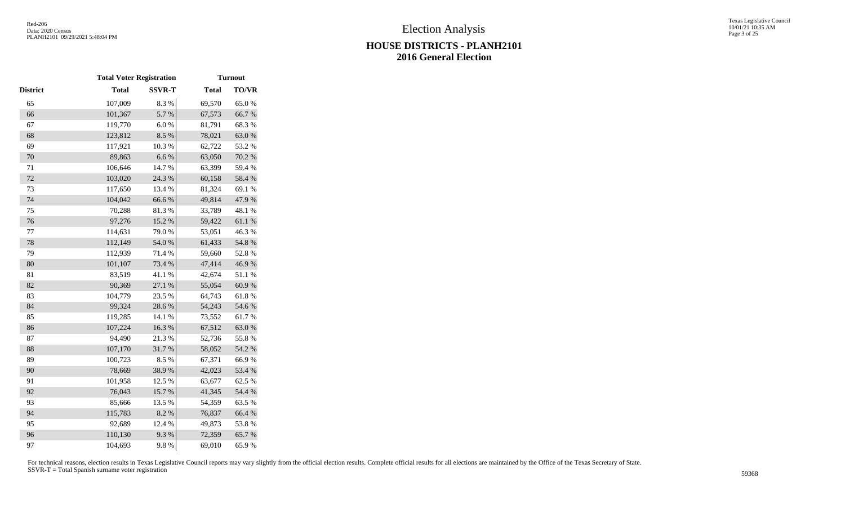|          | <b>Total Voter Registration</b> |               |              | <b>Turnout</b> |
|----------|---------------------------------|---------------|--------------|----------------|
| District | <b>Total</b>                    | <b>SSVR-T</b> | <b>Total</b> | <b>TO/VR</b>   |
| 65       | 107,009                         | 8.3 %         | 69,570       | 65.0%          |
| 66       | 101,367                         | 5.7%          | 67,573       | 66.7%          |
| 67       | 119,770                         | 6.0%          | 81,791       | 68.3%          |
| 68       | 123,812                         | 8.5 %         | 78,021       | 63.0%          |
| 69       | 117,921                         | 10.3%         | 62,722       | 53.2 %         |
| 70       | 89,863                          | $6.6\ \%$     | 63,050       | 70.2 %         |
| $71\,$   | 106,646                         | 14.7%         | 63,399       | 59.4 %         |
| 72       | 103,020                         | 24.3 %        | 60,158       | 58.4 %         |
| 73       | 117,650                         | 13.4 %        | 81,324       | 69.1 %         |
| 74       | 104,042                         | 66.6%         | 49,814       | 47.9%          |
| 75       | 70,288                          | 81.3%         | 33,789       | 48.1 %         |
| 76       | 97,276                          | 15.2 %        | 59,422       | 61.1 %         |
| 77       | 114,631                         | 79.0%         | 53,051       | 46.3%          |
| 78       | 112,149                         | 54.0 %        | 61,433       | 54.8 %         |
| 79       | 112,939                         | 71.4 %        | 59,660       | 52.8%          |
| 80       | 101,107                         | 73.4 %        | 47,414       | 46.9%          |
| 81       | 83,519                          | 41.1 %        | 42,674       | 51.1%          |
| 82       | 90,369                          | 27.1 %        | 55,054       | 60.9%          |
| 83       | 104,779                         | 23.5 %        | 64,743       | 61.8%          |
| 84       | 99,324                          | 28.6%         | 54,243       | 54.6%          |
| 85       | 119,285                         | 14.1 %        | 73,552       | 61.7%          |
| 86       | 107,224                         | 16.3%         | 67,512       | 63.0%          |
| 87       | 94,490                          | 21.3%         | 52,736       | 55.8%          |
| 88       | 107,170                         | 31.7%         | 58,052       | 54.2 %         |
| 89       | 100,723                         | 8.5%          | 67,371       | 66.9%          |
| 90       | 78,669                          | 38.9%         | 42,023       | 53.4 %         |
| 91       | 101,958                         | 12.5 %        | 63,677       | 62.5 %         |
| 92       | 76,043                          | 15.7%         | 41,345       | 54.4 %         |
| 93       | 85,666                          | 13.5 %        | 54,359       | 63.5%          |
| 94       | 115,783                         | 8.2%          | 76,837       | 66.4 %         |
| 95       | 92,689                          | 12.4 %        | 49,873       | 53.8%          |
| 96       | 110,130                         | 9.3%          | 72,359       | 65.7%          |
| 97       | 104,693                         | 9.8%          | 69,010       | 65.9%          |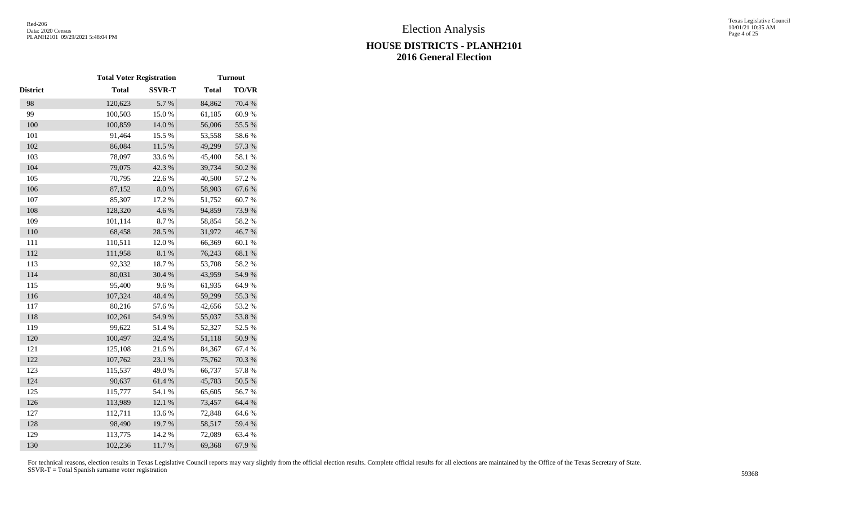|          | <b>Total Voter Registration</b> |               |              | <b>Turnout</b> |
|----------|---------------------------------|---------------|--------------|----------------|
| District | <b>Total</b>                    | <b>SSVR-T</b> | <b>Total</b> | TO/VR          |
| 98       | 120,623                         | 5.7 %         | 84,862       | 70.4 %         |
| 99       | 100,503                         | 15.0%         | 61,185       | 60.9%          |
| 100      | 100,859                         | 14.0 %        | 56,006       | 55.5 %         |
| 101      | 91,464                          | 15.5 %        | 53,558       | 58.6%          |
| 102      | 86,084                          | $11.5\ \%$    | 49,299       | 57.3 %         |
| 103      | 78,097                          | 33.6%         | 45,400       | 58.1 %         |
| 104      | 79,075                          | 42.3 %        | 39,734       | 50.2 %         |
| 105      | 70,795                          | 22.6 %        | 40,500       | 57.2 %         |
| 106      | 87,152                          | $8.0\ \%$     | 58,903       | 67.6%          |
| 107      | 85,307                          | 17.2 %        | 51,752       | 60.7%          |
| 108      | 128,320                         | 4.6%          | 94,859       | 73.9%          |
| 109      | 101,114                         | 8.7%          | 58,854       | 58.2%          |
| 110      | 68,458                          | 28.5 %        | 31,972       | 46.7%          |
| 111      | 110,511                         | 12.0%         | 66,369       | 60.1%          |
| 112      | 111,958                         | 8.1%          | 76,243       | 68.1%          |
| 113      | 92,332                          | 18.7%         | 53,708       | 58.2%          |
| 114      | 80,031                          | 30.4 %        | 43,959       | 54.9%          |
| 115      | 95,400                          | 9.6%          | 61,935       | 64.9%          |
| 116      | 107,324                         | 48.4 %        | 59,299       | 55.3 %         |
| 117      | 80,216                          | 57.6%         | 42,656       | 53.2 %         |
| 118      | 102,261                         | 54.9%         | 55,037       | 53.8%          |
| 119      | 99,622                          | 51.4%         | 52,327       | 52.5 %         |
| 120      | 100,497                         | 32.4 %        | 51,118       | 50.9%          |
| 121      | 125,108                         | 21.6%         | 84,367       | 67.4 %         |
| 122      | 107,762                         | 23.1 %        | 75,762       | 70.3 %         |
| 123      | 115,537                         | 49.0%         | 66,737       | 57.8 %         |
| 124      | 90,637                          | 61.4%         | 45,783       | 50.5 %         |
| 125      | 115,777                         | 54.1 %        | 65,605       | 56.7%          |
| 126      | 113,989                         | 12.1 %        | 73,457       | 64.4 %         |
| 127      | 112,711                         | 13.6 %        | 72,848       | 64.6%          |
| 128      | 98,490                          | 19.7%         | 58,517       | 59.4 %         |
| 129      | 113,775                         | 14.2 %        | 72,089       | 63.4 %         |
| 130      | 102,236                         | 11.7%         | 69,368       | 67.9%          |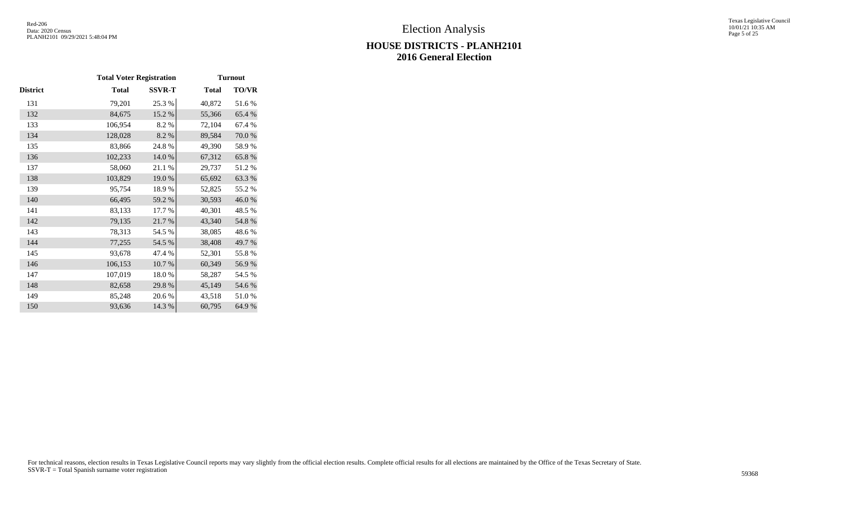#### Texas Legislative Council 10/01/21 10:35 AM Page 5 of 25

# **HOUSE DISTRICTS - PLANH2101 2016 General Election**

|          | <b>Total Voter Registration</b> |               |              | <b>Turnout</b> |
|----------|---------------------------------|---------------|--------------|----------------|
| District | Total                           | <b>SSVR-T</b> | <b>Total</b> | <b>TO/VR</b>   |
| 131      | 79,201                          | 25.3 %        | 40,872       | 51.6%          |
| 132      | 84,675                          | 15.2 %        | 55,366       | 65.4 %         |
| 133      | 106,954                         | 8.2%          | 72,104       | 67.4 %         |
| 134      | 128,028                         | 8.2%          | 89,584       | 70.0%          |
| 135      | 83,866                          | 24.8%         | 49,390       | 58.9%          |
| 136      | 102,233                         | 14.0%         | 67,312       | 65.8%          |
| 137      | 58,060                          | 21.1%         | 29,737       | 51.2%          |
| 138      | 103,829                         | 19.0%         | 65,692       | 63.3%          |
| 139      | 95,754                          | 18.9%         | 52,825       | 55.2 %         |
| 140      | 66,495                          | 59.2 %        | 30,593       | 46.0%          |
| 141      | 83,133                          | 17.7 %        | 40,301       | 48.5 %         |
| 142      | 79,135                          | 21.7%         | 43,340       | 54.8%          |
| 143      | 78,313                          | 54.5 %        | 38,085       | 48.6%          |
| 144      | 77,255                          | 54.5 %        | 38,408       | 49.7%          |
| 145      | 93,678                          | 47.4 %        | 52,301       | 55.8%          |
| 146      | 106,153                         | 10.7%         | 60,349       | 56.9%          |
| 147      | 107,019                         | 18.0%         | 58,287       | 54.5 %         |
| 148      | 82,658                          | 29.8%         | 45,149       | 54.6 %         |
| 149      | 85,248                          | 20.6 %        | 43,518       | 51.0%          |
| 150      | 93,636                          | 14.3 %        | 60,795       | 64.9%          |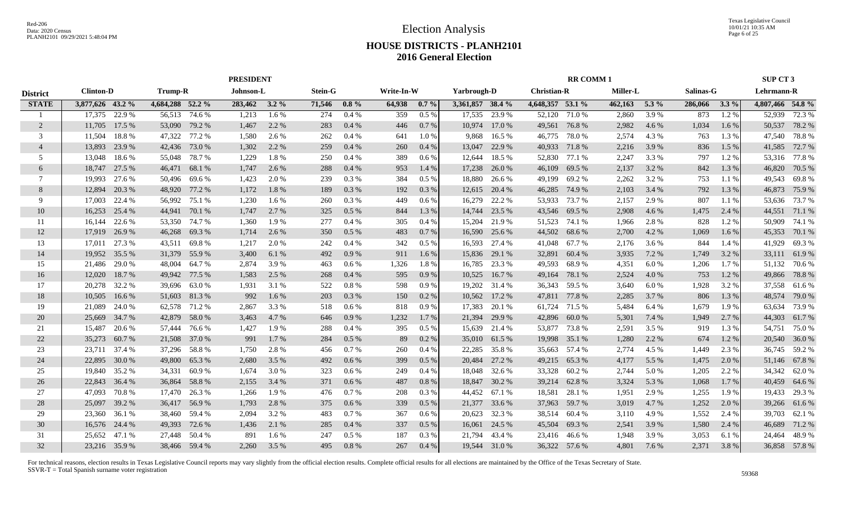|                 |                  |               |                  |               |               | <b>PRESIDENT</b> |                |          |            |          |                  |               |                    | <b>RR COMM1</b> |          |         |           |         | SUP CT 3         |               |
|-----------------|------------------|---------------|------------------|---------------|---------------|------------------|----------------|----------|------------|----------|------------------|---------------|--------------------|-----------------|----------|---------|-----------|---------|------------------|---------------|
| <b>District</b> | <b>Clinton-D</b> |               | <b>Trump-R</b>   |               | Johnson-L     |                  | <b>Stein-G</b> |          | Write-In-W |          | Yarbrough-D      |               | <b>Christian-R</b> |                 | Miller-L |         | Salinas-G |         | Lehrmann-R       |               |
| <b>STATE</b>    | 3,877,626 43.2 % |               | 4,684,288 52.2 % |               | 283,462 3.2 % |                  | 71,546         | $0.8\%$  | 64,938     | 0.7%     | 3,361,857 38.4 % |               | 4,648,357 53.1 %   |                 | 462,163  | $5.3\%$ | 286,066   | $3.3\%$ | 4,807,466 54.8 % |               |
|                 | 17.375           | 22.9 %        | 56,513           | 74.6 %        | 1,213         | 1.6%             | 274            | 0.4%     | 359        | 0.5%     | 17,535           | 23.9 %        | 52,120             | 71.0%           | 2,860    | 3.9%    | 873       | 1.2%    | 52,939           | 72.3 %        |
| 2               | 11,705           | 17.5 %        | 53,090           | 79.2 %        | 1,467         | 2.2 %            | 283            | 0.4%     | 446        | 0.7%     | 10,974           | 17.0 %        | 49,561             | 76.8%           | 2,982    | 4.6 %   | 1,034     | 1.6 %   | 50,537           | 78.2 %        |
| 3               | 11,504           | 18.8%         | 47,322           | 77.2 %        | 1,580         | 2.6 %            | 262            | 0.4%     | 641        | 1.0%     | 9,868            | 16.5 %        | 46,775             | 78.0%           | 2,574    | 4.3 %   | 763       | 1.3%    | 47,540           | 78.8%         |
| $\overline{4}$  | 13,893           | 23.9%         | 42,436           | 73.0%         | 1,302         | 2.2 %            | 259            | 0.4%     | 260        | 0.4%     | 13,047           | 22.9 %        | 40,933             | 71.8%           | 2,216    | 3.9%    | 836       | 1.5 %   | 41,585           | 72.7 %        |
| 5               | 13,048           | 18.6%         | 55,048           | 78.7%         | 1,229         | 1.8%             | 250            | 0.4%     | 389        | 0.6%     | 12,644           | 18.5 %        | 52,830             | 77.1 %          | 2,247    | 3.3 %   | 797       | 1.2 %   | 53,316           | 77.8%         |
| 6               | 18,747           | 27.5 %        | 46,471           | 68.1 %        | 1,747         | 2.6 %            | 288            | 0.4%     | 953        | 1.4 %    | 17,238           | 26.0%         | 46,109             | 69.5 %          | 2,137    | 3.2 %   | 842       | 1.3 %   | 46,820           | 70.5 %        |
| $\tau$          | 19,993           | 27.6 %        | 50,496           | 69.6 %        | 1,423         | 2.0 %            | 239            | 0.3 %    | 384        | 0.5%     | 18,880           | 26.6 %        | 49,199             | 69.2%           | 2,262    | 3.2 %   | 753       | 1.1%    | 49,543           | 69.8%         |
| 8               | 12,894           | 20.3 %        | 48,920           | 77.2 %        | 1,172         | 1.8%             | 189            | 0.3 %    | 192        | 0.3%     | 12,615           | 20.4 %        | 46,285             | 74.9 %          | 2,103    | 3.4 %   | 792       | 1.3%    | 46,873           | 75.9%         |
| 9               | 17,003           | 22.4 %        | 56,992           | 75.1 %        | 1,230         | 1.6 %            | 260            | 0.3%     | 449        | 0.6 %    | 16,279           | 22.2 %        | 53,933             | 73.7 %          | 2,157    | 2.9 %   | 807       | 1.1 %   | 53,636           | 73.7 %        |
| 10              | 16,253           | 25.4 %        | 44,941           | 70.1 %        | 1,747         | 2.7 %            | 325            | 0.5%     | 844        | 1.3%     | 14,744           | 23.5 %        | 43,546             | 69.5 %          | 2,908    | 4.6 %   | 1,475     | 2.4 %   | 44,551           | 71.1 %        |
| 11              | 16,144           | 22.6 %        | 53,350           | 74.7 %        | 1,360         | 1.9%             | 277            | 0.4%     | 305        | 0.4%     | 15,204           | 21.9%         | 51,523             | 74.1 %          | 1,966    | 2.8%    | 828       | 1.2%    | 50,909           | 74.1 %        |
| 12              | 17,919           | 26.9%         | 46,268           | 69.3%         | 1,714         | 2.6 %            | 350            | 0.5%     | 483        | 0.7%     | 16,590           | 25.6 %        | 44,502             | 68.6%           | 2,700    | 4.2 %   | 1,069     | 1.6 %   | 45,353           | 70.1 %        |
| 13              | 17,011           | 27.3 %        | 43,511           | 69.8%         | 1,217         | 2.0 %            | 242            | 0.4%     | 342        | $0.5\%$  | 16,593           | 27.4 %        | 41,048             | 67.7 %          | 2,176    | 3.6 %   | 844       | 1.4 %   | 41,929           | 69.3%         |
| 14              | 19,952           | 35.5 %        | 31,379           | 55.9%         | 3,400         | 6.1 %            | 492            | 0.9%     | 911        | 1.6 %    | 15,836           | 29.1 %        | 32,891             | 60.4 %          | 3,935    | 7.2 %   | 1,749     | 3.2 %   | 33,111           | 61.9%         |
| 15              | 21,486           | 29.0 %        | 48,004           | 64.7 %        | 2,874         | 3.9%             | 463            | 0.6 %    | 1,326      | 1.8%     | 16,785           | 23.3 %        | 49,593             | 68.9 %          | 4,351    | 6.0%    | 1,206     | 1.7 %   | 51,132           | 70.6%         |
| 16              | 12,020           | 18.7%         | 49,942           | 77.5 %        | 1,583         | 2.5 %            | 268            | 0.4%     | 595        | 0.9%     | 10,525           | 16.7%         | 49,164             | 78.1 %          | 2,524    | 4.0%    | 753       | 1.2 %   | 49,866           | 78.8%         |
| 17              | 20,278           | 32.2 %        | 39,696           | 63.0 %        | 1,931         | 3.1 %            | 522            | 0.8%     | 598        | 0.9%     | 19,202           | 31.4 %        |                    | 36,343 59.5 %   | 3,640    | 6.0%    | 1,928     | 3.2 %   |                  | 37,558 61.6 % |
| 18              | 10.505           | 16.6 %        | 51,603           | 81.3%         | 992           | 1.6 %            | 203            | 0.3%     | 150        | 0.2 %    | 10,562           | 17.2 %        | 47,811             | 77.8%           | 2,285    | 3.7 %   | 806       | 1.3%    | 48,574           | 79.0%         |
| 19              | 21,089           | 24.0 %        | 62,578           | 71.2 %        | 2,867         | 3.3 %            | 518            | 0.6 %    | 818        | 0.9%     | 17,383           | 20.1 %        | 61,724             | 71.5 %          | 5,484    | 6.4 %   | 1,679     | 1.9%    | 63,634           | 73.9%         |
| 20              | 25,669           | 34.7 %        | 42,879           | 58.0%         | 3,463         | 4.7 %            | 646            | 0.9%     | 1,232      | 1.7%     | 21,394           | 29.9 %        | 42,896             | 60.0%           | 5,301    | 7.4 %   | 1,949     | 2.7 %   | 44,303           | 61.7%         |
| 21              | 15,487           | 20.6 %        | 57,444           | 76.6 %        | 1,427         | 1.9%             | 288            | 0.4%     | 395        | 0.5%     | 15,639           | 21.4 %        | 53,877             | 73.8%           | 2,591    | 3.5 %   | 919       | 1.3 %   | 54,751           | 75.0%         |
| 22              | 35,273           | 60.7%         | 21,508           | 37.0 %        | 991           | 1.7%             | 284            | 0.5%     | 89         | 0.2%     | 35,010           | 61.5 %        | 19,998             | 35.1 %          | 1,280    | 2.2 %   | 674       | 1.2 %   | 20,540           | 36.0%         |
| 23              | 23,711           | 37.4 %        | 37,296           | 58.8%         | 1,750         | 2.8%             | 456            | 0.7%     | 260        | 0.4%     | 22,285           | 35.8%         | 35,663             | 57.4 %          | 2,774    | 4.5 %   | 1,449     | 2.3 %   | 36,745           | 59.2 %        |
| 24              | 22,895           | 30.0 %        | 49,800           | 65.3%         | 2,680         | 3.5 %            | 492            | 0.6 %    | 399        | 0.5 %    | 20,484           | 27.2 %        | 49,215             | 65.3%           | 4,177    | 5.5 %   | 1,475     | 2.0 %   |                  | 51,146 67.8%  |
| 25              | 19.840           | 35.2 %        | 34,331           | 60.9%         | 1.674         | 3.0 %            | 323            | 0.6 %    | 249        | 0.4%     | 18,048           | 32.6 %        | 33,328             | 60.2%           | 2,744    | 5.0%    | 1,205     | 2.2 %   | 34,342           | 62.0%         |
| 26              | 22,843           | 36.4 %        | 36,864           | 58.8%         | 2,155         | 3.4 %            | 371            | 0.6 %    | 487        | $0.8 \%$ | 18,847           | 30.2 %        | 39,214             | 62.8%           | 3,324    | 5.3 %   | 1,068     | 1.7 %   | 40,459           | 64.6 %        |
| 27              | 47,093           | 70.8%         | 17,470           | 26.3 %        | 1,266         | 1.9%             | 476            | 0.7%     | 208        | 0.3 %    | 44,452           | 67.1 %        | 18,581             | 28.1 %          | 1,951    | 2.9 %   | 1,255     | 1.9%    | 19,433           | 29.3 %        |
| 28              | 25,097           | 39.2 %        | 36,417           | 56.9%         | 1,793         | 2.8 %            | 375            | 0.6%     | 339        | 0.5%     | 21,377           | 33.6 %        | 37,963             | 59.7 %          | 3,019    | 4.7 %   | 1,252     | 2.0 %   | 39,266           | 61.6 %        |
| 29              | 23,360           | 36.1 %        | 38,460           | 59.4 %        | 2,094         | 3.2 %            | 483            | 0.7%     | 367        | 0.6 %    | 20,623           | 32.3 %        | 38,514             | 60.4 %          | 3,110    | 4.9%    | 1,552     | 2.4 %   | 39,703           | 62.1 %        |
| 30              | 16,576           | 24.4 %        | 49,393           | 72.6 %        | 1,436         | 2.1 %            | 285            | $0.4~\%$ | 337        | 0.5%     | 16,061           | 24.5 %        | 45,504             | 69.3%           | 2,541    | 3.9%    | 1,580     | 2.4 %   | 46,689           | 71.2%         |
| 31              | 25,652           | 47.1 %        | 27,448           | 50.4 %        | 891           | 1.6 %            | 247            | 0.5%     | 187        | 0.3%     | 21,794           | 43.4 %        | 23,416             | 46.6 %          | 1,948    | 3.9%    | 3,053     | 6.1 %   | 24,464           | 48.9%         |
| 32              |                  | 23,216 35.9 % |                  | 38,466 59.4 % | 2,260         | 3.5 %            | 495            | 0.8%     | 267        | $0.4~\%$ |                  | 19,544 31.0 % |                    | 36,322 57.6 %   | 4,801    | 7.6 %   | 2,371     | 3.8%    |                  | 36,858 57.8 % |
|                 |                  |               |                  |               |               |                  |                |          |            |          |                  |               |                    |                 |          |         |           |         |                  |               |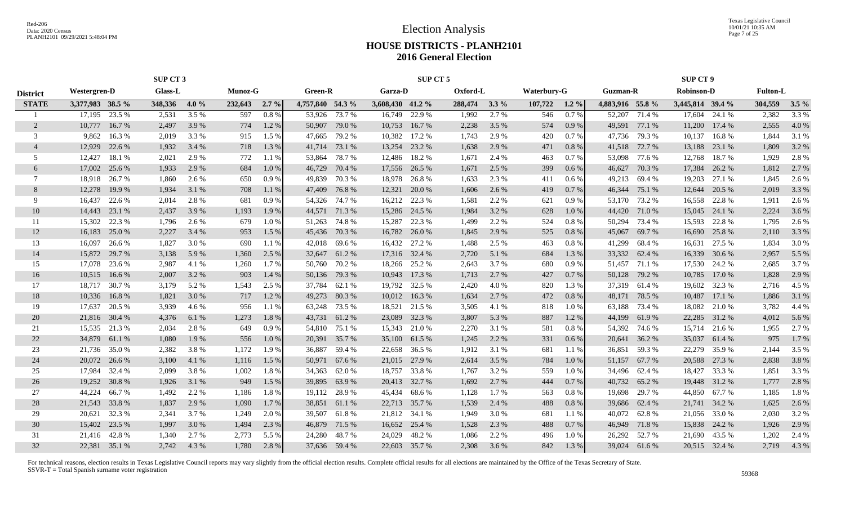Texas Legislative Council 10/01/21 10:35 AM Page 7 of 25

### **HOUSE DISTRICTS - PLANH2101 2016 General Election**

|                 | SUP CT 3         |               |                |         |         |         |                  |               | SUP CT 5         |               |          |         |             |         |                  | <b>SUP CT 9</b> |                   |               |                 |         |
|-----------------|------------------|---------------|----------------|---------|---------|---------|------------------|---------------|------------------|---------------|----------|---------|-------------|---------|------------------|-----------------|-------------------|---------------|-----------------|---------|
| <b>District</b> | Westergren-D     |               | <b>Glass-L</b> |         | Munoz-G |         | <b>Green-R</b>   |               | Garza-D          |               | Oxford-L |         | Waterbury-G |         | <b>Guzman-R</b>  |                 | <b>Robinson-D</b> |               | <b>Fulton-L</b> |         |
| <b>STATE</b>    | 3,377,983 38.5 % |               | 348,336        | $4.0\%$ | 232,643 | $2.7\%$ | 4,757,840 54.3 % |               | 3,608,430 41.2 % |               | 288,474  | $3.3\%$ | 107,722     | $1.2\%$ | 4,883,916 55.8 % |                 | 3,445,814 39.4 %  |               | 304,559         | $3.5\%$ |
|                 | 17,195           | 23.5 %        | 2,531          | 3.5 %   | 597     | 0.8%    | 53,926           | 73.7 %        | 16,749           | 22.9 %        | 1,992    | 2.7 %   | 546         | 0.7%    | 52,207           | 71.4 %          | 17,604            | 24.1 %        | 2,382           | 3.3 %   |
| 2               | 10,777           | 16.7 %        | 2,497          | 3.9 %   | 774     | 1.2%    | 50,907           | 79.0 %        | 10,753           | 16.7 %        | 2,238    | 3.5 %   | 574         | 0.9%    | 49,591           | 77.1 %          | 11,200            | 17.4 %        | 2,555           | 4.0%    |
| 3               | 9.862            | 16.3%         | 2,019          | 3.3 %   | 915     | $1.5\%$ | 47,665           | 79.2 %        | 10,382           | 17.2 %        | 1,743    | 2.9 %   | 420         | 0.7%    | 47,736           | 79.3 %          | 10,137            | 16.8 %        | 1,844           | 3.1 %   |
| $\overline{4}$  | 12,929           | 22.6 %        | 1,932          | 3.4 %   | 718     | 1.3%    | 41,714           | 73.1 %        | 13,254           | 23.2 %        | 1,638    | 2.9%    | 471         | 0.8%    | 41,518           | 72.7 %          | 13,188            | 23.1 %        | 1,809           | 3.2 %   |
| .5              | 12,427           | 18.1 %        | 2,021          | 2.9 %   | 772     | 1.1%    | 53,864           | 78.7%         | 12,486           | 18.2 %        | 1,671    | 2.4 %   | 463         | $0.7\%$ | 53,098           | 77.6 %          | 12,768            | 18.7%         | 1,929           | 2.8%    |
| 6               | 17,002           | 25.6 %        | 1,933          | 2.9 %   | 684     | 1.0%    | 46,729           | 70.4 %        | 17,556           | 26.5 %        | 1,671    | 2.5 %   | 399         | 0.6 %   | 46,627           | 70.3 %          | 17,384            | 26.2 %        | 1,812           | 2.7 %   |
| 7               | 18,918           | 26.7 %        | 1,860          | 2.6 %   | 650     | 0.9%    | 49,839           | 70.3 %        | 18,978           | 26.8 %        | 1,633    | 2.3 %   | 411         | $0.6\%$ | 49,213           | 69.4 %          | 19,203            | 27.1 %        | 1,845           | 2.6 %   |
| 8               | 12,278           | 19.9 %        | 1,934          | 3.1 %   | 708     | 1.1%    | 47,409           | 76.8%         | 12,321           | 20.0 %        | 1,606    | 2.6 %   | 419         | 0.7 %   | 46,344           | 75.1 %          | 12,644            | 20.5 %        | 2,019           | 3.3 %   |
| 9               | 16,437           | 22.6 %        | 2,014          | 2.8 %   | 681     | 0.9%    | 54,326           | 74.7 %        | 16,212           | 22.3 %        | 1,581    | 2.2 %   | 621         | 0.9%    | 53,170           | 73.2 %          | 16,558            | 22.8 %        | 1,911           | 2.6 %   |
| 10              | 14,443           | 23.1 %        | 2,437          | 3.9 %   | 1,193   | 1.9 %   | 44,571           | 71.3 %        | 15,286           | 24.5 %        | 1,984    | 3.2 %   | 628         | 1.0%    | 44,420           | 71.0%           | 15,045            | 24.1 %        | 2,224           | 3.6 %   |
| 11              | 15,302           | 22.3 %        | 1,796          | 2.6 %   | 679     | 1.0%    | 51,263           | 74.8 %        | 15,287           | 22.3 %        | 1,499    | 2.2 %   | 524         | 0.8 %   | 50,294           | 73.4 %          | 15,593            | 22.8 %        | 1,795           | 2.6 %   |
| 12              | 16,183           | 25.0 %        | 2,227          | 3.4 %   | 953     | 1.5 %   | 45,436           | 70.3 %        |                  | 16,782 26.0 % | 1,845    | 2.9 %   | 525         | 0.8%    | 45,067           | 69.7%           | 16,690            | 25.8%         | 2,110           | 3.3 %   |
| 13              | 16.097           | 26.6 %        | 1,827          | 3.0 %   | 690     | 1.1 %   | 42,018           | 69.6 %        |                  | 16,432 27.2 % | 1,488    | 2.5 %   | 463         | $0.8\%$ | 41,299           | 68.4%           | 16,631            | 27.5 %        | 1,834           | 3.0 %   |
| 14              | 15,872           | 29.7 %        | 3,138          | 5.9%    | 1,360   | 2.5 %   | 32,647           | 61.2%         |                  | 17,316 32.4 % | 2,720    | 5.1 %   | 684         | 1.3%    | 33,332           | 62.4 %          | 16,339            | 30.6 %        | 2,957           | 5.5 %   |
| 15              | 17,078           | 23.6 %        | 2,987          | 4.1 %   | 1,260   | 1.7%    | 50,760           | 70.2 %        | 18,266           | 25.2 %        | 2,643    | 3.7%    | 680         | 0.9%    | 51,457           | 71.1 %          | 17,530            | 24.2 %        | 2,685           | 3.7 %   |
| 16              | 10,515           | 16.6 %        | 2,007          | 3.2 %   | 903     | 1.4 %   | 50,136           | 79.3 %        | 10,943           | 17.3 %        | 1,713    | 2.7 %   | 427         | 0.7 %   | 50,128           | 79.2 %          | 10,785            | 17.0 %        | 1,828           | 2.9 %   |
| 17              |                  | 18,717 30.7 % | 3,179          | 5.2 %   | 1,543   | 2.5 %   | 37,784           | 62.1 %        |                  | 19,792 32.5 % | 2,420    | 4.0%    | 820         | 1.3 %   | 37,319           | 61.4 %          | 19,602            | 32.3 %        | 2,716           | 4.5 %   |
| 18              | 10,336           | 16.8%         | 1,821          | 3.0 %   | 717     | 1.2%    | 49,273           | 80.3%         | 10,012           | 16.3%         | 1,634    | 2.7 %   | 472         | 0.8%    | 48,171           | 78.5 %          | 10,487            | 17.1%         | 1,886           | 3.1 %   |
| 19              | 17,637           | 20.5 %        | 3,939          | 4.6 %   | 956     | 1.1 %   | 63,248           | 73.5 %        | 18,521           | 21.5 %        | 3,505    | 4.1 %   | 818         | 1.0%    | 63,188           | 73.4 %          | 18,082            | 21.0%         | 3,782           | 4.4 %   |
| 20              | 21,816           | 30.4 %        | 4,376          | 6.1 %   | 1,273   | 1.8%    | 43,731           | 61.2%         | 23,089           | 32.3 %        | 3,807    | 5.3 %   | 887         | 1.2%    | 44,199           | 61.9%           | 22,285            | 31.2 %        | 4,012           | 5.6 %   |
| 21              | 15,535           | 21.3 %        | 2,034          | 2.8%    | 649     | 0.9%    | 54,810           | 75.1 %        | 15,343           | 21.0 %        | 2,270    | 3.1 %   | 581         | 0.8%    | 54,392           | 74.6 %          | 15,714            | 21.6 %        | 1,955           | 2.7 %   |
| 22              | 34,879           | 61.1%         | 1,080          | 1.9 %   | 556     | 1.0%    | 20,391           | 35.7 %        | 35,100           | 61.5 %        | 1,245    | 2.2 %   | 331         | 0.6%    | 20,641           | 36.2%           | 35,037            | 61.4 %        | 975             | 1.7 %   |
| 23              | 21,736           | 35.0 %        | 2,382          | 3.8%    | 1,172   | 1.9%    | 36,887           | 59.4 %        | 22,658           | 36.5 %        | 1,912    | 3.1 %   | 681         | $1.1\%$ | 36,851           | 59.3%           | 22,279            | 35.9%         | 2,144           | 3.5 %   |
| 24              | 20,072           | 26.6 %        | 3,100          | 4.1 %   | 1,116   | 1.5 %   | 50,971           | 67.6 %        |                  | 21,015 27.9 % | 2,614    | 3.5 %   | 784         | 1.0%    | 51,157           | 67.7%           | 20,588            | 27.3 %        | 2,838           | 3.8 %   |
| 25              | 17,984           | 32.4 %        | 2,099          | 3.8%    | 1,002   | 1.8%    | 34,363           | 62.0%         | 18,757           | 33.8 %        | 1,767    | 3.2 %   | 559         | 1.0 %   | 34,496           | 62.4 %          | 18,427            | 33.3 %        | 1,851           | 3.3 %   |
| 26              | 19,252           | 30.8%         | 1,926          | 3.1 %   | 949     | 1.5 %   | 39,895           | 63.9%         |                  | 20,413 32.7 % | 1,692    | 2.7 %   | 444         | 0.7%    | 40,732           | 65.2 %          | 19,448            | 31.2 %        | 1,777           | 2.8 %   |
| 27              | 44,224           | 66.7%         | 1,492          | 2.2 %   | 1,186   | 1.8%    | 19,112           | 28.9%         | 45,434           | 68.6%         | 1,128    | 1.7 %   | 563         | 0.8%    | 19,698           | 29.7 %          | 44,850            | 67.7 %        | 1,185           | 1.8%    |
| 28              | 21,543           | 33.8%         | 1,837          | 2.9 %   | 1,090   | 1.7 %   | 38,851           | 61.1 %        | 22,713           | 35.7 %        | 1,539    | 2.4 %   | 488         | 0.8%    | 39,686           | 62.4 %          | 21,741            | 34.2 %        | 1,625           | $2.6\%$ |
| 29              | 20,621           | 32.3 %        | 2,341          | 3.7 %   | 1,249   | 2.0 %   | 39,507           | 61.8 %        |                  | 21,812 34.1 % | 1,949    | 3.0 %   | 681         | 1.1 %   | 40,072           | 62.8%           | 21,056            | 33.0 %        | 2,030           | 3.2 %   |
| 30              | 15,402           | 23.5 %        | 1,997          | 3.0 %   | 1,494   | 2.3 %   | 46,879           | 71.5 %        |                  | 16,652 25.4 % | 1,528    | 2.3 %   | 488         | 0.7%    | 46,949           | 71.8%           | 15,838            | 24.2 %        | 1,926           | 2.9 %   |
| 31              | 21,416           | 42.8%         | 1,340          | 2.7 %   | 2,773   | 5.5 %   | 24,280           | 48.7%         | 24,029           | 48.2%         | 1,086    | 2.2 %   | 496         | 1.0%    | 26,292           | 52.7 %          | 21,690            | 43.5 %        | 1,202           | 2.4 %   |
| 32              |                  | 22,381 35.1 % | 2.742          | 4.3 %   | 1,780   | 2.8%    |                  | 37,636 59.4 % |                  | 22,603 35.7 % | 2.308    | 3.6 %   | 842         | 1.3 %   |                  | 39,024 61.6 %   |                   | 20,515 32.4 % | 2,719           | 4.3 %   |
|                 |                  |               |                |         |         |         |                  |               |                  |               |          |         |             |         |                  |                 |                   |               |                 |         |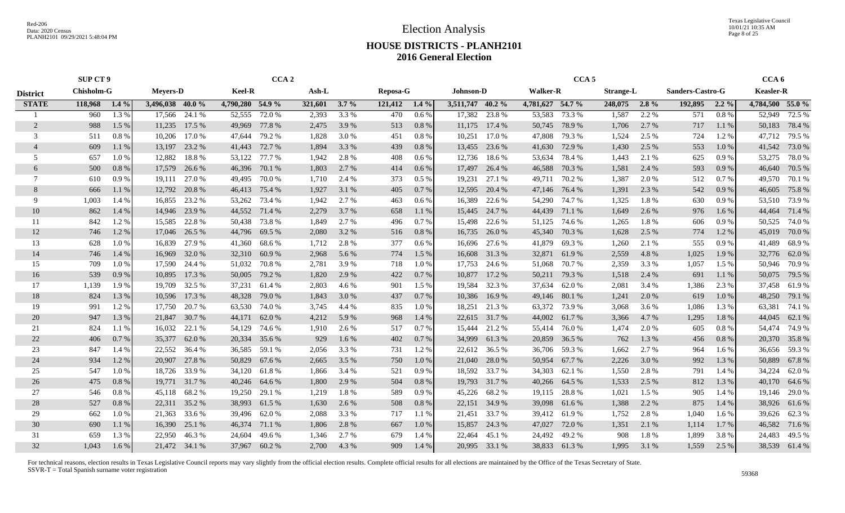Texas Legislative Council 10/01/21 10:35 AM Page 8 of 25

### **HOUSE DISTRICTS - PLANH2101 2016 General Election**

|                 | <b>SUP CT 9</b>   |         |                  |               | CCA <sub>2</sub> |               |         |         |          |         |                  |        | CCA <sub>5</sub> |               |                  |         |                  | CCA <sub>6</sub> |                  |               |
|-----------------|-------------------|---------|------------------|---------------|------------------|---------------|---------|---------|----------|---------|------------------|--------|------------------|---------------|------------------|---------|------------------|------------------|------------------|---------------|
| <b>District</b> | <b>Chisholm-G</b> |         | <b>Meyers-D</b>  |               | <b>Keel-R</b>    |               | Ash-L   |         | Reposa-G |         | <b>Johnson-D</b> |        | <b>Walker-R</b>  |               | <b>Strange-L</b> |         | Sanders-Castro-G |                  | <b>Keasler-R</b> |               |
| <b>STATE</b>    | 118,968           | $1.4\%$ | 3,496,038 40.0 % |               | 4,790,280 54.9 % |               | 321,601 | $3.7\%$ | 121,412  | $1.4\%$ | 3,511,747 40.2 % |        | 4,781,627 54.7 % |               | 248,075          | $2.8\%$ | 192,895          | $2.2\%$          | 4,784,500 55.0 % |               |
|                 | 960               | 1.3 %   | 17,566           | 24.1 %        | 52,555           | 72.0 %        | 2,393   | 3.3 %   | 470      | 0.6%    | 17,382           | 23.8 % | 53,583           | 73.3 %        | 1,587            | 2.2 %   | 571              | 0.8%             | 52,949           | 72.5 %        |
| 2               | 988               | 1.5 %   | 11,235           | 17.5 %        | 49,969           | 77.8%         | 2,475   | 3.9 %   | 513      | 0.8 %   | 11,175           | 17.4 % | 50,745           | 78.9%         | 1,706            | 2.7%    | 717              | 1.1 %            | 50,183           | 78.4 %        |
| 3               | 511               | 0.8 %   | 10,206           | 17.0 %        | 47.644           | 79.2 %        | 1,828   | 3.0 %   | 451      | 0.8 %   | 10,251           | 17.0 % | 47,808           | 79.3 %        | 1,524            | 2.5 %   | 724              | 1.2%             | 47,712           | 79.5 %        |
| $\overline{4}$  | 609               | 1.1%    | 13,197           | 23.2 %        | 41,443           | 72.7 %        | 1,894   | 3.3 %   | 439      | 0.8%    | 13,455           | 23.6 % | 41,630           | 72.9 %        | 1,430            | 2.5 %   | 553              | 1.0%             | 41,542           | 73.0%         |
| 5               | 657               | 1.0%    | 12,882           | 18.8%         | 53,122           | 77.7 %        | 1,942   | 2.8%    | 408      | 0.6 %   | 12,736           | 18.6 % | 53,634           | 78.4 %        | 1,443            | 2.1 %   | 625              | 0.9%             | 53,275           | 78.0%         |
| 6               | 500               | 0.8%    | 17,579           | 26.6 %        | 46,396           | 70.1 %        | 1,803   | 2.7%    | 414      | 0.6 %   | 17,497           | 26.4 % | 46,588           | 70.3 %        | 1,581            | 2.4 %   | 593              | 0.9%             | 46,640           | 70.5 %        |
| 7               | 610               | 0.9%    | 19,111           | 27.0 %        | 49,495           | 70.0%         | 1,710   | 2.4 %   | 373      | $0.5\%$ | 19,231           | 27.1 % |                  | 49,711 70.2 % | 1,387            | 2.0 %   | 512              | 0.7 %            | 49,570           | 70.1 %        |
| 8               | 666               | 1.1%    | 12,792           | 20.8%         | 46,413           | 75.4 %        | 1,927   | 3.1 %   | 405      | 0.7%    | 12,595           | 20.4 % | 47,146           | 76.4 %        | 1,391            | 2.3 %   | 542              | 0.9%             | 46,605           | 75.8%         |
| 9               | 1,003             | 1.4 %   | 16,855           | 23.2 %        | 53,262           | 73.4 %        | 1,942   | 2.7 %   | 463      | $0.6\%$ | 16,389           | 22.6 % | 54,290           | 74.7 %        | 1,325            | 1.8%    | 630              | 0.9%             | 53,510           | 73.9%         |
| 10              | 862               | 1.4 %   | 14,946           | 23.9 %        | 44,552           | 71.4 %        | 2,279   | 3.7%    | 658      | 1.1 %   | 15,445           | 24.7 % | 44,439           | 71.1 %        | 1,649            | 2.6 %   | 976              | 1.6 %            | 44,464           | 71.4 %        |
| 11              | 842               | 1.2%    | 15,585           | 22.8%         | 50,438           | 73.8%         | 1,849   | 2.7 %   | 496      | 0.7%    | 15,498           | 22.6 % | 51,125           | 74.6 %        | 1,265            | 1.8%    | 606              | 0.9%             | 50,525           | 74.0 %        |
| 12              | 746               | 1.2%    | 17,046           | 26.5 %        | 44,796           | 69.5 %        | 2,080   | 3.2 %   | 516      | 0.8 %   | 16,735           | 26.0%  | 45,340           | 70.3 %        | 1,628            | 2.5 %   | 774              | 1.2%             | 45,019           | 70.0%         |
| 13              | 628               | 1.0%    | 16,839           | 27.9 %        | 41,360           | 68.6%         | 1,712   | 2.8%    | 377      | $0.6\%$ | 16,696           | 27.6 % | 41,879           | 69.3%         | 1,260            | 2.1 %   | 555              | 0.9%             | 41,489           | 68.9%         |
| 14              | 746               | 1.4 %   | 16,969           | 32.0 %        | 32,310           | 60.9%         | 2,968   | 5.6 %   | 774      | 1.5 %   | 16,608           | 31.3 % | 32,871           | 61.9%         | 2,559            | 4.8%    | 1,025            | 1.9%             | 32,776           | 62.0%         |
| 15              | 709               | 1.0%    | 17,590           | 24.4 %        | 51,032           | 70.8%         | 2,781   | 3.9%    | 718      | 1.0%    | 17,753           | 24.6 % |                  | 51,068 70.7%  | 2,359            | 3.3 %   | 1,057            | 1.5 %            | 50,946           | 70.9%         |
| 16              | 539               | 0.9%    | 10,895           | 17.3 %        | 50,005           | 79.2 %        | 1,820   | 2.9 %   | 422      | 0.7%    | 10,877           | 17.2 % |                  | 50,211 79.3 % | 1,518            | 2.4 %   | 691              | $1.1\%$          | 50,075           | 79.5 %        |
| 17              | 1,139             | 1.9%    | 19,709           | 32.5 %        | 37,231           | 61.4 %        | 2,803   | 4.6 %   | 901      | 1.5 %   | 19,584           | 32.3 % | 37,634           | 62.0 %        | 2,081            | 3.4 %   | 1,386            | 2.3 %            | 37,458           | 61.9 %        |
| 18              | 824               | 1.3 %   | 10,596           | 17.3 %        | 48,328           | 79.0 %        | 1,843   | 3.0%    | 437      | 0.7%    | 10,386           | 16.9%  | 49,146           | 80.1 %        | 1,241            | 2.0%    | 619              | 1.0%             | 48,250           | 79.1 %        |
| 19              | 991               | 1.2%    | 17,750           | 20.7 %        | 63,530           | 74.0%         | 3,745   | 4.4 %   | 835      | 1.0%    | 18,251           | 21.3 % | 63,372           | 73.9 %        | 3,068            | 3.6 %   | 1,086            | 1.3 %            | 63,381           | 74.1 %        |
| 20              | 947               | 1.3%    | 21,847           | 30.7 %        | 44,171           | 62.0%         | 4,212   | 5.9%    | 968      | 1.4 %   | 22,615           | 31.7 % | 44,002           | 61.7 %        | 3,366            | 4.7 %   | 1,295            | 1.8%             | 44,045           | 62.1 %        |
| 21              | 824               | 1.1%    | 16,032           | 22.1 %        | 54,129           | 74.6 %        | 1,910   | 2.6 %   | 517      | 0.7%    | 15,444           | 21.2 % | 55,414           | 76.0 %        | 1,474            | 2.0 %   | 605              | 0.8%             | 54,474           | 74.9 %        |
| 22              | 406               | 0.7%    | 35,377           | 62.0%         | 20,334           | 35.6%         | 929     | 1.6%    | 402      | 0.7%    | 34,999           | 61.3%  | 20,859           | 36.5 %        | 762              | 1.3%    | 456              | 0.8 %            | 20,370           | 35.8%         |
| 23              | 847               | 1.4 %   | 22,552           | 36.4 %        | 36,585           | 59.1 %        | 2,056   | 3.3 %   | 731      | 1.2%    | 22,612           | 36.5 % | 36,706           | 59.3 %        | 1,662            | 2.7%    | 964              | $1.6\%$          | 36,656           | 59.3%         |
| 24              | 934               | 1.2%    | 20,907           | 27.8%         | 50,829           | 67.6%         | 2,665   | 3.5 %   | 750      | 1.0%    | 21,040           | 28.0%  | 50,954           | 67.7 %        | 2,226            | 3.0%    | 992              | 1.3%             | 50,889           | 67.8%         |
| 25              | 547               | 1.0%    | 18,726           | 33.9 %        | 34,120           | 61.8%         | 1,866   | 3.4 %   | 521      | 0.9%    | 18,592           | 33.7 % | 34,303           | 62.1 %        | 1,550            | 2.8 %   | 791              | 1.4 %            | 34,224           | 62.0%         |
| 26              | 475               | 0.8%    | 19,771           | 31.7 %        | 40,246           | 64.6 %        | 1,800   | 2.9 %   | 504      | 0.8%    | 19,793           | 31.7 % | 40,266           | 64.5 %        | 1,533            | 2.5 %   | 812              | 1.3 %            | 40,170           | 64.6 %        |
| 27              | 546               | 0.8%    | 45,118           | 68.2%         | 19,250           | 29.1 %        | 1,219   | 1.8%    | 589      | 0.9%    | 45,226           | 68.2%  | 19,115           | 28.8%         | 1,021            | 1.5 %   | 905              | 1.4 %            | 19,146           | 29.0%         |
| 28              | 527               | 0.8 %   | 22,311           | 35.2 %        | 38,993           | 61.5%         | 1,630   | 2.6 %   | 508      | 0.8 %   | 22,151           | 34.9 % | 39,098           | 61.6%         | 1,388            | 2.2 %   | 875              | 1.4 %            | 38,926           | 61.6%         |
| 29              | 662               | 1.0%    | 21,363           | 33.6 %        | 39,496           | 62.0%         | 2,088   | 3.3 %   | 717      | 1.1%    | 21,451           | 33.7 % | 39,412           | 61.9%         | 1,752            | 2.8%    | 1,040            | 1.6 %            |                  | 39,626 62.3 % |
| 30              | 690               | 1.1 %   | 16,390           | 25.1 %        | 46,374           | 71.1 %        | 1,806   | 2.8%    | 667      | 1.0%    | 15,857           | 24.3 % | 47,027           | 72.0 %        | 1,351            | 2.1 %   | 1,114            | 1.7 %            | 46,582           | 71.6 %        |
| 31              | 659               | 1.3%    | 22,950           | 46.3%         | 24,604           | 49.6%         | 1,346   | 2.7 %   | 679      | 1.4 %   | 22,464           | 45.1 % | 24,492           | 49.2%         | 908              | 1.8%    | 1,899            | 3.8%             | 24,483           | 49.5 %        |
| 32              | 1,043             | 1.6%    |                  | 21,472 34.1 % |                  | 37,967 60.2 % | 2,700   | 4.3 %   | 909      | 1.4 %   | 20,995           | 33.1 % |                  | 38,833 61.3 % | 1,995            | 3.1 %   | 1,559            | 2.5 %            |                  | 38,539 61.4 % |
|                 |                   |         |                  |               |                  |               |         |         |          |         |                  |        |                  |               |                  |         |                  |                  |                  |               |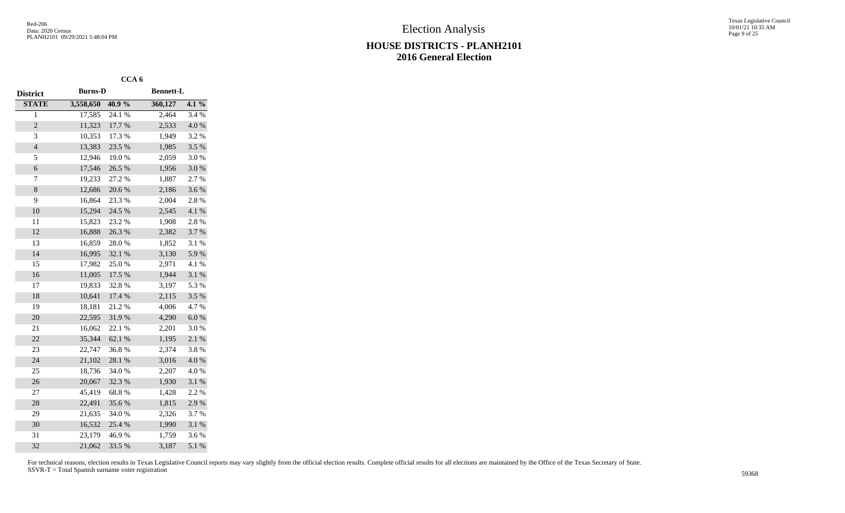|                 |                | CCA <sub>6</sub> |                  |           |
|-----------------|----------------|------------------|------------------|-----------|
| <b>District</b> | <b>Burns-D</b> |                  | <b>Bennett-L</b> |           |
| <b>STATE</b>    | 3,558,650      | 40.9%            | 360,127          | 4.1%      |
| $\overline{1}$  | 17,585         | 24.1 %           | 2,464            | 3.4 %     |
| $\overline{c}$  | 11,323         | 17.7 %           | 2,533            | 4.0%      |
| 3               | 10,353         | 17.3 %           | 1,949            | 3.2%      |
| $\overline{4}$  | 13,383         | 23.5 %           | 1,985            | 3.5 %     |
| 5               | 12,946         | 19.0%            | 2,059            | 3.0%      |
| 6               | 17,546         | 26.5 %           | 1,956            | 3.0%      |
| 7               | 19,233         | 27.2 %           | 1,887            | 2.7%      |
| 8               | 12,686         | 20.6%            | 2,186            | 3.6%      |
| 9               | 16,864         | 23.3 %           | 2,004            | 2.8 %     |
| 10              | 15,294         | 24.5 %           | 2,545            | 4.1 %     |
| 11              | 15,823         | 23.2 %           | 1,908            | 2.8 %     |
| 12              | 16,888         | 26.3%            | 2,382            | 3.7%      |
| 13              | 16,859         | 28.0%            | 1,852            | 3.1 %     |
| 14              | 16,995         | 32.1 %           | 3,130            | 5.9%      |
| 15              | 17,982         | 25.0%            | 2,971            | 4.1 %     |
| 16              | 11,005         | 17.5 %           | 1,944            | 3.1 %     |
| 17              | 19,833         | 32.8%            | 3,197            | 5.3 %     |
| 18              | 10,641         | 17.4 %           | 2,115            | 3.5 %     |
| 19              | 18,181         | 21.2%            | 4,006            | 4.7%      |
| 20              | 22,595         | 31.9%            | 4,290            | $6.0~\%$  |
| 21              | 16,062         | 22.1 %           | 2,201            | 3.0%      |
| 22              | 35,344         | 62.1 %           | 1,195            | 2.1 %     |
| 23              | 22,747         | 36.8%            | 2,374            | 3.8%      |
| 24              | 21,102         | 28.1 %           | 3,016            | $4.0\ \%$ |
| 25              | 18,736         | 34.0%            | 2,207            | 4.0%      |
| 26              | 20,067         | 32.3 %           | 1,930            | 3.1 %     |
| 27              | 45,419         | 68.8%            | 1,428            | 2.2 %     |
| 28              | 22,491         | 35.6%            | 1,815            | 2.9%      |
| 29              | 21,635         | 34.0%            | 2,326            | 3.7%      |
| 30              | 16,532         | 25.4 %           | 1,990            | 3.1 %     |
| 31              | 23,179         | 46.9%            | 1,759            | 3.6%      |
| 32              | 21,062         | 33.5 %           | 3,187            | 5.1 %     |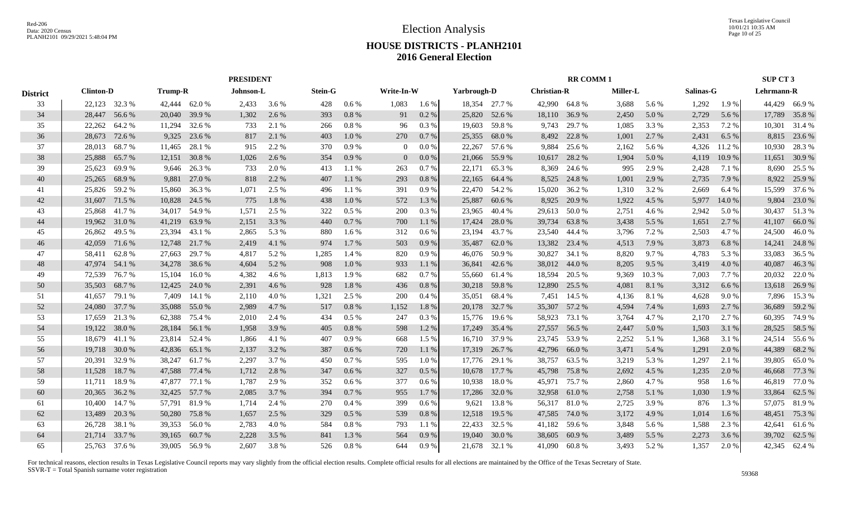|                 |                  |        |                |        | <b>PRESIDENT</b> |       |                |         |                |         |             |               |                    | <b>RR COMM1</b> |                 |        |           |         | SUP CT 3      |               |
|-----------------|------------------|--------|----------------|--------|------------------|-------|----------------|---------|----------------|---------|-------------|---------------|--------------------|-----------------|-----------------|--------|-----------|---------|---------------|---------------|
| <b>District</b> | <b>Clinton-D</b> |        | <b>Trump-R</b> |        | Johnson-L        |       | <b>Stein-G</b> |         | Write-In-W     |         | Yarbrough-D |               | <b>Christian-R</b> |                 | <b>Miller-L</b> |        | Salinas-G |         | Lehrmann-R    |               |
| 33              | 22,123 32.3 %    |        | 42,444 62.0 %  |        | 2,433            | 3.6 % | 428            | 0.6 %   | 1,083          | $1.6\%$ |             | 18.354 27.7 % | 42,990 64.8 %      |                 | 3,688           | 5.6 %  | 1,292     | 1.9%    |               | 44,429 66.9 % |
| 34              | 28,447           | 56.6 % | 20,040         | 39.9 % | 1,302            | 2.6 % | 393            | 0.8%    | 91             | 0.2 %   | 25,820      | 52.6 %        | 18,110             | 36.9%           | 2,450           | 5.0 %  | 2,729     | 5.6 %   | 17,789        | 35.8%         |
| 35              | 22,262           | 64.2 % | 11,294         | 32.6 % | 733              | 2.1 % | 266            | 0.8%    | 96             | 0.3 %   | 19,603      | 59.8%         | 9,743              | 29.7 %          | 1,085           | 3.3 %  | 2,353     | 7.2 %   | 10,301        | 31.4 %        |
| 36              | 28,673           | 72.6 % | 9,325          | 23.6 % | 817              | 2.1 % | 403            | 1.0%    | 270            | 0.7%    | 25,355      | 68.0%         | 8,492              | 22.8 %          | 1,001           | 2.7 %  | 2,431     | 6.5%    | 8,815         | 23.6 %        |
| 37              | 28,013           | 68.7%  | 11,465         | 28.1 % | 915              | 2.2 % | 370            | 0.9%    | $\overline{0}$ | $0.0\%$ | 22,267      | 57.6 %        | 9,884              | 25.6 %          | 2,162           | 5.6 %  | 4,326     | 11.2 %  | 10,930        | 28.3 %        |
| 38              | 25,888           | 65.7%  | 12,151         | 30.8 % | 1,026            | 2.6 % | 354            | 0.9%    | $\overline{0}$ | $0.0\%$ | 21,066      | 55.9%         | 10,617             | 28.2 %          | 1,904           | 5.0 %  | 4,119     | 10.9 %  | 11,651        | 30.9 %        |
| 39              | 25,623           | 69.9%  | 9,646          | 26.3 % | 733              | 2.0 % | 413            | 1.1 %   | 263            | 0.7%    | 22,171      | 65.3%         | 8,369              | 24.6 %          | 995             | 2.9 %  | 2,428     | 7.1 %   | 8,690         | 25.5 %        |
| 40              | 25,265           | 68.9%  | 9,881          | 27.0 % | 818              | 2.2 % | 407            | 1.1 %   | 293            | 0.8%    | 22,165      | 64.4 %        | 8,525              | 24.8%           | 1,001           | 2.9 %  | 2,735     | 7.9 %   | 8,922         | 25.9%         |
| 41              | 25,826           | 59.2 % | 15,860         | 36.3 % | 1,071            | 2.5 % | 496            | 1.1%    | 391            | 0.9%    | 22,470      | 54.2 %        | 15,020             | 36.2 %          | 1,310           | 3.2 %  | 2,669     | 6.4 %   | 15,599        | 37.6 %        |
| 42              | 31,607           | 71.5 % | 10,828         | 24.5 % | 775              | 1.8%  | 438            | 1.0%    | 572            | 1.3 %   | 25,887      | 60.6 %        | 8,925              | 20.9%           | 1,922           | 4.5 %  | 5,977     | 14.0 %  | 9,804         | 23.0 %        |
| 43              | 25,868           | 41.7 % | 34,017         | 54.9 % | 1,571            | 2.5 % | 322            | 0.5%    | 200            | $0.3\%$ | 23,965      | 40.4 %        | 29,613             | 50.0%           | 2,751           | 4.6 %  | 2,942     | 5.0 %   | 30,437        | 51.3%         |
| 44              | 19,962           | 31.0%  | 41,219         | 63.9%  | 2,151            | 3.3 % | 440            | 0.7%    | 700            | 1.1%    | 17,424      | 28.0%         | 39,734             | 63.8%           | 3,438           | 5.5 %  | 1,651     | 2.7 %   | 41,107        | 66.0%         |
| 45              | 26,862 49.5 %    |        | 23,394         | 43.1 % | 2,865            | 5.3 % | 880            | 1.6 %   | 312            | $0.6\%$ | 23,194      | 43.7 %        | 23,540 44.4 %      |                 | 3,796           | 7.2 %  | 2,503     | 4.7 %   | 24,500        | 46.0%         |
| 46              | 42,059           | 71.6 % | 12,748         | 21.7 % | 2,419            | 4.1 % | 974            | 1.7%    | 503            | 0.9%    | 35,487      | 62.0%         | 13,382 23.4 %      |                 | 4,513           | 7.9 %  | 3,873     | 6.8%    |               | 14,241 24.8 % |
| 47              | 58,411           | 62.8%  | 27,663         | 29.7 % | 4,817            | 5.2 % | 1,285          | 1.4 %   | 820            | 0.9%    | 46,076      | 50.9%         | 30,827             | 34.1 %          | 8,820           | 9.7 %  | 4,783     | 5.3 %   | 33,083        | 36.5 %        |
| 48              | 47,974           | 54.1 % | 34,278         | 38.6 % | 4,604            | 5.2 % | 908            | 1.0%    | 933            | 1.1 %   | 36,841      | 42.6 %        | 38,012 44.0 %      |                 | 8,205           | 9.5 %  | 3,419     | 4.0 %   | 40,087        | 46.3%         |
| 49              | 72,539           | 76.7%  | 15,104         | 16.0%  | 4,382            | 4.6 % | 1,813          | 1.9%    | 682            | 0.7%    | 55,660      | 61.4 %        | 18,594             | 20.5 %          | 9,369           | 10.3 % | 7,003     | 7.7 %   | 20,032        | 22.0 %        |
| 50              | 35,503           | 68.7%  | 12,425         | 24.0 % | 2,391            | 4.6 % | 928            | 1.8%    | 436            | 0.8%    | 30,218      | 59.8%         | 12,890             | 25.5 %          | 4,081           | 8.1 %  | 3,312     | 6.6%    | 13,618        | 26.9%         |
| 51              | 41,657           | 79.1 % | 7,409          | 14.1 % | 2,110            | 4.0 % | 1,321          | 2.5 %   | 200            | $0.4\%$ | 35,051      | 68.4 %        | 7,451              | 14.5 %          | 4,136           | 8.1 %  | 4,628     | 9.0 %   | 7,896         | 15.3 %        |
| 52              | 24,080           | 37.7 % | 35,088         | 55.0 % | 2,989            | 4.7 % | 517            | 0.8%    | 1,152          | 1.8%    | 20,178      | 32.7 %        | 35,307             | 57.2 %          | 4,594           | 7.4 %  | 1,693     | 2.7 %   | 36,689        | 59.2 %        |
| 53              | 17,659           | 21.3 % | 62,388         | 75.4 % | 2,010            | 2.4 % | 434            | $0.5\%$ | 247            | 0.3 %   | 15,776      | 19.6 %        | 58,923             | 73.1 %          | 3,764           | 4.7 %  | 2,170     | 2.7 %   | 60,395        | 74.9 %        |
| 54              | 19,122 38.0 %    |        | 28,184         | 56.1 % | 1,958            | 3.9 % | 405            | 0.8%    | 598            | 1.2%    | 17,249      | 35.4 %        | 27,557             | 56.5 %          | 2,447           | 5.0%   | 1,503     | 3.1 %   | 28,525        | 58.5 %        |
| 55              | 18,679 41.1 %    |        | 23,814         | 52.4 % | 1,866            | 4.1 % | 407            | 0.9%    | 668            | 1.5 %   | 16,710      | 37.9 %        | 23,745             | 53.9%           | 2,252           | 5.1 %  | 1,368     | 3.1 %   |               | 24,514 55.6 % |
| 56              | 19,718 30.0 %    |        | 42,836         | 65.1 % | 2,137            | 3.2 % | 387            | 0.6 %   | 720            | 1.1 %   | 17,319      | 26.7 %        | 42,796             | 66.0%           | 3,471           | 5.4 %  | 1,291     | 2.0 %   | 44,389        | 68.2%         |
| 57              | 20,391           | 32.9 % | 38,247         | 61.7 % | 2,297            | 3.7 % | 450            | 0.7%    | 595            | 1.0%    | 17,776      | 29.1 %        | 38,757             | 63.5 %          | 3,219           | 5.3 %  | 1,297     | 2.1 %   | 39,805        | 65.0%         |
| 58              | 11,528           | 18.7 % | 47,588         | 77.4 % | 1,712            | 2.8 % | 347            | 0.6 %   | 327            | 0.5%    | 10,678      | 17.7 %        | 45,798             | 75.8%           | 2,692           | 4.5 %  | 1,235     | 2.0 %   | 46,668        | 77.3 %        |
| 59              | 11,711           | 18.9%  | 47,877         | 77.1 % | 1,787            | 2.9 % | 352            | 0.6 %   | 377            | 0.6 %   | 10,938      | 18.0%         | 45,971             | 75.7 %          | 2,860           | 4.7 %  | 958       | 1.6 %   | 46,819        | 77.0 %        |
| 60              | 20,365           | 36.2 % | 32,425         | 57.7 % | 2,085            | 3.7 % | 394            | 0.7%    | 955            | 1.7 %   | 17,286      | 32.0 %        | 32,958             | 61.0%           | 2,758           | 5.1 %  | 1,030     | 1.9 %   | 33,864        | 62.5 %        |
| 61              | 10,400           | 14.7 % | 57,791 81.9 %  |        | 1,714            | 2.4 % | 270            | 0.4%    | 399            | $0.6\%$ | 9,621       | 13.8%         | 56,317 81.0 %      |                 | 2,725           | 3.9 %  | 876       | 1.3 %   | 57,075 81.9 % |               |
| 62              | 13,489           | 20.3 % | 50,280         | 75.8%  | 1,657            | 2.5 % | 329            | 0.5%    | 539            | 0.8 %   | 12,518      | 19.5 %        | 47,585             | 74.0 %          | 3,172           | 4.9 %  | 1,014     | $1.6\%$ | 48,451        | 75.3 %        |
| 63              | 26,728           | 38.1 % | 39,353         | 56.0 % | 2,783            | 4.0 % | 584            | 0.8 %   | 793            | 1.1%    | 22,433      | 32.5 %        | 41,182             | 59.6 %          | 3,848           | 5.6 %  | 1,588     | 2.3 %   | 42,641        | 61.6%         |
| 64              | 21,714           | 33.7 % | 39,165         | 60.7 % | 2,228            | 3.5 % | 841            | 1.3%    | 564            | 0.9%    | 19,040      | 30.0 %        | 38,605             | 60.9%           | 3,489           | 5.5 %  | 2,273     | 3.6 %   | 39,702        | 62.5 %        |
| 65              | 25,763 37.6 %    |        | 39,005         | 56.9 % | 2,607            | 3.8%  | 526            | 0.8 %   | 644            | 0.9%    | 21,678      | 32.1 %        | 41,090             | 60.8 %          | 3,493           | 5.2 %  | 1,357     | 2.0 %   |               | 42,345 62.4 % |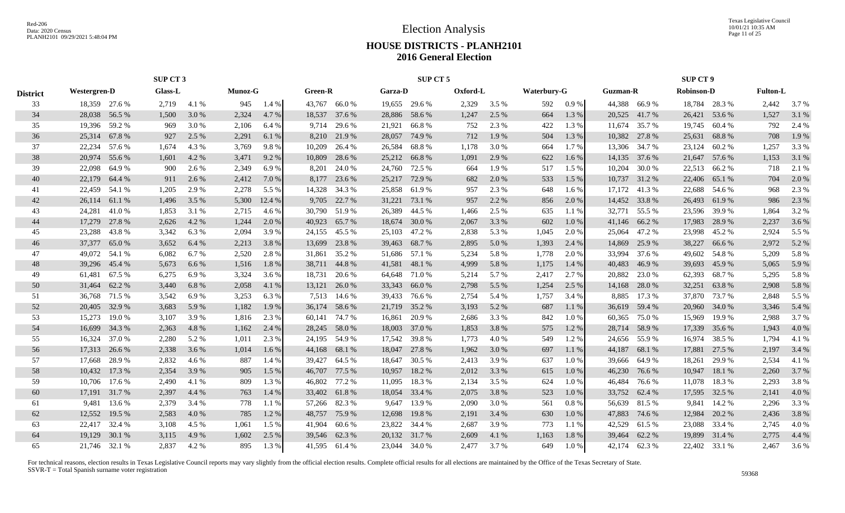Texas Legislative Council 10/01/21 10:35 AM Page 11 of 25

# **HOUSE DISTRICTS - PLANH2101 2016 General Election**

|                 | SUP CT 3            |        |                |       |         |        |         |               | SUP CT 5      |               |          |         |                    |       |                 | <b>SUP CT 9</b> |                   |               |                 |       |
|-----------------|---------------------|--------|----------------|-------|---------|--------|---------|---------------|---------------|---------------|----------|---------|--------------------|-------|-----------------|-----------------|-------------------|---------------|-----------------|-------|
| <b>District</b> | <b>Westergren-D</b> |        | <b>Glass-L</b> |       | Munoz-G |        | Green-R |               | Garza-D       |               | Oxford-L |         | <b>Waterbury-G</b> |       | <b>Guzman-R</b> |                 | <b>Robinson-D</b> |               | <b>Fulton-L</b> |       |
| 33              | 18,359 27.6 %       |        | 2,719          | 4.1 % | 945     | 1.4 %  |         | 43,767 66.0 % |               | 19,655 29.6 % | 2,329    | $3.5\%$ | 592                | 0.9 % |                 | 44.388 66.9 %   |                   | 18,784 28.3 % | 2,442           | 3.7 % |
| 34              | 28,038              | 56.5 % | 1,500          | 3.0 % | 2,324   | 4.7 %  | 18,537  | 37.6 %        | 28,886        | 58.6%         | 1,247    | 2.5 %   | 664                | 1.3 % | 20,525          | 41.7%           | 26,421            | 53.6 %        | 1,527           | 3.1 % |
| 35              | 19,396              | 59.2 % | 969            | 3.0 % | 2,106   | 6.4 %  | 9,714   | 29.6 %        | 21,921        | 66.8%         | 752      | 2.3 %   | 422                | 1.3%  | 11,674          | 35.7 %          | 19,745            | 60.4 %        | 792             | 2.4 % |
| 36              | 25,314              | 67.8%  | 927            | 2.5 % | 2,291   | 6.1 %  | 8,210   | 21.9 %        | 28,057        | 74.9 %        | 712      | 1.9%    | 504                | 1.3 % | 10,382          | 27.8 %          | 25,631            | 68.8%         | 708             | 1.9%  |
| 37              | 22,234              | 57.6 % | 1,674          | 4.3%  | 3,769   | 9.8%   | 10,209  | 26.4 %        | 26,584        | 68.8%         | 1,178    | 3.0 %   | 664                | 1.7%  | 13,306          | 34.7 %          | 23,124            | 60.2%         | 1,257           | 3.3 % |
| 38              | 20,974              | 55.6%  | 1,601          | 4.2 % | 3,471   | 9.2 %  | 10,809  | 28.6 %        | 25,212        | 66.8%         | 1,091    | 2.9%    | 622                | 1.6%  | 14,135          | 37.6 %          | 21,647            | 57.6 %        | 1,153           | 3.1 % |
| 39              | 22,098              | 64.9%  | 900            | 2.6 % | 2,349   | 6.9%   | 8,201   | 24.0 %        | 24,760        | 72.5 %        | 664      | 1.9%    | 517                | 1.5 % | 10,204          | 30.0%           | 22,513            | 66.2%         | 718             | 2.1 % |
| 40              | 22,179              | 64.4 % | 911            | 2.6 % | 2,412   | 7.0 %  | 8,177   | 23.6 %        | 25,217        | 72.9 %        | 682      | 2.0 %   | 533                | 1.5 % | 10,737          | 31.2 %          | 22,406            | 65.1 %        | 704             | 2.0 % |
| 41              | 22,459              | 54.1 % | 1,205          | 2.9 % | 2,278   | 5.5 %  | 14,328  | 34.3 %        | 25,858        | 61.9%         | 957      | 2.3 %   | 648                | 1.6 % | 17,172          | 41.3%           | 22,688            | 54.6 %        | 968             | 2.3 % |
| 42              | 26,114              | 61.1 % | 1,496          | 3.5 % | 5,300   | 12.4 % | 9,705   | 22.7 %        | 31,221        | 73.1 %        | 957      | 2.2 %   | 856                | 2.0 % | 14,452          | 33.8%           | 26,493            | 61.9%         | 986             | 2.3 % |
| 43              | 24,281              | 41.0%  | 1,853          | 3.1 % | 2,715   | 4.6 %  |         | 30,790 51.9 % | 26,389        | 44.5 %        | 1,466    | 2.5 %   | 635                | 1.1 % | 32,771          | 55.5 %          | 23,596            | 39.9 %        | 1,864           | 3.2%  |
| 44              | 17,279              | 27.8 % | 2,626          | 4.2 % | 1,244   | 2.0 %  | 40,923  | 65.7 %        | 18,674        | 30.0 %        | 2,067    | 3.3 %   | 602                | 1.0%  | 41,146          | 66.2%           | 17,983            | 28.9%         | 2,237           | 3.6 % |
| 45              | 23,288              | 43.8%  | 3,342          | 6.3%  | 2,094   | 3.9%   | 24,155  | 45.5 %        | 25,103        | 47.2 %        | 2,838    | 5.3 %   | 1,045              | 2.0 % | 25,064          | 47.2 %          | 23,998            | 45.2 %        | 2,924           | 5.5 % |
| 46              | 37,377              | 65.0%  | 3,652          | 6.4 % | 2,213   | 3.8 %  | 13,699  | 23.8 %        | 39,463        | 68.7 %        | 2,895    | 5.0%    | 1,393              | 2.4 % | 14,869          | 25.9%           | 38,227            | 66.6 %        | 2,972           | 5.2 % |
| 47              | 49,072              | 54.1 % | 6,082          | 6.7 % | 2,520   | 2.8 %  | 31,861  | 35.2 %        | 51,686 57.1 % |               | 5,234    | 5.8%    | 1,778              | 2.0%  | 33,994          | 37.6 %          | 49,602            | 54.8 %        | 5,209           | 5.8%  |
| 48              | 39,296              | 45.4 % | 5,673          | 6.6 % | 1,516   | 1.8%   | 38,711  | 44.8%         | 41,581        | 48.1 %        | 4,999    | 5.8 %   | 1,175              | 1.4 % | 40,483          | 46.9%           | 39,693            | 45.9%         | 5,065           | 5.9%  |
| 49              | 61,481              | 67.5 % | 6,275          | 6.9%  | 3,324   | 3.6 %  | 18,731  | 20.6 %        | 64,648        | 71.0 %        | 5,214    | 5.7 %   | 2,417              | 2.7%  | 20,882          | 23.0 %          | 62,393            | 68.7%         | 5,295           | 5.8 % |
| 50              | 31,464              | 62.2 % | 3,440          | 6.8%  | 2,058   | 4.1 %  | 13,121  | 26.0 %        | 33,343        | 66.0%         | 2,798    | 5.5 %   | 1,254              | 2.5 % | 14,168          | 28.0%           | 32,251            | 63.8%         | 2,908           | 5.8 % |
| 51              | 36,768              | 71.5 % | 3,542          | 6.9%  | 3,253   | 6.3 %  | 7,513   | 14.6 %        | 39,433        | 76.6 %        | 2,754    | 5.4 %   | 1,757              | 3.4 % | 8,885           | 17.3 %          | 37,870            | 73.7 %        | 2,848           | 5.5 % |
| 52              | 20,405              | 32.9 % | 3,683          | 5.9 % | 1,182   | 1.9 %  | 36,174  | 58.6 %        | 21,719        | 35.2 %        | 3,193    | 5.2 %   | 687                | 1.1 % | 36,619          | 59.4 %          | 20,960            | 34.0 %        | 3,346           | 5.4 % |
| 53              | 15,273              | 19.0%  | 3,107          | 3.9 % | 1,816   | 2.3 %  | 60,141  | 74.7 %        | 16,861        | 20.9 %        | 2,686    | 3.3 %   | 842                | 1.0%  | 60,365          | 75.0%           | 15,969            | 19.9 %        | 2,988           | 3.7 % |
| 54              | 16,699              | 34.3 % | 2,363          | 4.8 % | 1,162   | 2.4 %  | 28,245  | 58.0%         | 18,003        | 37.0 %        | 1,853    | 3.8 %   | 575                | 1.2%  | 28,714          | 58.9%           | 17,339            | 35.6 %        | 1,943           | 4.0%  |
| 55              | 16,324              | 37.0 % | 2,280          | 5.2 % | 1,011   | 2.3 %  | 24,195  | 54.9 %        | 17,542        | 39.8%         | 1,773    | 4.0%    | 549                | 1.2%  | 24,656          | 55.9%           | 16,974            | 38.5 %        | 1,794           | 4.1 % |
| 56              | 17,313              | 26.6 % | 2,338          | 3.6 % | 1,014   | 1.6 %  | 44,168  | 68.1 %        | 18,047        | 27.8 %        | 1,962    | 3.0%    | 697                | 1.1 % | 44,187          | 68.1 %          | 17,881            | 27.5 %        | 2,197           | 3.4 % |
| 57              | 17,668              | 28.9%  | 2,832          | 4.6 % | 887     | 1.4 %  | 39,427  | 64.5 %        | 18,647        | 30.5 %        | 2,413    | 3.9 %   | 637                | 1.0%  | 39,666          | 64.9%           | 18,261            | 29.9%         | 2,534           | 4.1 % |
| 58              | 10,432              | 17.3 % | 2,354          | 3.9 % | 905     | 1.5 %  | 46,707  | 77.5 %        | 10,957        | 18.2 %        | 2,012    | 3.3 %   | 615                | 1.0%  | 46,230          | 76.6 %          | 10,947            | 18.1 %        | 2,260           | 3.7 % |
| 59              | 10,706              | 17.6 % | 2,490          | 4.1 % | 809     | 1.3 %  | 46,802  | 77.2 %        | 11,095        | 18.3%         | 2,134    | 3.5 %   | 624                | 1.0%  | 46,484          | 76.6%           | 11,078            | 18.3 %        | 2,293           | 3.8%  |
| 60              | 17,191              | 31.7 % | 2,397          | 4.4 % | 763     | 1.4 %  | 33,402  | 61.8%         | 18,054        | 33.4 %        | 2,075    | 3.8 %   | 523                | 1.0%  | 33,752          | 62.4 %          | 17,595            | 32.5 %        | 2,141           | 4.0 % |
| 61              | 9,481               | 13.6 % | 2,379          | 3.4 % | 778     | 1.1 %  |         | 57,266 82.3 % | 9,647         | 13.9 %        | 2,090    | 3.0%    | 561                | 0.8%  | 56,639          | 81.5 %          | 9,841             | 14.2 %        | 2,296           | 3.3 % |
| 62              | 12,552              | 19.5 % | 2,583          | 4.0 % | 785     | 1.2%   | 48,757  | 75.9 %        | 12,698        | 19.8%         | 2,191    | 3.4 %   | 630                | 1.0%  | 47,883          | 74.6 %          | 12,984            | 20.2 %        | 2,436           | 3.8 % |
| 63              | 22,417              | 32.4 % | 3,108          | 4.5 % | 1,061   | 1.5 %  | 41,904  | 60.6 %        | 23,822        | 34.4 %        | 2,687    | 3.9%    | 773                | 1.1 % | 42,529          | 61.5%           | 23,088            | 33.4 %        | 2,745           | 4.0%  |
| 64              | 19,129              | 30.1 % | 3,115          | 4.9 % | 1,602   | 2.5 %  | 39,546  | 62.3 %        | 20,132        | 31.7 %        | 2,609    | 4.1 %   | 1,163              | 1.8%  | 39,464          | 62.2 %          | 19,899            | 31.4 %        | 2,775           | 4.4 % |
| 65              | 21,746 32.1 %       |        | 2,837          | 4.2 % | 895     | 1.3 %  |         | 41,595 61.4 % | 23,044        | 34.0 %        | 2,477    | 3.7 %   | 649                | 1.0%  | 42,174          | 62.3 %          |                   | 22,402 33.1 % | 2,467           | 3.6 % |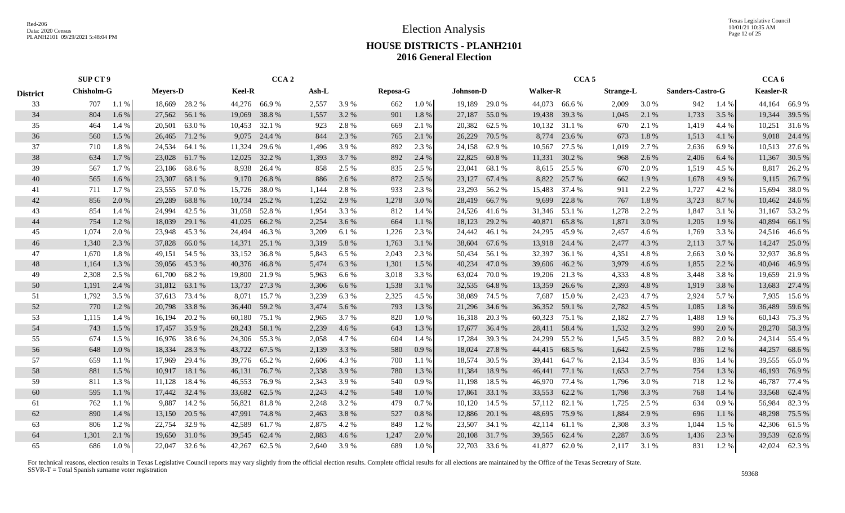Election Analysis

Texas Legislative Council 10/01/21 10:35 AM Page 12 of 25

### **HOUSE DISTRICTS - PLANH2101 2016 General Election**

|                 | SUP CT 9          |         |                 |               |               | CCA <sub>2</sub> |       |       |                 |         |                  |        |                 | CCA <sub>5</sub> |                  |       |                  |       | CCA <sub>6</sub> |               |
|-----------------|-------------------|---------|-----------------|---------------|---------------|------------------|-------|-------|-----------------|---------|------------------|--------|-----------------|------------------|------------------|-------|------------------|-------|------------------|---------------|
| <b>District</b> | <b>Chisholm-G</b> |         | <b>Mevers-D</b> |               | <b>Keel-R</b> |                  | Ash-L |       | <b>Reposa-G</b> |         | <b>Johnson-D</b> |        | <b>Walker-R</b> |                  | <b>Strange-L</b> |       | Sanders-Castro-G |       | <b>Keasler-R</b> |               |
| 33              | 707               | 1.1%    |                 | 18,669 28.2 % |               | 44,276 66.9 %    | 2,557 | 3.9%  | 662             | 1.0%    | 19,189           | 29.0 % |                 | 44,073 66.6 %    | 2,009            | 3.0%  | 942              | 1.4 % |                  | 44,164 66.9 % |
| 34              | 804               | 1.6%    | 27,562          | 56.1 %        | 19,069        | 38.8%            | 1,557 | 3.2 % | 901             | 1.8%    | 27,187           | 55.0%  | 19,438          | 39.3 %           | 1,045            | 2.1 % | 1,733            | 3.5 % | 19,344           | 39.5 %        |
| 35              | 464               | 1.4 %   | 20,501          | 63.0%         | 10,453        | 32.1 %           | 923   | 2.8%  | 669             | 2.1 %   | 20,382           | 62.5 % | 10,132          | 31.1 %           | 670              | 2.1 % | 1,419            | 4.4 % | 10,251           | 31.6 %        |
| 36              | 560               | $1.5\%$ | 26,465          | 71.2 %        | 9,075         | 24.4 %           | 844   | 2.3 % | 765             | 2.1 %   | 26,229           | 70.5 % | 8,774           | 23.6 %           | 673              | 1.8%  | 1,513            | 4.1 % | 9,018            | 24.4 %        |
| 37              | 710               | 1.8%    | 24,534          | 64.1 %        | 11,324        | 29.6 %           | 1,496 | 3.9%  | 892             | 2.3 %   | 24,158           | 62.9%  | 10,567          | 27.5 %           | 1,019            | 2.7 % | 2,636            | 6.9%  | 10,513           | 27.6 %        |
| 38              | 634               | 1.7%    | 23,028          | 61.7 %        | 12,025        | 32.2 %           | 1,393 | 3.7 % | 892             | 2.4 %   | 22,825           | 60.8%  | 11,331          | 30.2 %           | 968              | 2.6 % | 2,406            | 6.4 % | 11,367           | 30.5 %        |
| 39              | 567               | 1.7%    | 23,186          | 68.6 %        | 8,938         | 26.4 %           | 858   | 2.5 % | 835             | 2.5 %   | 23,041           | 68.1 % | 8,615           | 25.5 %           | 670              | 2.0 % | 1,519            | 4.5 % | 8,817            | 26.2 %        |
| 40              | 565               | 1.6 %   | 23,307          | 68.1 %        | 9,170         | 26.8%            | 886   | 2.6 % | 872             | 2.5 %   | 23,127           | 67.4 % | 8,822           | 25.7 %           | 662              | 1.9%  | 1,678            | 4.9 % |                  | 9,115 26.7 %  |
| 41              | 711               | 1.7 %   | 23,555          | 57.0 %        | 15,726        | 38.0%            | 1,144 | 2.8%  | 933             | 2.3 %   | 23,293           | 56.2 % | 15,483          | 37.4 %           | 911              | 2.2 % | 1,727            | 4.2 % | 15,694           | 38.0%         |
| 42              | 856               | 2.0 %   | 29,289          | 68.8%         | 10,734        | 25.2 %           | 1,252 | 2.9 % | 1,278           | 3.0 %   | 28,419           | 66.7%  | 9,699           | 22.8%            | 767              | 1.8%  | 3,723            | 8.7 % | 10,462           | 24.6 %        |
| 43              | 854               | 1.4 %   | 24,994          | 42.5 %        | 31,058        | 52.8%            | 1,954 | 3.3 % | 812             | 1.4 %   | 24,526           | 41.6 % | 31,346          | 53.1 %           | 1,278            | 2.2 % | 1,847            | 3.1 % | 31,167           | 53.2 %        |
| 44              | 754               | 1.2%    | 18,039          | 29.1 %        | 41,025        | 66.2%            | 2,254 | 3.6 % | 664             | 1.1 %   | 18,123           | 29.2 % | 40,871          | 65.8%            | 1,871            | 3.0 % | 1,205            | 1.9 % | 40,894           | 66.1 %        |
| 45              | 1,074             | 2.0 %   | 23,948          | 45.3 %        | 24,494        | 46.3%            | 3,209 | 6.1 % | 1,226           | 2.3 %   | 24,442           | 46.1 % | 24,295          | 45.9%            | 2,457            | 4.6 % | 1,769            | 3.3 % |                  | 24,516 46.6 % |
| 46              | 1,340             | 2.3 %   | 37,828          | 66.0%         | 14,371        | 25.1 %           | 3,319 | 5.8 % | 1,763           | 3.1 %   | 38,604           | 67.6 % | 13,918          | 24.4 %           | 2,477            | 4.3 % | 2,113            | 3.7 % | 14,247           | 25.0 %        |
| 47              | 1,670             | 1.8%    | 49,151          | 54.5 %        | 33,152        | 36.8%            | 5,843 | 6.5 % | 2,043           | 2.3 %   | 50,434           | 56.1 % | 32,397          | 36.1 %           | 4,351            | 4.8%  | 2,663            | 3.0 % | 32,937           | 36.8%         |
| 48              | 1,164             | 1.3%    | 39,056          | 45.3 %        |               | 40,376 46.8 %    | 5,474 | 6.3 % | 1,301           | 1.5 %   | 40,234           | 47.0 % | 39,606          | 46.2 %           | 3,979            | 4.6 % | 1,855            | 2.2 % | 40,046           | 46.9%         |
| 49              | 2,308             | 2.5 %   | 61,700          | 68.2 %        | 19,800        | 21.9 %           | 5,963 | 6.6 % | 3,018           | 3.3 %   | 63,024           | 70.0 % | 19,206          | 21.3 %           | 4,333            | 4.8%  | 3,448            | 3.8%  | 19,659           | 21.9%         |
| 50              | 1,191             | 2.4 %   | 31,812          | 63.1 %        | 13,737        | 27.3 %           | 3,306 | 6.6 % | 1,538           | 3.1 %   | 32,535           | 64.8%  | 13,359          | 26.6 %           | 2,393            | 4.8 % | 1,919            | 3.8 % | 13,683           | 27.4 %        |
| 51              | 1,792             | 3.5 %   | 37,613          | 73.4 %        | 8,071         | 15.7 %           | 3,239 | 6.3%  | 2,325           | 4.5 %   | 38,089           | 74.5 % | 7,687           | 15.0%            | 2,423            | 4.7 % | 2,924            | 5.7 % | 7,935            | 15.6 %        |
| 52              | 770               | 1.2%    | 20,798          | 33.8%         | 36,440        | 59.2 %           | 3,474 | 5.6 % | 793             | 1.3 %   | 21,296           | 34.6 % | 36,352          | 59.1 %           | 2,782            | 4.5 % | 1,085            | 1.8%  | 36,489           | 59.6 %        |
| 53              | 1,115             | 1.4 %   | 16,194          | 20.2 %        | 60,180        | 75.1 %           | 2,965 | 3.7 % | 820             | 1.0%    | 16,318           | 20.3 % | 60,323          | 75.1 %           | 2,182            | 2.7 % | 1,488            | 1.9%  | 60,143           | 75.3 %        |
| 54              | 743               | 1.5 %   | 17,457          | 35.9%         | 28,243        | 58.1 %           | 2,239 | 4.6 % | 643             | 1.3%    | 17,677           | 36.4 % | 28,411          | 58.4 %           | 1,532            | 3.2 % | 990              | 2.0 % | 28,270           | 58.3%         |
| 55              | 674               | 1.5 %   | 16,976          | 38.6 %        | 24,306        | 55.3 %           | 2,058 | 4.7%  | 604             | 1.4 %   | 17,284           | 39.3 % | 24,299          | 55.2 %           | 1,545            | 3.5 % | 882              | 2.0 % | 24,314           | 55.4 %        |
| 56              | 648               | 1.0%    | 18,334          | 28.3 %        | 43,722        | 67.5 %           | 2,139 | 3.3 % | 580             | 0.9%    | 18,024           | 27.8 % | 44,415          | 68.5 %           | 1,642            | 2.5 % | 786              | 1.2 % | 44,257           | 68.6 %        |
| 57              | 659               | 1.1 %   | 17,969          | 29.4 %        | 39,776        | 65.2 %           | 2,606 | 4.3 % | 700             | 1.1 %   | 18,574           | 30.5 % | 39,441          | 64.7%            | 2,134            | 3.5 % | 836              | 1.4 % | 39,555           | 65.0%         |
| 58              | 881               | 1.5 %   | 10,917          | 18.1 %        | 46,131        | 76.7%            | 2,338 | 3.9%  | 780             | 1.3 %   | 11,384           | 18.9 % | 46,441          | 77.1 %           | 1,653            | 2.7 % | 754              | 1.3 % | 46,193           | 76.9 %        |
| 59              | 811               | 1.3 %   | 11,128          | 18.4 %        | 46,553        | 76.9%            | 2,343 | 3.9%  | 540             | 0.9%    | 11,198           | 18.5 % | 46,970          | 77.4 %           | 1,796            | 3.0%  | 718              | 1.2%  | 46,787           | 77.4 %        |
| 60              | 595               | 1.1%    | 17,442          | 32.4 %        | 33,682        | 62.5 %           | 2,243 | 4.2 % | 548             | 1.0%    | 17,861           | 33.1 % | 33,553          | 62.2 %           | 1,798            | 3.3 % | 768              | 1.4 % | 33,568           | 62.4 %        |
| 61              | 762               | 1.1 %   | 9,887           | 14.2 %        | 56,821        | 81.8%            | 2,248 | 3.2 % | 479             | 0.7%    | 10,120           | 14.5 % |                 | 57,112 82.1 %    | 1,725            | 2.5 % | 634              | 0.9%  | 56,984           | 82.3 %        |
| 62              | 890               | 1.4 %   | 13,150          | 20.5 %        | 47,991        | 74.8%            | 2,463 | 3.8%  | 527             | 0.8%    | 12,886           | 20.1 % | 48,695          | 75.9 %           | 1,884            | 2.9%  | 696              | 1.1%  | 48,298           | 75.5 %        |
| 63              | 806               | 1.2%    | 22,754          | 32.9 %        | 42,589        | 61.7%            | 2,875 | 4.2 % | 849             | 1.2 %   | 23,507           | 34.1 % | 42,114          | 61.1 %           | 2,308            | 3.3 % | 1,044            | 1.5 % |                  | 42,306 61.5 % |
| 64              | 1,301             | 2.1 %   | 19,650          | 31.0 %        | 39,545        | 62.4 %           | 2,883 | 4.6 % | 1,247           | 2.0 %   | 20,108           | 31.7 % | 39,565          | 62.4 %           | 2,287            | 3.6 % | 1,436            | 2.3 % | 39,539           | 62.6 %        |
| 65              | 686               | $1.0\%$ | 22,047          | 32.6 %        | 42,267        | 62.5 %           | 2,640 | 3.9 % | 689             | $1.0\%$ | 22,703           | 33.6 % | 41,877          | 62.0%            | 2,117            | 3.1 % | 831              | 1.2%  | 42,024           | 62.3%         |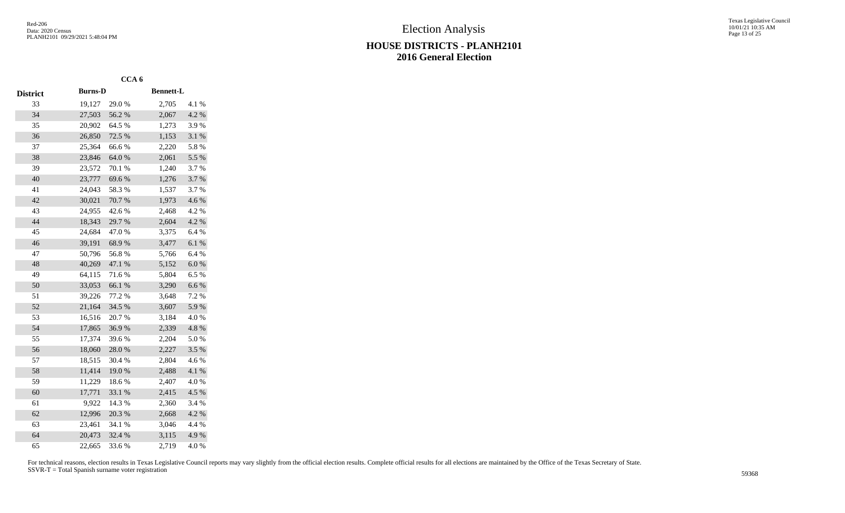|                 |                | CCA <sub>6</sub> |                  |           |
|-----------------|----------------|------------------|------------------|-----------|
| <b>District</b> | <b>Burns-D</b> |                  | <b>Bennett-L</b> |           |
| 33              | 19,127         | 29.0 %           | 2,705            | 4.1 %     |
| 34              | 27,503         | 56.2%            | 2,067            | 4.2 %     |
| 35              | 20,902         | 64.5 %           | 1,273            | 3.9%      |
| 36              | 26,850         | 72.5 %           | 1,153            | 3.1 %     |
| 37              | 25,364         | 66.6%            | 2,220            | 5.8 %     |
| 38              | 23,846         | 64.0%            | 2,061            | 5.5 %     |
| 39              | 23,572         | 70.1 %           | 1,240            | 3.7%      |
| 40              | 23,777         | 69.6%            | 1,276            | 3.7%      |
| 41              | 24,043         | 58.3%            | 1,537            | 3.7 %     |
| 42              | 30,021         | 70.7%            | 1,973            | 4.6 %     |
| 43              | 24,955         | 42.6%            | 2,468            | 4.2 %     |
| 44              | 18,343         | 29.7%            | 2,604            | 4.2 %     |
| 45              | 24,684         | 47.0%            | 3,375            | 6.4%      |
| 46              | 39,191         | 68.9%            | 3,477            | 6.1%      |
| 47              | 50,796         | 56.8%            | 5,766            | 6.4%      |
| 48              | 40,269         | 47.1 %           | 5,152            | 6.0 %     |
| 49              | 64,115         | 71.6%            | 5,804            | 6.5%      |
| 50              | 33,053         | 66.1%            | 3,290            | $6.6\ \%$ |
| 51              | 39,226         | 77.2 %           | 3,648            | 7.2 %     |
| 52              | 21,164         | 34.5 %           | 3,607            | 5.9%      |
| 53              | 16,516         | 20.7%            | 3,184            | 4.0%      |
| 54              | 17,865         | 36.9%            | 2,339            | 4.8 %     |
| 55              | 17,374         | 39.6%            | 2,204            | 5.0%      |
| 56              | 18,060         | 28.0%            | 2,227            | 3.5%      |
| 57              | 18,515         | 30.4 %           | 2,804            | 4.6 %     |
| 58              | 11,414         | 19.0%            | 2,488            | 4.1 %     |
| 59              | 11,229         | 18.6%            | 2,407            | 4.0%      |
| 60              | 17,771         | 33.1 %           | 2,415            | 4.5 %     |
| 61              | 9,922          | 14.3 %           | 2,360            | 3.4 %     |
| 62              | 12,996         | 20.3 %           | 2,668            | 4.2 %     |
| 63              | 23,461         | 34.1 %           | 3,046            | 4.4 %     |
| 64              | 20,473         | 32.4 %           | 3,115            | 4.9%      |
| 65              | 22,665         | 33.6 %           | 2,719            | 4.0%      |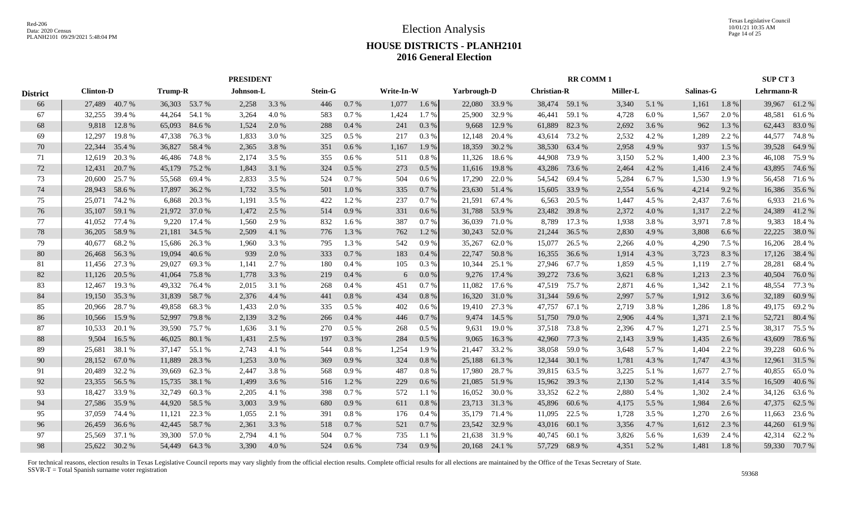Texas Legislative Council 10/01/21 10:35 AM Page 14 of 25

# **HOUSE DISTRICTS - PLANH2101 2016 General Election**

|                 |                  |        |                |               | <b>PRESIDENT</b> |       |                |         |            |         |               |               |                    | <b>RR COMM1</b> |          |       |           |       | SUP CT 3   |               |
|-----------------|------------------|--------|----------------|---------------|------------------|-------|----------------|---------|------------|---------|---------------|---------------|--------------------|-----------------|----------|-------|-----------|-------|------------|---------------|
| <b>District</b> | <b>Clinton-D</b> |        | <b>Trump-R</b> |               | Johnson-L        |       | <b>Stein-G</b> |         | Write-In-W |         | Yarbrough-D   |               | <b>Christian-R</b> |                 | Miller-L |       | Salinas-G |       | Lehrmann-R |               |
| 66              | 27,489 40.7 %    |        | 36,303 53.7 %  |               | 2,258            | 3.3 % | 446            | 0.7%    | 1,077      | $1.6\%$ |               | 22,080 33.9 % |                    | 38,474 59.1 %   | 3,340    | 5.1 % | 1,161     | 1.8%  |            | 39,967 61.2%  |
| 67              | 32,255           | 39.4 % | 44,264         | 54.1 %        | 3,264            | 4.0%  | 583            | 0.7%    | 1,424      | 1.7%    | 25,900        | 32.9 %        | 46,441             | 59.1 %          | 4,728    | 6.0%  | 1,567     | 2.0 % | 48,581     | 61.6%         |
| 68              | 9.818            | 12.8 % | 65,093         | 84.6 %        | 1,524            | 2.0 % | 288            | 0.4%    | 241        | 0.3 %   | 9,668         | 12.9 %        | 61,889             | 82.3%           | 2,692    | 3.6 % | 962       | 1.3 % | 62,443     | 83.0%         |
| 69              | 12,297           | 19.8%  | 47,338         | 76.3 %        | 1,833            | 3.0 % | 325            | 0.5 %   | 217        | 0.3 %   | 12,148        | 20.4 %        |                    | 43,614 73.2 %   | 2,532    | 4.2%  | 1,289     | 2.2 % | 44,577     | 74.8%         |
| 70              | 22,344           | 35.4 % | 36,827         | 58.4 %        | 2,365            | 3.8%  | 351            | 0.6 %   | 1,167      | 1.9 %   | 18,359        | 30.2 %        | 38,530             | 63.4 %          | 2,958    | 4.9 % | 937       | 1.5 % | 39,528     | 64.9%         |
| 71              | 12,619           | 20.3 % | 46,486         | 74.8%         | 2,174            | 3.5 % | 355            | 0.6 %   | 511        | 0.8 %   | 11,326        | 18.6%         | 44,908             | 73.9 %          | 3,150    | 5.2 % | 1,400     | 2.3 % | 46,108     | 75.9%         |
| 72              | 12,431           | 20.7 % | 45,179         | 75.2 %        | 1,843            | 3.1 % | 324            | $0.5\%$ | 273        | 0.5%    | 11,616        | 19.8%         | 43,286             | 73.6 %          | 2,464    | 4.2 % | 1,416     | 2.4 % | 43,895     | 74.6 %        |
| 73              | 20,600           | 25.7 % | 55,568         | 69.4 %        | 2,833            | 3.5 % | 524            | 0.7%    | 504        | $0.6\%$ | 17,290        | 22.0 %        | 54,542             | 69.4 %          | 5,284    | 6.7%  | 1,530     | 1.9%  |            | 56,458 71.6 % |
| 74              | 28,943           | 58.6%  | 17,897         | 36.2 %        | 1,732            | 3.5 % | 501            | 1.0%    | 335        | 0.7%    |               | 23,630 51.4 % | 15,605             | 33.9 %          | 2,554    | 5.6 % | 4,214     | 9.2 % |            | 16,386 35.6 % |
| 75              | 25,071           | 74.2 % | 6,868          | 20.3%         | 1,191            | 3.5 % | 422            | 1.2%    | 237        | 0.7 %   | 21,591        | 67.4 %        | 6,563              | 20.5 %          | 1,447    | 4.5 % | 2,437     | 7.6 % | 6,933      | 21.6 %        |
| 76              | 35,107           | 59.1 % | 21,972         | 37.0 %        | 1,472            | 2.5 % | 514            | 0.9%    | 331        | 0.6 %   | 31,788        | 53.9%         | 23,482             | 39.8%           | 2,372    | 4.0 % | 1,317     | 2.2 % | 24,389     | 41.2%         |
| 77              | 41,052           | 77.4 % | 9,220          | 17.4 %        | 1,560            | 2.9 % | 832            | 1.6 %   | 387        | 0.7%    | 36,039        | 71.0 %        | 8,789              | 17.3 %          | 1,938    | 3.8%  | 3,971     | 7.8%  | 9,383      | 18.4 %        |
| 78              | 36,205           | 58.9%  | 21,181         | 34.5 %        | 2,509            | 4.1 % | 776            | 1.3%    | 762        | 1.2%    | 30,243        | 52.0 %        | 21,244             | 36.5 %          | 2,830    | 4.9%  | 3,808     | 6.6%  | 22,225     | 38.0%         |
| 79              | 40.677           | 68.2%  | 15,686         | 26.3 %        | 1,960            | 3.3 % | 795            | 1.3%    | 542        | 0.9%    | 35,267        | 62.0%         | 15,077             | 26.5 %          | 2,266    | 4.0%  | 4,290     | 7.5 % | 16,206     | 28.4 %        |
| 80              | 26,468 56.3 %    |        | 19,094         | 40.6 %        | 939              | 2.0 % | 333            | 0.7%    | 183        | 0.4%    |               | 22,747 50.8 % | 16,355             | 36.6 %          | 1,914    | 4.3 % | 3,723     | 8.3%  |            | 17,126 38.4 % |
| 81              | 11,456 27.3 %    |        | 29,027         | 69.3%         | 1,141            | 2.7 % | 180            | 0.4%    | 105        | $0.3\%$ | 10,344        | 25.1 %        |                    | 27,946 67.7%    | 1,859    | 4.5 % | 1,119     | 2.7 % | 28,281     | 68.4%         |
| 82              | 11,126 20.5 %    |        | 41,064         | 75.8%         | 1,778            | 3.3 % | 219            | 0.4%    | 6          | $0.0\%$ |               | 9,276 17.4 %  |                    | 39,272 73.6 %   | 3,621    | 6.8%  | 1,213     | 2.3 % | 40,504     | 76.0%         |
| 83              | 12,467           | 19.3 % | 49,332         | 76.4 %        | 2,015            | 3.1 % | 268            | 0.4%    | 451        | 0.7%    | 11,082        | 17.6 %        |                    | 47,519 75.7 %   | 2,871    | 4.6 % | 1,342     | 2.1 % | 48,554     | 77.3 %        |
| 84              | 19,150           | 35.3 % | 31,839         | 58.7 %        | 2,376            | 4.4 % | 441            | 0.8%    | 434        | 0.8%    | 16,320        | 31.0 %        | 31,344             | 59.6 %          | 2,997    | 5.7 % | 1,912     | 3.6 % | 32,189     | 60.9%         |
| 85              | 20,966           | 28.7 % | 49,858         | 68.3%         | 1,433            | 2.0 % | 335            | $0.5\%$ | 402        | $0.6\%$ | 19,410        | 27.3 %        | 47,757             | 67.1 %          | 2,719    | 3.8%  | 1,286     | 1.8%  | 49,175     | 69.2%         |
| 86              | 10,566           | 15.9%  | 52,997         | 79.8%         | 2,139            | 3.2 % | 266            | 0.4%    | 446        | 0.7%    | 9,474         | 14.5 %        | 51,750             | 79.0 %          | 2,906    | 4.4 % | 1,371     | 2.1 % | 52,721     | 80.4%         |
| 87              | 10,533           | 20.1 % | 39,590         | 75.7%         | 1,636            | 3.1 % | 270            | 0.5%    | 268        | 0.5%    | 9,631         | 19.0%         |                    | 37,518 73.8%    | 2,396    | 4.7%  | 1,271     | 2.5 % | 38,317     | 75.5 %        |
| 88              | 9,504            | 16.5 % | 46,025         | 80.1 %        | 1,431            | 2.5 % | 197            | 0.3 %   | 284        | $0.5\%$ | 9,065         | 16.3%         | 42,960             | 77.3 %          | 2,143    | 3.9 % | 1,435     | 2.6 % | 43,609     | 78.6 %        |
| 89              | 25,681           | 38.1 % | 37,147         | 55.1 %        | 2,743            | 4.1 % | 544            | 0.8%    | 1,254      | 1.9%    | 21,447        | 33.2 %        | 38,058             | 59.0 %          | 3,648    | 5.7 % | 1,404     | 2.2 % | 39,228     | 60.6%         |
| 90              | 28,152           | 67.0 % | 11,889         | 28.3 %        | 1,253            | 3.0 % | 369            | 0.9%    | 324        | 0.8 %   | 25,188        | 61.3%         | 12,344             | 30.1 %          | 1,781    | 4.3 % | 1,747     | 4.3 % | 12,961     | 31.5 %        |
| 91              | 20,489           | 32.2 % | 39,669         | 62.3%         | 2,447            | 3.8%  | 568            | 0.9%    | 487        | 0.8%    | 17,980        | 28.7%         |                    | 39,815 63.5 %   | 3,225    | 5.1 % | 1,677     | 2.7 % | 40,855     | 65.0%         |
| 92              | 23,355           | 56.5 % | 15,735         | 38.1 %        | 1,499            | 3.6 % | 516            | 1.2%    | 229        | 0.6%    | 21,085        | 51.9%         | 15,962             | 39.3 %          | 2,130    | 5.2 % | 1,414     | 3.5 % | 16,509     | 40.6 %        |
| 93              | 18,427           | 33.9%  | 32,749         | 60.3%         | 2,205            | 4.1 % | 398            | 0.7%    | 572        | 1.1 %   | 16,052        | 30.0%         | 33,352             | 62.2%           | 2,880    | 5.4 % | 1,302     | 2.4 % | 34,126     | 63.6%         |
| 94              | 27,586           | 35.9 % | 44,920         | 58.5 %        | 3,003            | 3.9 % | 680            | 0.9%    | 611        | $0.8\%$ | 23,713        | 31.3 %        | 45,896             | 60.6 %          | 4,175    | 5.5 % | 1,984     | 2.6 % | 47,375     | 62.5 %        |
| 95              | 37,059 74.4 %    |        | 11,121         | 22.3 %        | 1,055            | 2.1 % | 391            | 0.8 %   | 176        | $0.4\%$ | 35,179        | 71.4 %        | 11,095             | 22.5 %          | 1,728    | 3.5 % | 1,270     | 2.6 % | 11,663     | 23.6 %        |
| 96              | 26,459 36.6 %    |        | 42,445         | 58.7 %        | 2,361            | 3.3 % | 518            | 0.7%    | 521        | 0.7 %   | 23,542 32.9 % |               |                    | 43,016 60.1 %   | 3,356    | 4.7 % | 1,612     | 2.3 % | 44,260     | 61.9%         |
| 97              | 25,569           | 37.1 % | 39,300         | 57.0 %        | 2,794            | 4.1 % | 504            | 0.7%    | 735        | 1.1%    | 21,638        | 31.9 %        | 40,745             | 60.1%           | 3,826    | 5.6 % | 1,639     | 2.4 % | 42,314     | 62.2 %        |
| 98              | 25,622 30.2 %    |        |                | 54,449 64.3 % | 3,390            | 4.0%  | 524            | $0.6\%$ | 734        | 0.9%    |               | 20,168 24.1 % |                    | 57,729 68.9 %   | 4,351    | 5.2 % | 1,481     | 1.8%  |            | 59,330 70.7 % |
|                 |                  |        |                |               |                  |       |                |         |            |         |               |               |                    |                 |          |       |           |       |            |               |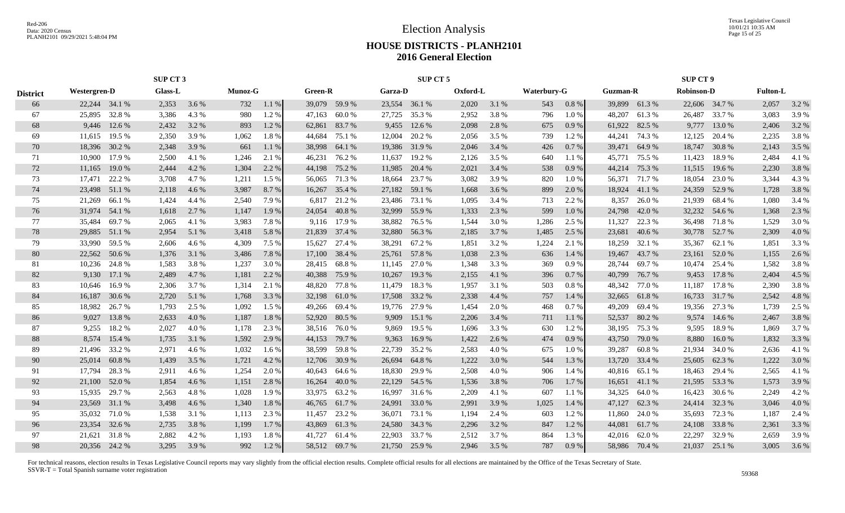Texas Legislative Council 10/01/21 10:35 AM Page 15 of 25

### **HOUSE DISTRICTS - PLANH2101 2016 General Election**

|                 |               | SUP CT 3                                                   |       |       |       |         |        |                |               | SUP CT 5      |          |       |                    |           |                 |               | <b>SUP CT 9</b>   |               |                 |       |
|-----------------|---------------|------------------------------------------------------------|-------|-------|-------|---------|--------|----------------|---------------|---------------|----------|-------|--------------------|-----------|-----------------|---------------|-------------------|---------------|-----------------|-------|
| <b>District</b> |               | <b>Glass-L</b><br>Munoz-G<br>Westergren-D<br>22,244 34.1 % |       |       |       |         |        | <b>Green-R</b> | Garza-D       |               | Oxford-L |       | <b>Waterbury-G</b> |           | <b>Guzman-R</b> |               | <b>Robinson-D</b> |               | <b>Fulton-L</b> |       |
| 66              |               |                                                            | 2,353 | 3.6 % | 732   | 1.1 %   |        | 39,079 59.9 %  | 23,554 36.1 % |               | 2,020    | 3.1 % | 543                | $0.8 \%$  | 39,899          | 61.3%         |                   | 22,606 34.7 % | 2,057           | 3.2 % |
| 67              | 25,895        | 32.8%                                                      | 3,386 | 4.3 % | 980   | 1.2%    | 47,163 | 60.0%          | 27,725        | 35.3 %        | 2,952    | 3.8%  | 796                | 1.0%      | 48,207          | 61.3%         | 26,487            | 33.7 %        | 3,083           | 3.9%  |
| 68              | 9,446         | 12.6 %                                                     | 2,432 | 3.2 % | 893   | 1.2%    | 62,861 | 83.7%          | 9,455         | 12.6 %        | 2,098    | 2.8%  | 675                | 0.9%      | 61,922          | 82.5 %        | 9,777             | 13.0 %        | 2,406           | 3.2 % |
| 69              | 11,615        | 19.5 %                                                     | 2,350 | 3.9 % | 1,062 | 1.8%    | 44,684 | 75.1 %         | 12,004        | 20.2 %        | 2,056    | 3.5 % | 739                | 1.2%      | 44,241          | 74.3 %        | 12,125            | 20.4 %        | 2,235           | 3.8%  |
| 70              | 18,396        | 30.2 %                                                     | 2,348 | 3.9%  | 661   | 1.1%    | 38,998 | 64.1 %         | 19,386        | 31.9%         | 2,046    | 3.4 % | 426                | 0.7%      | 39,471          | 64.9%         | 18,747            | 30.8%         | 2,143           | 3.5 % |
| 71              | 10,900        | 17.9 %                                                     | 2,500 | 4.1 % | 1,246 | 2.1 %   | 46,231 | 76.2 %         | 11,637        | 19.2 %        | 2,126    | 3.5 % | 640                | 1.1%      | 45,771          | 75.5 %        | 11,423            | 18.9%         | 2,484           | 4.1%  |
| 72              | 11,165        | 19.0%                                                      | 2,444 | 4.2%  | 1,304 | 2.2 %   | 44,198 | 75.2 %         | 11,985        | 20.4 %        | 2,021    | 3.4 % | 538                | $0.9\ \%$ | 44,214          | 75.3 %        | 11,515            | 19.6 %        | 2,230           | 3.8%  |
| 73              | 17,471        | 22.2 %                                                     | 3,708 | 4.7 % | 1,211 | $1.5\%$ |        | 56,065 71.3 %  | 18,664        | 23.7 %        | 3,082    | 3.9%  | 820                | 1.0 %     | 56,371          | 71.7 %        | 18,054            | 23.0 %        | 3,344           | 4.3 % |
| 74              | 23,498        | 51.1 %                                                     | 2,118 | 4.6 % | 3,987 | 8.7 %   |        | 16,267 35.4 %  | 27,182        | 59.1 %        | 1,668    | 3.6 % | 899                | 2.0%      | 18,924          | 41.1 %        | 24,359            | 52.9 %        | 1,728           | 3.8%  |
| 75              | 21,269        | 66.1%                                                      | 1,424 | 4.4 % | 2,540 | 7.9 %   | 6,817  | 21.2 %         | 23,486        | 73.1 %        | 1,095    | 3.4 % | 713                | 2.2 %     | 8,357           | 26.0%         | 21,939            | 68.4%         | 1,080           | 3.4 % |
| 76              | 31,974        | 54.1 %                                                     | 1,618 | 2.7 % | 1,147 | 1.9 %   | 24,054 | 40.8%          | 32,999        | 55.9%         | 1,333    | 2.3 % | 599                | 1.0%      | 24,798          | 42.0%         | 32,232            | 54.6 %        | 1,368           | 2.3 % |
| 77              | 35,484        | 69.7%                                                      | 2,065 | 4.1 % | 3,983 | 7.8%    | 9,116  | 17.9 %         | 38,882        | 76.5 %        | 1,544    | 3.0%  | 1,286              | 2.5 %     | 11,327          | 22.3 %        | 36,498            | 71.8 %        | 1,529           | 3.0 % |
| 78              | 29,885        | 51.1 %                                                     | 2,954 | 5.1 % | 3,418 | 5.8 %   |        | 21,839 37.4 %  | 32,880        | 56.3 %        | 2,185    | 3.7%  | 1,485              | 2.5 %     | 23,681          | 40.6 %        |                   | 30,778 52.7 % | 2,309           | 4.0 % |
| 79              | 33,990        | 59.5 %                                                     | 2,606 | 4.6 % | 4,309 | 7.5 %   | 15,627 | 27.4 %         | 38,291        | 67.2 %        | 1,851    | 3.2%  | 1,224              | 2.1 %     | 18,259          | 32.1 %        | 35,367            | 62.1 %        | 1,851           | 3.3 % |
| 80              | 22,562        | 50.6 %                                                     | 1,376 | 3.1 % | 3,486 | 7.8%    | 17,100 | 38.4 %         |               | 25,761 57.8 % | 1,038    | 2.3 % | 636                | 1.4 %     | 19,467          | 43.7%         | 23,161            | 52.0%         | 1,155           | 2.6 % |
| 81              | 10,236        | 24.8%                                                      | 1,583 | 3.8%  | 1,237 | 3.0 %   |        | 28,415 68.8%   |               | 11,145 27.0 % | 1,348    | 3.3%  | 369                | 0.9%      | 28,744          | 69.7%         | 10,474            | 25.4 %        | 1,582           | 3.8%  |
| 82              | 9,130         | 17.1 %                                                     | 2,489 | 4.7 % | 1,181 | 2.2 %   |        | 40,388 75.9 %  | 10,267        | 19.3 %        | 2,155    | 4.1 % | 396                | 0.7%      | 40,799          | 76.7 %        | 9,453             | 17.8 %        | 2,404           | 4.5 % |
| 83              | 10,646        | 16.9%                                                      | 2,306 | 3.7 % | 1,314 | 2.1 %   | 48,820 | 77.8 %         | 11,479        | 18.3 %        | 1,957    | 3.1 % | 503                | 0.8%      | 48,342          | 77.0 %        | 11,187            | 17.8 %        | 2,390           | 3.8%  |
| 84              | 16,187        | 30.6 %                                                     | 2,720 | 5.1 % | 1,768 | 3.3 %   | 32,198 | 61.0%          | 17,508        | 33.2 %        | 2,338    | 4.4 % | 757                | 1.4 %     | 32,665          | 61.8%         | 16,733            | 31.7 %        | 2,542           | 4.8%  |
| 85              | 18,982        | 26.7 %                                                     | 1,793 | 2.5 % | 1,092 | 1.5 %   |        | 49,266 69.4 %  | 19,776        | 27.9 %        | 1,454    | 2.0%  | 468                | 0.7%      | 49,209          | 69.4%         | 19,356            | 27.3 %        | 1,739           | 2.5 % |
| 86              | 9,027         | 13.8%                                                      | 2,633 | 4.0 % | 1,187 | 1.8%    |        | 52,920 80.5 %  | 9,909         | 15.1 %        | 2,206    | 3.4 % | 711                | 1.1 %     | 52,537          | 80.2%         | 9,574             | 14.6 %        | 2,467           | 3.8%  |
| 87              | 9,255         | 18.2 %                                                     | 2,027 | 4.0%  | 1,178 | 2.3 %   | 38,516 | 76.0 %         | 9,869         | 19.5 %        | 1,696    | 3.3 % | 630                | 1.2%      | 38,195          | 75.3 %        | 9,595             | 18.9%         | 1,869           | 3.7 % |
| 88              | 8,574         | 15.4 %                                                     | 1,735 | 3.1 % | 1,592 | 2.9 %   | 44,153 | 79.7 %         | 9,363         | 16.9%         | 1,422    | 2.6%  | 474                | 0.9 %     | 43,750          | 79.0%         | 8,880             | 16.0%         | 1,832           | 3.3 % |
| 89              | 21,496        | 33.2 %                                                     | 2,971 | 4.6 % | 1,032 | 1.6 %   | 38,599 | 59.8%          | 22,739        | 35.2 %        | 2,583    | 4.0%  | 675                | 1.0%      | 39,287          | 60.8%         | 21,934            | 34.0 %        | 2,636           | 4.1 % |
| 90              | 25,014        | 60.8%                                                      | 1,439 | 3.5 % | 1,721 | 4.2 %   | 12,706 | 30.9%          | 26,694        | 64.8%         | 1,222    | 3.0%  | 544                | $1.3~\%$  | 13,720          | 33.4 %        | 25,605            | 62.3 %        | 1,222           | 3.0%  |
| 91              | 17,794        | 28.3 %                                                     | 2,911 | 4.6 % | 1,254 | 2.0 %   | 40,643 | 64.6 %         | 18,830        | 29.9 %        | 2,508    | 4.0%  | 906                | 1.4 %     | 40,816          | 65.1 %        | 18,463            | 29.4 %        | 2,565           | 4.1 % |
| 92              | 21,100        | 52.0 %                                                     | 1,854 | 4.6 % | 1,151 | 2.8 %   | 16,264 | 40.0 %         | 22,129        | 54.5 %        | 1,536    | 3.8%  | 706                | 1.7%      | 16,651          | 41.1 %        | 21,595            | 53.3 %        | 1,573           | 3.9 % |
| 93              | 15,935        | 29.7 %                                                     | 2,563 | 4.8%  | 1,028 | 1.9%    | 33,975 | 63.2 %         | 16,997        | 31.6 %        | 2,209    | 4.1 % | 607                | 1.1%      | 34,325          | 64.0%         | 16,423            | 30.6 %        | 2,249           | 4.2%  |
| 94              | 23,569        | 31.1 %                                                     | 3,498 | 4.6 % | 1,340 | 1.8%    | 46,765 | 61.7 %         | 24,991        | 33.0 %        | 2,991    | 3.9%  | 1,025              | 1.4 %     | 47,127          | 62.3%         | 24,414            | 32.3 %        | 3,046           | 4.0%  |
| 95              | 35,032        | 71.0 %                                                     | 1,538 | 3.1 % | 1,113 | 2.3 %   | 11,457 | 23.2 %         | 36,071        | 73.1 %        | 1,194    | 2.4 % | 603                | 1.2%      | 11,860          | 24.0 %        | 35,693            | 72.3 %        | 1,187           | 2.4 % |
| 96              | 23,354        | 32.6 %                                                     | 2,735 | 3.8 % | 1,199 | 1.7 %   | 43,869 | 61.3%          | 24,580        | 34.3 %        | 2,296    | 3.2 % | 847                | 1.2%      | 44,081          | 61.7%         | 24,108            | 33.8%         | 2,361           | 3.3 % |
| 97              | 21,621        | 31.8%                                                      | 2,882 | 4.2 % | 1,193 | 1.8%    | 41,727 | 61.4 %         | 22,903        | 33.7 %        | 2,512    | 3.7%  | 864                | 1.3%      | 42,016          | 62.0%         | 22,297            | 32.9%         | 2,659           | 3.9%  |
| 98              | 20,356 24.2 % |                                                            | 3,295 | 3.9%  | 992   | 1.2%    |        | 58,512 69.7 %  |               | 21,750 25.9 % | 2.946    | 3.5 % | 787                | 0.9%      |                 | 58,986 70.4 % |                   | 21,037 25.1 % | 3.005           | 3.6 % |
|                 |               |                                                            |       |       |       |         |        |                |               |               |          |       |                    |           |                 |               |                   |               |                 |       |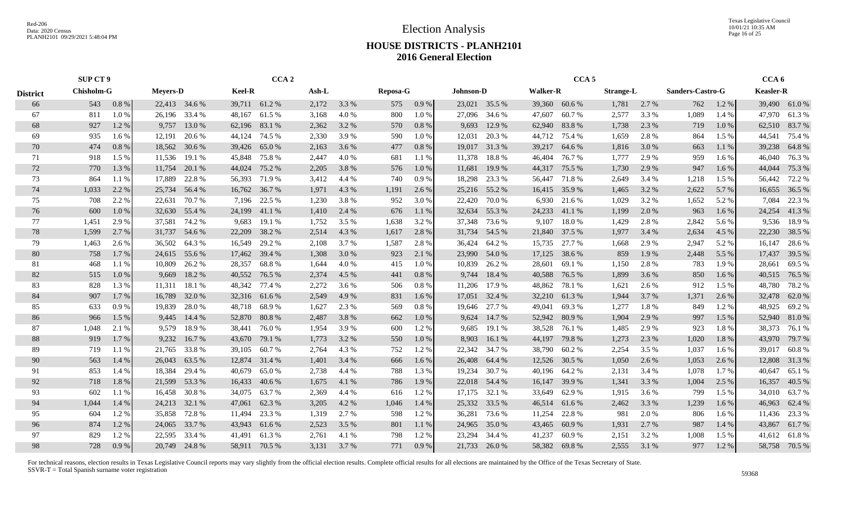Election Analysis

Texas Legislative Council 10/01/21 10:35 AM Page 16 of 25

### **HOUSE DISTRICTS - PLANH2101 2016 General Election**

|                 | SUP CT 9 |                                                                      |        |               | CCA <sub>2</sub> |               |       |       |          |       |                  |               | CCA <sub>5</sub> |               |                  |       |                  | CCA <sub>6</sub> |                  |               |
|-----------------|----------|----------------------------------------------------------------------|--------|---------------|------------------|---------------|-------|-------|----------|-------|------------------|---------------|------------------|---------------|------------------|-------|------------------|------------------|------------------|---------------|
| <b>District</b> |          | <b>Chisholm-G</b><br><b>Meyers-D</b><br>543<br>0.8%<br>22,413 34.6 % |        |               | <b>Keel-R</b>    |               | Ash-L |       | Reposa-G |       | <b>Johnson-D</b> |               | <b>Walker-R</b>  |               | <b>Strange-L</b> |       | Sanders-Castro-G |                  | <b>Keasler-R</b> |               |
| 66              |          |                                                                      |        |               |                  | 39,711 61.2 % | 2,172 | 3.3 % | 575      | 0.9%  |                  | 23,021 35.5 % |                  | 39,360 60.6%  | 1,781            | 2.7 % | 762              | 1.2%             |                  | 39,490 61.0%  |
| 67              | 811      | 1.0%                                                                 | 26,196 | 33.4 %        | 48,167           | 61.5 %        | 3,168 | 4.0%  | 800      | 1.0%  | 27,096           | 34.6 %        | 47,607           | 60.7%         | 2,577            | 3.3 % | 1,089            | 1.4 %            | 47,970           | 61.3%         |
| 68              | 927      | 1.2%                                                                 | 9,757  | 13.0 %        | 62,196           | 83.1 %        | 2,362 | 3.2 % | 570      | 0.8%  | 9,693            | 12.9 %        | 62,940           | 83.8%         | 1,738            | 2.3 % | 719              | 1.0%             |                  | 62,510 83.7 % |
| 69              | 935      | $1.6\%$                                                              | 12,191 | 20.6 %        | 44,124           | 74.5 %        | 2,330 | 3.9%  | 590      | 1.0%  | 12,031           | 20.3 %        | 44,712           | 75.4 %        | 1,659            | 2.8 % | 864              | 1.5 %            | 44,541           | 75.4 %        |
| 70              | 474      | 0.8 %                                                                | 18,562 | 30.6 %        | 39,426           | 65.0%         | 2,163 | 3.6 % | 477      | 0.8%  |                  | 19,017 31.3 % | 39,217           | 64.6 %        | 1,816            | 3.0%  | 663              | 1.1 %            | 39,238           | 64.8 %        |
| 71              | 918      | 1.5 %                                                                | 11,536 | 19.1 %        | 45,848           | 75.8%         | 2,447 | 4.0%  | 681      | 1.1 % | 11,378           | 18.8%         | 46,404           | 76.7 %        | 1,777            | 2.9%  | 959              | 1.6 %            | 46,040           | 76.3%         |
| 72              | 770      | 1.3 %                                                                | 11,754 | 20.1 %        | 44,024           | 75.2 %        | 2,205 | 3.8%  | 576      | 1.0%  | 11,681           | 19.9 %        | 44,317           | 75.5 %        | 1,730            | 2.9%  | 947              | 1.6%             | 44,044           | 75.3 %        |
| 73              | 864      | 1.1%                                                                 | 17,889 | 22.8%         | 56,393           | 71.9 %        | 3,412 | 4.4 % | 740      | 0.9%  | 18,298           | 23.3 %        | 56,447           | 71.8%         | 2,649            | 3.4 % | 1,218            | 1.5 %            |                  | 56,442 72.2 % |
| 74              | 1,033    | 2.2 %                                                                | 25,734 | 56.4 %        | 16,762           | 36.7 %        | 1,971 | 4.3 % | 1,191    | 2.6 % |                  | 25,216 55.2 % | 16,415           | 35.9%         | 1,465            | 3.2 % | 2,622            | 5.7 %            |                  | 16,655 36.5 % |
| 75              | 708      | 2.2 %                                                                | 22,631 | 70.7 %        | 7,196            | 22.5 %        | 1,230 | 3.8%  | 952      | 3.0%  | 22,420           | 70.0%         | 6,930            | 21.6 %        | 1,029            | 3.2 % | 1,652            | 5.2 %            | 7,084            | 22.3 %        |
| 76              | 600      | 1.0%                                                                 | 32,630 | 55.4 %        | 24,199           | 41.1 %        | 1,410 | 2.4 % | 676      | 1.1 % | 32,634           | 55.3 %        | 24,233           | 41.1 %        | 1,199            | 2.0 % | 963              | 1.6 %            | 24,254           | 41.3%         |
| 77              | 1,451    | 2.9 %                                                                | 37,581 | 74.2 %        | 9,683            | 19.1 %        | 1,752 | 3.5 % | 1,638    | 3.2 % | 37,348           | 73.6 %        | 9,107            | 18.0%         | 1,429            | 2.8 % | 2,842            | 5.6 %            | 9,536            | 18.9%         |
| 78              | 1,599    | 2.7 %                                                                | 31,737 | 54.6 %        | 22,209           | 38.2 %        | 2,514 | 4.3 % | 1,617    | 2.8 % | 31,734           | 54.5 %        | 21,840           | 37.5 %        | 1,977            | 3.4 % | 2,634            | 4.5 %            | 22,230           | 38.5 %        |
| 79              | 1,463    | 2.6 %                                                                |        | 36,502 64.3 % | 16,549           | 29.2 %        | 2,108 | 3.7 % | 1,587    | 2.8 % | 36,424           | 64.2 %        | 15,735           | 27.7 %        | 1,668            | 2.9 % | 2,947            | 5.2 %            | 16,147           | 28.6 %        |
| 80              | 758      | 1.7 %                                                                |        | 24,615 55.6 % | 17,462           | 39.4 %        | 1,308 | 3.0 % | 923      | 2.1 % |                  | 23,990 54.0 % | 17,125           | 38.6 %        | 859              | 1.9%  | 2,448            | 5.5 %            | 17,437           | 39.5 %        |
| 81              | 468      | 1.1%                                                                 | 10,809 | 26.2 %        | 28,357           | 68.8%         | 1,644 | 4.0 % | 415      | 1.0%  | 10,839           | 26.2 %        | 28,601           | 69.1 %        | 1,150            | 2.8%  | 783              | 1.9%             | 28,661           | 69.5 %        |
| 82              | 515      | 1.0%                                                                 | 9,669  | 18.2 %        |                  | 40,552 76.5 % | 2,374 | 4.5 % | 441      | 0.8%  | 9,744            | 18.4 %        | 40,588           | 76.5 %        | 1,899            | 3.6 % | 850              | 1.6 %            |                  | 40,515 76.5 % |
| 83              | 828      | 1.3%                                                                 | 11,311 | 18.1 %        | 48,342           | 77.4 %        | 2,272 | 3.6 % | 506      | 0.8%  | 11,206           | 17.9 %        | 48,862           | 78.1 %        | 1,621            | 2.6 % | 912              | 1.5 %            | 48,780           | 78.2 %        |
| 84              | 907      | 1.7 %                                                                | 16,789 | 32.0 %        |                  | 32,316 61.6 % | 2,549 | 4.9%  | 831      | 1.6%  | 17,051           | 32.4 %        | 32,210           | 61.3%         | 1,944            | 3.7 % | 1,371            | 2.6 %            | 32,478           | 62.0%         |
| 85              | 633      | 0.9%                                                                 | 19,839 | 28.0%         | 48,718           | 68.9%         | 1,627 | 2.3 % | 569      | 0.8%  | 19,646           | 27.7 %        | 49,041           | 69.3%         | 1,277            | 1.8%  | 849              | 1.2%             | 48,925           | 69.2%         |
| 86              | 966      | 1.5 %                                                                | 9,445  | 14.4 %        | 52,870           | 80.8%         | 2,487 | 3.8%  | 662      | 1.0%  | 9,624            | 14.7 %        | 52,942           | 80.9%         | 1,904            | 2.9 % | 997              | 1.5 %            |                  | 52,940 81.0 % |
| 87              | 1,048    | 2.1 %                                                                | 9,579  | 18.9%         | 38,441           | 76.0%         | 1,954 | 3.9%  | 600      | 1.2%  | 9,685            | 19.1 %        | 38,528           | 76.1 %        | 1,485            | 2.9%  | 923              | 1.8%             | 38,373           | 76.1 %        |
| 88              | 919      | 1.7 %                                                                | 9,232  | 16.7 %        | 43,670           | 79.1 %        | 1,773 | 3.2 % | 550      | 1.0%  | 8,903            | 16.1%         | 44,197           | 79.8%         | 1,273            | 2.3 % | 1,020            | 1.8%             | 43,970           | 79.7 %        |
| 89              | 719      | 1.1%                                                                 | 21,765 | 33.8%         | 39,105           | 60.7%         | 2,764 | 4.3 % | 752      | 1.2 % | 22,342           | 34.7 %        | 38,790           | 60.2%         | 2,254            | 3.5 % | 1,037            | 1.6 %            | 39,017           | 60.8%         |
| 90              | 563      | 1.4 %                                                                | 26,043 | 63.5 %        | 12,874           | 31.4 %        | 1,401 | 3.4 % | 666      | 1.6 % | 26,408           | 64.4 %        | 12,526           | 30.5 %        | 1,050            | 2.6 % | 1,053            | 2.6 %            | 12,808           | 31.3 %        |
| 91              | 853      | 1.4 %                                                                | 18,384 | 29.4 %        | 40,679           | 65.0%         | 2,738 | 4.4 % | 788      | 1.3 % | 19,234           | 30.7 %        | 40,196           | 64.2 %        | 2,131            | 3.4 % | 1,078            | 1.7 %            | 40,647           | 65.1 %        |
| 92              | 718      | 1.8%                                                                 | 21,599 | 53.3 %        | 16,433           | 40.6 %        | 1,675 | 4.1 % | 786      | 1.9 % | 22,018           | 54.4 %        | 16,147           | 39.9%         | 1,341            | 3.3 % | 1,004            | 2.5 %            | 16,357           | 40.5 %        |
| 93              | 602      | 1.1 %                                                                | 16,458 | 30.8%         | 34,075           | 63.7%         | 2,369 | 4.4 % | 616      | 1.2%  | 17,175           | 32.1 %        | 33,649           | 62.9%         | 1,915            | 3.6%  | 799              | 1.5 %            | 34,010           | 63.7 %        |
| 94              | 1,044    | 1.4 %                                                                | 24,213 | 32.1 %        | 47,061           | 62.3 %        | 3,205 | 4.2 % | 1,046    | 1.4 % | 25,332           | 33.5 %        | 46,514           | 61.6 %        | 2,462            | 3.3 % | 1,239            | 1.6 %            | 46,963           | 62.4 %        |
| 95              | 604      | 1.2%                                                                 |        | 35,858 72.8 % | 11,494           | 23.3 %        | 1,319 | 2.7 % | 598      | 1.2%  | 36,281           | 73.6 %        | 11,254           | 22.8%         | 981              | 2.0 % | 806              | 1.6 %            |                  | 11,436 23.3 % |
| 96              | 874      | 1.2%                                                                 | 24,065 | 33.7 %        | 43,943           | 61.6%         | 2,523 | 3.5 % | 801      | 1.1%  | 24,965           | 35.0 %        | 43,465           | 60.9%         | 1,931            | 2.7%  | 987              | 1.4 %            | 43,867           | 61.7%         |
| 97              | 829      | 1.2%                                                                 | 22,595 | 33.4 %        | 41,491           | 61.3%         | 2,761 | 4.1 % | 798      | 1.2%  | 23,294           | 34.4 %        | 41,237           | 60.9%         | 2,151            | 3.2 % | 1,008            | 1.5 %            | 41,612           | 61.8%         |
| 98              | 728      | 0.9%                                                                 |        | 20,749 24.8 % |                  | 58,911 70.5 % | 3,131 | 3.7 % | 771      | 0.9%  |                  | 21,733 26.0 % |                  | 58,382 69.8 % | 2,555            | 3.1 % | 977              | 1.2%             |                  | 58,758 70.5 % |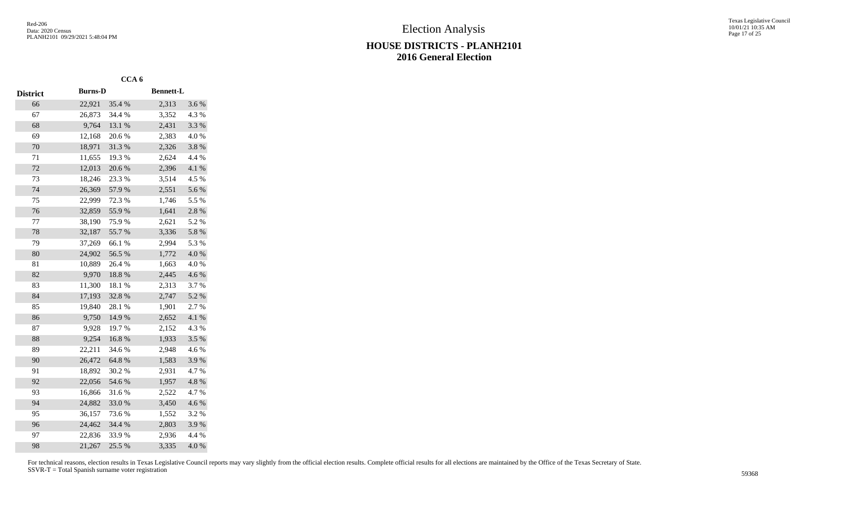|                 |                | CCA <sub>6</sub> |                  |       |
|-----------------|----------------|------------------|------------------|-------|
| <b>District</b> | <b>Burns-D</b> |                  | <b>Bennett-L</b> |       |
| 66              | 22,921         | 35.4 %           | 2,313            | 3.6%  |
| 67              | 26,873         | 34.4 %           | 3,352            | 4.3 % |
| 68              | 9,764          | 13.1 %           | 2,431            | 3.3%  |
| 69              | 12,168         | 20.6%            | 2,383            | 4.0%  |
| 70              | 18,971         | 31.3%            | 2,326            | 3.8%  |
| 71              | 11,655         | 19.3 %           | 2,624            | 4.4 % |
| 72              | 12,013         | 20.6%            | 2,396            | 4.1 % |
| 73              | 18,246         | 23.3 %           | 3,514            | 4.5 % |
| 74              | 26,369         | 57.9%            | 2,551            | 5.6 % |
| 75              | 22,999         | 72.3 %           | 1,746            | 5.5 % |
| 76              | 32,859         | 55.9%            | 1,641            | 2.8 % |
| 77              | 38,190         | 75.9%            | 2,621            | 5.2 % |
| 78              | 32,187         | 55.7%            | 3,336            | 5.8 % |
| 79              | 37,269         | 66.1%            | 2,994            | 5.3 % |
| 80              | 24,902         | 56.5 %           | 1,772            | 4.0%  |
| 81              | 10,889         | 26.4 %           | 1,663            | 4.0 % |
| 82              | 9,970          | 18.8%            | 2,445            | 4.6%  |
| 83              | 11,300         | 18.1%            | 2,313            | 3.7%  |
| 84              | 17,193         | 32.8%            | 2,747            | 5.2 % |
| 85              | 19,840         | 28.1 %           | 1,901            | 2.7 % |
| 86              | 9,750          | 14.9 %           | 2,652            | 4.1 % |
| 87              | 9,928          | 19.7 %           | 2,152            | 4.3 % |
| 88              | 9,254          | 16.8%            | 1,933            | 3.5%  |
| 89              | 22,211         | 34.6%            | 2,948            | 4.6%  |
| 90              | 26,472         | 64.8%            | 1,583            | 3.9%  |
| 91              | 18,892         | 30.2 %           | 2,931            | 4.7%  |
| 92              | 22,056         | 54.6%            | 1,957            | 4.8 % |
| 93              | 16,866         | 31.6%            | 2,522            | 4.7%  |
| 94              | 24,882         | 33.0%            | 3,450            | 4.6 % |
| 95              | 36,157         | 73.6 %           | 1,552            | 3.2%  |
| 96              | 24,462         | 34.4 %           | 2,803            | 3.9%  |
| 97              | 22,836         | 33.9%            | 2,936            | 4.4 % |
| 98              | 21,267         | 25.5 %           | 3,335            | 4.0%  |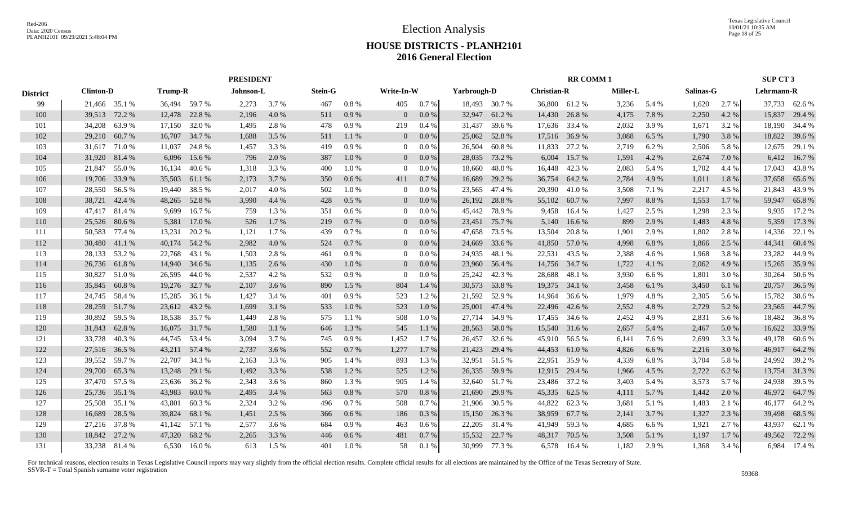|                 |                  |        |                |             | <b>PRESIDENT</b> |       |                |           |                |         |             |               |                    | <b>RR COMM1</b> |                 |           |           |       | SUP CT 3   |               |
|-----------------|------------------|--------|----------------|-------------|------------------|-------|----------------|-----------|----------------|---------|-------------|---------------|--------------------|-----------------|-----------------|-----------|-----------|-------|------------|---------------|
| <b>District</b> | <b>Clinton-D</b> |        | <b>Trump-R</b> |             | Johnson-L        |       | <b>Stein-G</b> |           | Write-In-W     |         | Yarbrough-D |               | <b>Christian-R</b> |                 | <b>Miller-L</b> |           | Salinas-G |       | Lehrmann-R |               |
| 99              | 21,466 35.1 %    |        | 36,494 59.7%   |             | 2,273            | 3.7 % | 467            | 0.8%      | 405            | 0.7 %   |             | 18,493 30.7 % |                    | 36,800 61.2 %   | 3,236           | 5.4 %     | 1,620     | 2.7 % |            | 37,733 62.6 % |
| 100             | 39,513           | 72.2 % | 12,478         | 22.8%       | 2,196            | 4.0 % | 511            | 0.9%      | $\overline{0}$ | $0.0\%$ | 32,947      | 61.2%         | 14,430             | 26.8%           | 4,175           | 7.8 %     | 2,250     | 4.2 % | 15,837     | 29.4 %        |
| 101             | 34,208           | 63.9%  | 17,150         | 32.0 %      | 1,495            | 2.8 % | 478            | 0.9 %     | 219            | $0.4\%$ | 31,437      | 59.6 %        | 17,636             | 33.4 %          | 2,032           | 3.9%      | 1,671     | 3.2 % | 18,190     | 34.4 %        |
| 102             | 29,210           | 60.7%  | 16,707         | 34.7 %      | 1,688            | 3.5 % | 511            | 1.1 %     | $\overline{0}$ | $0.0\%$ | 25,062      | 52.8%         | 17,516             | 36.9%           | 3,088           | 6.5 %     | 1,790     | 3.8%  | 18,822     | 39.6 %        |
| 103             | 31,617           | 71.0 % | 11,037         | 24.8%       | 1,457            | 3.3 % | 419            | $0.9\ \%$ | $\overline{0}$ | 0.0 %   | 26,504      | 60.8%         | 11,833             | 27.2 %          | 2,719           | 6.2%      | 2,506     | 5.8 % | 12,675     | 29.1 %        |
| 104             | 31,920           | 81.4%  | 6,096          | 15.6 %      | 796              | 2.0 % | 387            | 1.0%      | $\overline{0}$ | $0.0\%$ | 28,035      | 73.2 %        | 6,004              | 15.7 %          | 1,591           | 4.2 %     | 2,674     | 7.0 % | 6,412      | 16.7%         |
| 105             | 21,847           | 55.0%  | 16,134         | 40.6 %      | 1,318            | 3.3 % | 400            | 1.0%      | $\overline{0}$ | 0.0 %   | 18,660      | 48.0%         | 16,448             | 42.3 %          | 2,083           | 5.4 %     | 1,702     | 4.4 % | 17,043     | 43.8%         |
| 106             | 19,706           | 33.9 % | 35,503         | 61.1%       | 2,173            | 3.7 % | 350            | 0.6 %     | 411            | 0.7%    | 16,689      | 29.2 %        | 36,754             | 64.2 %          | 2,784           | 4.9 %     | 1,011     | 1.8%  | 37,658     | 65.6%         |
| 107             | 28,550           | 56.5 % | 19,440         | 38.5 %      | 2,017            | 4.0%  | 502            | 1.0%      | $\overline{0}$ | 0.0 %   | 23,565      | 47.4 %        | 20,390             | 41.0%           | 3,508           | 7.1 %     | 2,217     | 4.5 % | 21,843     | 43.9%         |
| 108             | 38,721           | 42.4 % | 48,265         | 52.8%       | 3,990            | 4.4 % | 428            | $0.5\ \%$ | $\overline{0}$ | 0.0 %   | 26,192      | 28.8%         | 55,102             | 60.7%           | 7,997           | $8.8\ \%$ | 1,553     | 1.7%  | 59,947     | 65.8%         |
| 109             | 47,417           | 81.4%  | 9,699          | 16.7%       | 759              | 1.3 % | 351            | 0.6 %     | $\overline{0}$ | 0.0 %   | 45,442      | 78.9%         | 9,458              | 16.4 %          | 1,427           | 2.5 %     | 1,298     | 2.3 % | 9,935      | 17.2 %        |
| 110             | 25,526           | 80.6%  | 5,381          | 17.0 %      | 526              | 1.7 % | 219            | 0.7%      | $\overline{0}$ | $0.0\%$ | 23,451      | 75.7 %        | 5,140              | 16.6%           | 899             | 2.9 %     | 1,483     | 4.8%  | 5,359      | 17.3 %        |
| 111             | 50,583 77.4 %    |        | 13,231         | 20.2 %      | 1,121            | 1.7 % | 439            | 0.7 %     | $\overline{0}$ | $0.0\%$ | 47,658      | 73.5 %        | 13,504             | 20.8%           | 1,901           | 2.9 %     | 1,802     | 2.8%  | 14,336     | 22.1 %        |
| 112             | 30,480           | 41.1 % | 40,174         | 54.2 %      | 2,982            | 4.0 % | 524            | 0.7%      | $\overline{0}$ | $0.0\%$ | 24,669      | 33.6 %        | 41,850             | 57.0 %          | 4,998           | 6.8%      | 1,866     | 2.5 % | 44,341     | 60.4%         |
| 113             | 28,133 53.2 %    |        | 22,768         | 43.1 %      | 1,503            | 2.8%  | 461            | 0.9%      | $\overline{0}$ | $0.0\%$ | 24,935      | 48.1 %        | 22,531             | 43.5 %          | 2,388           | 4.6 %     | 1,968     | 3.8%  | 23,282     | 44.9%         |
| 114             | 26,736           | 61.8%  | 14,940 34.6 %  |             | 1,135            | 2.6 % | 430            | 1.0 %     | $\overline{0}$ | $0.0\%$ | 23,960      | 56.4 %        |                    | 14,756 34.7 %   | 1,722           | 4.1 %     | 2,062     | 4.9 % | 15,265     | 35.9%         |
| 115             | 30,827           | 51.0%  | 26,595         | 44.0 %      | 2,537            | 4.2 % | 532            | 0.9%      | $\overline{0}$ | 0.0 %   | 25,242      | 42.3 %        | 28,688             | 48.1 %          | 3,930           | 6.6%      | 1,801     | 3.0 % | 30,264     | 50.6 %        |
| 116             | 35,845           | 60.8%  | 19,276         | 32.7 %      | 2,107            | 3.6 % | 890            | 1.5 %     | 804            | 1.4 %   | 30,573      | 53.8%         | 19,375             | 34.1 %          | 3,458           | 6.1 %     | 3,450     | 6.1 % | 20,757     | 36.5 %        |
| 117             | 24,745           | 58.4 % | 15,285         | 36.1 %      | 1,427            | 3.4 % | 401            | 0.9 %     | 523            | 1.2 %   | 21,592      | 52.9 %        | 14,964             | 36.6 %          | 1,979           | 4.8%      | 2,305     | 5.6 % | 15,782     | 38.6 %        |
| 118             | 28,259           | 51.7 % | 23,612         | 43.2 %      | 1,699            | 3.1 % | 533            | 1.0%      | 523            | 1.0%    | 25,001      | 47.4 %        | 22,496             | 42.6 %          | 2,552           | 4.8 %     | 2,729     | 5.2 % | 23,565     | 44.7 %        |
| 119             | 30,892           | 59.5 % | 18,538         | 35.7 %      | 1,449            | 2.8 % | 575            | 1.1 %     | 508            | 1.0%    | 27,714      | 54.9 %        |                    | 17,455 34.6 %   | 2,452           | 4.9%      | 2,831     | 5.6 % | 18,482     | 36.8%         |
| 120             | 31,843           | 62.8%  | 16,075         | 31.7 %      | 1,580            | 3.1 % | 646            | 1.3%      | 545            | 1.1 %   | 28,563      | 58.0%         | 15,540             | 31.6 %          | 2,657           | 5.4 %     | 2,467     | 5.0 % | 16,622     | 33.9%         |
| 121             | 33,728           | 40.3%  | 44,745         | 53.4 %      | 3,094            | 3.7 % | 745            | 0.9%      | 1,452          | 1.7%    | 26,457      | 32.6 %        | 45,910             | 56.5 %          | 6,141           | 7.6 %     | 2,699     | 3.3 % | 49,178     | 60.6%         |
| 122             | 27,516 36.5 %    |        | 43,211         | 57.4 %      | 2,737            | 3.6 % | 552            | 0.7%      | 1,277          | 1.7%    | 21,423      | 29.4 %        | 44,453             | 61.0%           | 4,826           | 6.6 %     | 2,216     | 3.0 % | 46,917     | 64.2 %        |
| 123             | 39,552           | 59.7 % | 22,707         | 34.3 %      | 2,163            | 3.3 % | 905            | 1.4 %     | 893            | 1.3 %   | 32,951      | 51.5 %        | 22,951             | 35.9%           | 4,339           | 6.8%      | 3,704     | 5.8%  | 24,992     | 39.2 %        |
| 124             | 29,700           | 65.3%  | 13,248         | 29.1 %      | 1,492            | 3.3 % | 538            | 1.2%      | 525            | 1.2 %   | 26,335      | 59.9%         | 12,915             | 29.4 %          | 1,966           | 4.5 %     | 2,722     | 6.2%  | 13,754     | 31.3%         |
| 125             | 37,470           | 57.5 % | 23,636         | 36.2 %      | 2,343            | 3.6 % | 860            | 1.3 %     | 905            | 1.4 %   | 32,640      | 51.7 %        | 23,486             | 37.2 %          | 3,403           | 5.4 %     | 3,573     | 5.7 % | 24,938     | 39.5 %        |
| 126             | 25,736           | 35.1 % | 43,983         | 60.0 %      | 2,495            | 3.4 % | 563            | 0.8%      | 570            | $0.8\%$ | 21,690      | 29.9 %        | 45,335             | 62.5 %          | 4,111           | 5.7 %     | 1,442     | 2.0 % | 46,972     | 64.7%         |
| 127             | 25,508 35.1 %    |        | 43,801         | 60.3%       | 2,324            | 3.2 % | 496            | 0.7 %     | 508            | 0.7%    | 21,906      | 30.5 %        | 44,822             | 62.3%           | 3,681           | 5.1 %     | 1,483     | 2.1 % | 46,177     | 64.2 %        |
| 128             | 16,689           | 28.5 % | 39,824         | 68.1 %      | 1,451            | 2.5 % | 366            | 0.6%      | 186            | $0.3\%$ | 15,150      | 26.3 %        | 38,959             | 67.7 %          | 2,141           | 3.7%      | 1,327     | 2.3 % | 39,498     | 68.5 %        |
| 129             | 27,216 37.8 %    |        | 41,142         | 57.1 %      | 2,577            | 3.6 % | 684            | 0.9%      | 463            | 0.6 %   | 22,205      | 31.4 %        | 41,949             | 59.3 %          | 4,685           | 6.6 %     | 1,921     | 2.7 % | 43,937     | 62.1 %        |
| 130             | 18.842           | 27.2 % | 47,320         | 68.2 %      | 2,265            | 3.3 % | 446            | 0.6%      | 481            | 0.7%    | 15,532      | 22.7 %        | 48,317             | 70.5 %          | 3,508           | 5.1 %     | 1,197     | 1.7%  | 49,562     | 72.2 %        |
| 131             | 33,238 81.4 %    |        |                | 6,530 16.0% | 613              | 1.5 % | 401            | 1.0%      | 58             | 0.1%    | 30,999      | 77.3 %        |                    | 6,578 16.4 %    | 1,182           | 2.9 %     | 1,368     | 3.4 % |            | 6,984 17.4 %  |
|                 |                  |        |                |             |                  |       |                |           |                |         |             |               |                    |                 |                 |           |           |       |            |               |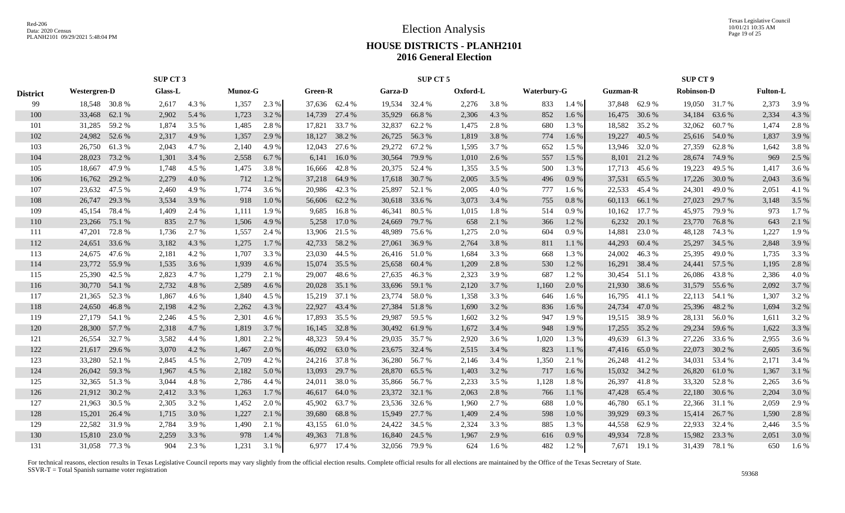Texas Legislative Council 10/01/21 10:35 AM Page 19 of 25

### **HOUSE DISTRICTS - PLANH2101 2016 General Election**

|                 |                     | <b>SUP CT 3</b> |         |       |         |       |                |               |         | SUP CT 5      |          |       |             |       |          |               | <b>SUP CT 9</b>   |               |                 |         |
|-----------------|---------------------|-----------------|---------|-------|---------|-------|----------------|---------------|---------|---------------|----------|-------|-------------|-------|----------|---------------|-------------------|---------------|-----------------|---------|
| <b>District</b> | <b>Westergren-D</b> |                 | Glass-L |       | Munoz-G |       | <b>Green-R</b> |               | Garza-D |               | Oxford-L |       | Waterbury-G |       | Guzman-R |               | <b>Robinson-D</b> |               | <b>Fulton-L</b> |         |
| 99              | 18,548 30.8 %       |                 | 2,617   | 4.3 % | 1,357   | 2.3 % |                | 37,636 62.4 % |         | 19,534 32.4 % | 2,276    | 3.8 % | 833         | 1.4%  |          | 37,848 62.9 % | 19,050 31.7 %     |               | 2,373           | 3.9 %   |
| 100             | 33,468              | 62.1 %          | 2,902   | 5.4 % | 1,723   | 3.2 % |                | 14,739 27.4 % | 35,929  | 66.8%         | 2,306    | 4.3 % | 852         | 1.6 % | 16,475   | 30.6 %        | 34,184 63.6 %     |               | 2,334           | 4.3 %   |
| 101             | 31,285              | 59.2 %          | 1,874   | 3.5 % | 1,485   | 2.8%  | 17,821         | 33.7 %        | 32,837  | 62.2 %        | 1,475    | 2.8 % | 680         | 1.3 % | 18,582   | 35.2 %        | 32,062            | 60.7%         | 1,474           | 2.8%    |
| 102             | 24,982              | 52.6 %          | 2,317   | 4.9 % | 1,357   | 2.9 % |                | 18,127 38.2 % | 26,725  | 56.3%         | 1,819    | 3.8%  | 774         | 1.6%  | 19,227   | 40.5 %        | 25,616 54.0 %     |               | 1,837           | 3.9%    |
| 103             | 26,750              | 61.3%           | 2,043   | 4.7%  | 2,140   | 4.9 % | 12,043         | 27.6 %        | 29,272  | 67.2 %        | 1,595    | 3.7%  | 652         | 1.5 % | 13,946   | 32.0%         | 27,359            | 62.8%         | 1,642           | 3.8%    |
| 104             | 28,023              | 73.2 %          | 1,301   | 3.4 % | 2,558   | 6.7%  | 6,141          | 16.0%         | 30,564  | 79.9 %        | 1,010    | 2.6 % | 557         | 1.5 % | 8,101    | 21.2%         | 28,674 74.9 %     |               | 969             | 2.5 %   |
| 105             | 18,667              | 47.9 %          | 1,748   | 4.5 % | 1,475   | 3.8%  |                | 16,666 42.8 % |         | 20,375 52.4 % | 1,355    | 3.5 % | 500         | 1.3 % | 17,713   | 45.6 %        | 19,223            | 49.5 %        | 1,417           | 3.6 %   |
| 106             | 16,762              | 29.2 %          | 2,279   | 4.0%  | 712     | 1.2%  |                | 37,218 64.9 % |         | 17,618 30.7 % | 2,005    | 3.5 % | 496         | 0.9%  | 37,531   | 65.5 %        | 17,226            | 30.0 %        | 2,043           | 3.6%    |
| 107             | 23,632              | 47.5 %          | 2,460   | 4.9%  | 1.774   | 3.6 % | 20,986         | 42.3 %        | 25,897  | 52.1 %        | 2,005    | 4.0%  | 777         | 1.6 % | 22.533   | 45.4 %        | 24,301            | 49.0%         | 2,051           | 4.1 %   |
| 108             | 26,747              | 29.3 %          | 3,534   | 3.9%  | 918     | 1.0 % |                | 56,606 62.2%  |         | 30,618 33.6 % | 3,073    | 3.4 % | 755         | 0.8%  | 60,113   | 66.1 %        | 27,023            | 29.7 %        | 3,148           | 3.5 %   |
| 109             | 45,154              | 78.4 %          | 1,409   | 2.4 % | 1,111   | 1.9 % | 9,685          | 16.8%         | 46,341  | 80.5 %        | 1,015    | 1.8%  | 514         | 0.9%  | 10,162   | 17.7 %        | 45,975            | 79.9 %        | 973             | $1.7\%$ |
| 110             | 23,266              | 75.1 %          | 835     | 2.7 % | 1,506   | 4.9 % | 5,258          | 17.0 %        | 24,669  | 79.7 %        | 658      | 2.1 % | 366         | 1.2%  | 6,232    | 20.1 %        | 23,770            | 76.8%         | 643             | 2.1 %   |
| 111             | 47,201              | 72.8%           | 1,736   | 2.7 % | 1,557   | 2.4 % | 13,906         | 21.5 %        | 48,989  | 75.6 %        | 1,275    | 2.0%  | 604         | 0.9%  | 14,881   | 23.0 %        | 48,128            | 74.3 %        | 1,227           | 1.9%    |
| 112             | 24,651 33.6 %       |                 | 3,182   | 4.3 % | 1,275   | 1.7%  | 42,733 58.2 %  |               |         | 27,061 36.9 % | 2,764    | 3.8 % | 811         | 1.1%  | 44,293   | 60.4%         | 25,297            | 34.5 %        | 2,848           | 3.9%    |
| 113             | 24,675 47.6 %       |                 | 2,181   | 4.2 % | 1,707   | 3.3 % |                | 23,030 44.5 % |         | 26,416 51.0 % | 1,684    | 3.3 % | 668         | 1.3 % | 24,002   | 46.3%         | 25,395 49.0 %     |               | 1,735           | 3.3 %   |
| 114             | 23,772 55.9 %       |                 | 1,535   | 3.6 % | 1,939   | 4.6 % |                | 15,074 35.5 % |         | 25,658 60.4 % | 1,209    | 2.8%  | 530         | 1.2%  | 16,291   | 38.4 %        | 24,441 57.5 %     |               | 1,195           | 2.8 %   |
| 115             | 25,390              | 42.5 %          | 2,823   | 4.7 % | 1,279   | 2.1 % | 29,007         | 48.6%         | 27,635  | 46.3%         | 2,323    | 3.9%  | 687         | 1.2%  | 30,454   | 51.1 %        | 26,086            | 43.8 %        | 2,386           | 4.0%    |
| 116             | 30,770              | 54.1 %          | 2,732   | 4.8%  | 2,589   | 4.6 % | 20,028         | 35.1 %        |         | 33,696 59.1 % | 2,120    | 3.7 % | 1,160       | 2.0 % | 21,930   | 38.6 %        | 31,579            | 55.6 %        | 2,092           | 3.7 %   |
| 117             | 21,365              | 52.3 %          | 1,867   | 4.6 % | 1,840   | 4.5 % |                | 15,219 37.1 % | 23,774  | 58.0%         | 1,358    | 3.3 % | 646         | 1.6 % | 16,795   | 41.1 %        | 22,113 54.1 %     |               | 1,307           | 3.2%    |
| 118             | 24,650              | 46.8%           | 2,198   | 4.2 % | 2,262   | 4.3 % |                | 22,927 43.4 % | 27,384  | 51.8%         | 1,690    | 3.2 % | 836         | 1.6 % | 24,734   | 47.0%         | 25,396            | 48.2 %        | 1,694           | 3.2 %   |
| 119             | 27,179 54.1 %       |                 | 2,246   | 4.5 % | 2,301   | 4.6 % | 17,893         | 35.5 %        | 29,987  | 59.5 %        | 1,602    | 3.2 % | 947         | 1.9%  | 19,515   | 38.9%         | 28,131            | 56.0 %        | 1,611           | 3.2%    |
| 120             | 28,300              | 57.7 %          | 2,318   | 4.7%  | 1,819   | 3.7%  |                | 16,145 32.8 % |         | 30,492 61.9 % | 1,672    | 3.4 % | 948         | 1.9%  | 17,255   | 35.2 %        | 29,234            | 59.6 %        | 1,622           | 3.3 %   |
| 121             | 26,554              | 32.7 %          | 3,582   | 4.4 % | 1,801   | 2.2 % | 48,323         | 59.4 %        | 29,035  | 35.7 %        | 2,920    | 3.6 % | 1,020       | 1.3 % | 49,639   | 61.3%         | 27,226            | 33.6 %        | 2,955           | 3.6 %   |
| 122             | 21,617              | 29.6 %          | 3,070   | 4.2 % | 1,467   | 2.0 % | 46,092         | 63.0 %        |         | 23,675 32.4 % | 2,515    | 3.4 % | 823         | 1.1 % | 47,416   | 65.0%         | 22,073            | 30.2 %        | 2,605           | 3.6 %   |
| 123             | 33,280              | 52.1 %          | 2,845   | 4.5 % | 2,709   | 4.2 % |                | 24,216 37.8 % |         | 36,280 56.7 % | 2,146    | 3.4 % | 1,350       | 2.1 % | 26,248   | 41.2%         | 34,031            | 53.4 %        | 2,171           | 3.4 %   |
| 124             | 26,042              | 59.3 %          | 1,967   | 4.5 % | 2,182   | 5.0 % | 13,093         | 29.7 %        | 28,870  | 65.5 %        | 1,403    | 3.2 % | 717         | 1.6 % | 15,032   | 34.2 %        | 26,820            | 61.0%         | 1,367           | 3.1 %   |
| 125             | 32,365              | 51.3%           | 3,044   | 4.8%  | 2,786   | 4.4 % | 24,011         | 38.0%         |         | 35,866 56.7 % | 2,233    | 3.5 % | 1,128       | 1.8%  | 26,397   | 41.8%         | 33,320            | 52.8%         | 2,265           | 3.6 %   |
| 126             | 21,912              | 30.2 %          | 2,412   | 3.3 % | 1,263   | 1.7%  | 46,617 64.0 %  |               | 23,372  | 32.1 %        | 2,063    | 2.8%  | 766         | 1.1%  | 47,428   | 65.4 %        | 22,180            | 30.6 %        | 2,204           | 3.0 %   |
| 127             | 21,963              | 30.5 %          | 2,305   | 3.2 % | 1,452   | 2.0 % | 45,902 63.7 %  |               |         | 23,536 32.6 % | 1,960    | 2.7 % | 688         | 1.0%  | 46,780   | 65.1 %        | 22,366 31.1 %     |               | 2,059           | 2.9 %   |
| 128             | 15,201              | 26.4 %          | 1,715   | 3.0 % | 1,227   | 2.1 % | 39,680         | 68.8%         | 15,949  | 27.7 %        | 1,409    | 2.4 % | 598         | 1.0%  | 39,929   | 69.3%         |                   | 15,414 26.7 % | 1,590           | 2.8 %   |
| 129             | 22,582              | 31.9%           | 2,784   | 3.9%  | 1,490   | 2.1 % | 43,155 61.0 %  |               |         | 24,422 34.5 % | 2,324    | 3.3 % | 885         | 1.3%  | 44,558   | 62.9%         | 22,933            | 32.4 %        | 2,446           | 3.5 %   |
| 130             | 15,810              | 23.0 %          | 2,259   | 3.3 % | 978     | 1.4 % | 49,363         | 71.8%         |         | 16,840 24.5 % | 1,967    | 2.9 % | 616         | 0.9%  | 49,934   | 72.8%         | 15,982            | 23.3 %        | 2,051           | 3.0%    |
| 131             | 31,058 77.3 %       |                 | 904     | 2.3 % | 1,231   | 3.1 % |                | 6,977 17.4 %  |         | 32,056 79.9 % | 624      | 1.6 % | 482         | 1.2%  |          | 7,671 19.1 %  | 31,439 78.1 %     |               | 650             | $1.6\%$ |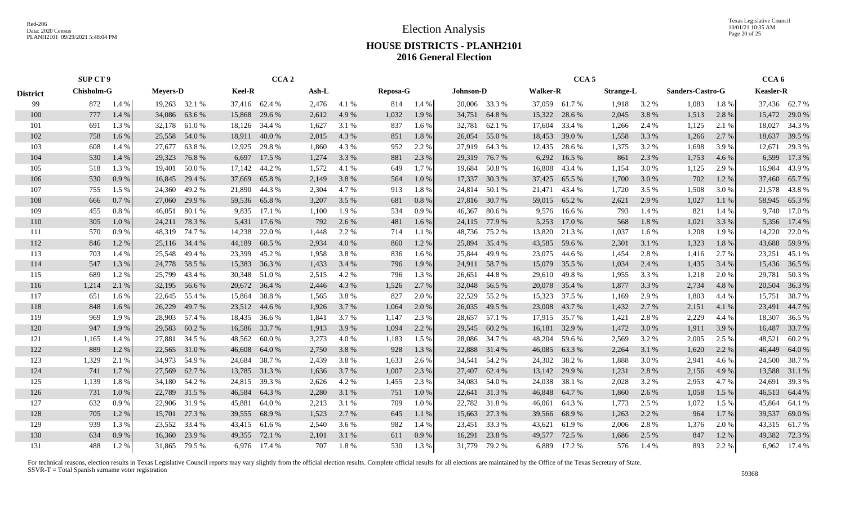Election Analysis

Texas Legislative Council 10/01/21 10:35 AM Page 20 of 25

### **HOUSE DISTRICTS - PLANH2101 2016 General Election**

|                 |            | <b>SUP CT 9</b> |        |                 |               | CCA <sub>2</sub> |       |       |                 |         |                  |               |                 | CCA <sub>5</sub> |                  |       |                  |       | CCA <sub>6</sub> |               |
|-----------------|------------|-----------------|--------|-----------------|---------------|------------------|-------|-------|-----------------|---------|------------------|---------------|-----------------|------------------|------------------|-------|------------------|-------|------------------|---------------|
| <b>District</b> | Chisholm-G | 1.4%<br>872     |        | <b>Mevers-D</b> | <b>Keel-R</b> |                  | Ash-L |       | <b>Reposa-G</b> |         | <b>Johnson-D</b> |               | <b>Walker-R</b> |                  | <b>Strange-L</b> |       | Sanders-Castro-G |       | <b>Keasler-R</b> |               |
| 99              |            |                 |        | 19,263 32.1 %   |               | 37,416 62.4 %    | 2,476 | 4.1 % | 814             | 1.4%    |                  | 20,006 33.3 % |                 | 37,059 61.7%     | 1,918            | 3.2 % | 1,083            | 1.8%  |                  | 37,436 62.7%  |
| 100             | 777        | 1.4 %           | 34,086 | 63.6 %          | 15,868        | 29.6 %           | 2,612 | 4.9%  | 1,032           | 1.9%    | 34,751           | 64.8%         | 15,322          | 28.6 %           | 2,045            | 3.8 % | 1,513            | 2.8%  | 15,472           | 29.0 %        |
| 101             | 691        | 1.3 %           | 32,178 | 61.0 %          | 18,126        | 34.4 %           | 1,627 | 3.1 % | 837             | 1.6 %   | 32,781           | 62.1 %        | 17,604          | 33.4 %           | 1,266            | 2.4 % | 1,125            | 2.1 % | 18,027           | 34.3 %        |
| 102             | 758        | 1.6 %           | 25,558 | 54.0 %          | 18,911        | 40.0 %           | 2,015 | 4.3 % | 851             | 1.8%    | 26,054           | 55.0%         | 18,453          | 39.0 %           | 1,558            | 3.3 % | 1,266            | 2.7 % | 18,637           | 39.5 %        |
| 103             | 608        | 1.4 %           | 27,677 | 63.8%           | 12,925        | 29.8%            | 1,860 | 4.3 % | 952             | 2.2 %   | 27,919           | 64.3 %        | 12,435          | 28.6 %           | 1,375            | 3.2 % | 1,698            | 3.9%  | 12,671           | 29.3 %        |
| 104             | 530        | 1.4 %           | 29,323 | 76.8%           | 6,697         | 17.5 %           | 1,274 | 3.3 % | 881             | 2.3 %   | 29,319           | 76.7 %        | 6,292           | 16.5 %           | 861              | 2.3 % | 1,753            | 4.6 % | 6,599            | 17.3 %        |
| 105             | 518        | 1.3%            | 19,401 | 50.0%           | 17,142        | 44.2 %           | 1,572 | 4.1 % | 649             | 1.7 %   | 19,684           | 50.8%         | 16,808          | 43.4 %           | 1,154            | 3.0%  | 1,125            | 2.9 % | 16,984           | 43.9%         |
| 106             | 530        | 0.9%            | 16,845 | 29.4 %          | 37,669        | 65.8%            | 2,149 | 3.8%  | 564             | 1.0%    | 17,337           | 30.3 %        | 37,425          | 65.5 %           | 1,700            | 3.0 % | 702              | 1.2%  | 37,460           | 65.7 %        |
| 107             | 755        | 1.5 %           | 24,360 | 49.2 %          | 21,890        | 44.3 %           | 2,304 | 4.7 % | 913             | 1.8%    | 24,814           | 50.1 %        | 21,471          | 43.4 %           | 1,720            | 3.5 % | 1,508            | 3.0 % |                  | 21,578 43.8 % |
| 108             | 666        | 0.7%            | 27,060 | 29.9 %          | 59,536        | 65.8%            | 3,207 | 3.5 % | 681             | 0.8%    | 27,816           | 30.7 %        | 59,015          | 65.2 %           | 2,621            | 2.9 % | 1,027            | 1.1 % | 58,945           | 65.3%         |
| 109             | 455        | $0.8 \%$        | 46,051 | 80.1%           | 9,835         | 17.1 %           | 1,100 | 1.9%  | 534             | 0.9%    | 46,367           | 80.6 %        | 9,576           | 16.6 %           | 793              | 1.4 % | 821              | 1.4 % | 9,740            | 17.0 %        |
| 110             | 305        | 1.0%            | 24,211 | 78.3 %          | 5,431         | 17.6 %           | 792   | 2.6 % | 481             | 1.6 %   | 24,115           | 77.9 %        | 5,253           | 17.0 %           | 568              | 1.8%  | 1,021            | 3.3 % | 5,356            | 17.4 %        |
| 111             | 570        | 0.9%            | 48,319 | 74.7 %          | 14,238        | 22.0 %           | 1,448 | 2.2 % | 714             | 1.1 %   | 48,736           | 75.2 %        | 13,820          | 21.3 %           | 1,037            | 1.6 % | 1,208            | 1.9%  | 14,220           | 22.0 %        |
| 112             | 846        | 1.2%            | 25,116 | 34.4 %          | 44,189        | 60.5 %           | 2,934 | 4.0 % | 860             | 1.2%    | 25,894           | 35.4 %        | 43,585          | 59.6 %           | 2,301            | 3.1 % | 1,323            | 1.8%  | 43,688           | 59.9 %        |
| 113             | 703        | 1.4 %           | 25,548 | 49.4 %          | 23,399        | 45.2 %           | 1,958 | 3.8%  | 836             | 1.6 %   | 25,844           | 49.9 %        |                 | 23,075 44.6 %    | 1,454            | 2.8%  | 1,416            | 2.7 % | 23,251           | 45.1 %        |
| 114             | 547        | 1.3 %           | 24,778 | 58.5 %          | 15,383        | 36.3 %           | 1,433 | 3.4 % | 796             | 1.9 %   |                  | 24,911 58.7 % | 15,079          | 35.5 %           | 1,034            | 2.4 % | 1,435            | 3.4 % |                  | 15,436 36.5 % |
| 115             | 689        | 1.2 %           | 25,799 | 43.4 %          | 30,348        | 51.0 %           | 2,515 | 4.2 % | 796             | 1.3 %   | 26,651           | 44.8%         | 29,610          | 49.8 %           | 1,955            | 3.3 % | 1,218            | 2.0 % | 29,781           | 50.3%         |
| 116             | 1,214      | 2.1 %           | 32,195 | 56.6 %          | 20,672        | 36.4 %           | 2,446 | 4.3 % | 1,526           | 2.7 %   | 32,048           | 56.5 %        | 20,078          | 35.4 %           | 1,877            | 3.3 % | 2,734            | 4.8%  | 20,504           | 36.3 %        |
| 117             | 651        | 1.6 %           |        | 22,645 55.4 %   | 15,864        | 38.8%            | 1,565 | 3.8%  | 827             | 2.0 %   | 22,529           | 55.2 %        | 15,323          | 37.5 %           | 1,169            | 2.9 % | 1,803            | 4.4 % | 15,751           | 38.7 %        |
| 118             | 848        | 1.6 %           | 26,229 | 49.7 %          | 23,512        | 44.6 %           | 1,926 | 3.7 % | 1,064           | 2.0 %   | 26,035           | 49.5 %        | 23,008          | 43.7 %           | 1,432            | 2.7 % | 2,151            | 4.1 % | 23,491           | 44.7 %        |
| 119             | 969        | 1.9%            | 28,903 | 57.4 %          | 18,435        | 36.6 %           | 1,841 | 3.7 % | 1,147           | 2.3 %   | 28,657           | 57.1 %        | 17,915          | 35.7 %           | 1,421            | 2.8 % | 2,229            | 4.4 % | 18,307           | 36.5 %        |
| 120             | 947        | 1.9%            | 29,583 | 60.2%           | 16,586        | 33.7 %           | 1,913 | 3.9 % | 1,094           | 2.2 %   | 29,545           | 60.2 %        | 16,181          | 32.9 %           | 1,472            | 3.0 % | 1,911            | 3.9%  | 16,487           | 33.7 %        |
| 121             | 1,165      | 1.4 %           | 27,881 | 34.5 %          | 48,562        | 60.0%            | 3,273 | 4.0 % | 1,183           | 1.5 %   | 28,086           | 34.7 %        | 48,204          | 59.6 %           | 2,569            | 3.2 % | 2,005            | 2.5 % | 48,521           | 60.2%         |
| 122             | 889        | 1.2%            | 22,565 | 31.0 %          | 46,608        | 64.0 %           | 2,750 | 3.8%  | 928             | 1.3%    | 22,888           | 31.4 %        | 46,085          | 63.3 %           | 2,264            | 3.1 % | 1,620            | 2.2 % | 46,449           | 64.0 %        |
| 123             | 1,329      | 2.1 %           | 34,973 | 54.9 %          | 24,684        | 38.7%            | 2,439 | 3.8%  | 1,633           | 2.6 %   | 34,541           | 54.2 %        | 24,302          | 38.2 %           | 1,888            | 3.0 % | 2,941            | 4.6 % | 24,500           | 38.7 %        |
| 124             | 741        | 1.7 %           | 27,569 | 62.7 %          | 13,785        | 31.3 %           | 1,636 | 3.7 % | 1,007           | 2.3 %   | 27,407           | 62.4 %        | 13,142          | 29.9 %           | 1,231            | 2.8 % | 2,156            | 4.9 % | 13,588           | 31.1 %        |
| 125             | 1,139      | 1.8%            | 34,180 | 54.2 %          | 24,815        | 39.3 %           | 2,626 | 4.2 % | 1,455           | 2.3 %   | 34,083           | 54.0 %        | 24,038          | 38.1 %           | 2,028            | 3.2 % | 2,953            | 4.7 % | 24,691           | 39.3 %        |
| 126             | 731        | 1.0%            | 22,789 | 31.5 %          | 46,584        | 64.3 %           | 2,280 | 3.1 % | 751             | 1.0 %   | 22,641           | 31.3 %        | 46,848          | 64.7 %           | 1,860            | 2.6 % | 1,058            | 1.5 % |                  | 46,513 64.4 % |
| 127             | 632        | 0.9%            | 22,906 | 31.9 %          | 45,881        | 64.0%            | 2,213 | 3.1 % | 709             | $1.0\%$ | 22,782           | 31.8 %        | 46,061          | 64.3 %           | 1,773            | 2.5 % | 1,072            | 1.5 % | 45,864           | 64.1 %        |
| 128             | 705        | 1.2%            | 15,701 | 27.3 %          | 39,555        | 68.9%            | 1,523 | 2.7 % | 645             | 1.1 %   | 15,663           | 27.3 %        | 39,566          | 68.9%            | 1,263            | 2.2 % | 964              | 1.7 % | 39,537           | 69.0%         |
| 129             | 939        | 1.3%            | 23,552 | 33.4 %          |               | 43,415 61.6 %    | 2,540 | 3.6 % | 982             | 1.4 %   |                  | 23,451 33.3 % | 43,621          | 61.9 %           | 2,006            | 2.8%  | 1,376            | 2.0 % | 43,315           | 61.7%         |
| 130             | 634        | 0.9 %           | 16,360 | 23.9 %          | 49,355        | 72.1 %           | 2,101 | 3.1 % | 611             | 0.9%    | 16,291           | 23.8 %        | 49,577          | 72.5 %           | 1,686            | 2.5 % | 847              | 1.2%  | 49,382           | 72.3 %        |
| 131             | 488        | 1.2%            |        | 31,865 79.5 %   |               | 6,976 17.4 %     | 707   | 1.8%  | 530             | 1.3 %   | 31,779           | 79.2 %        | 6,889           | 17.2 %           | 576              | 1.4 % | 893              | 2.2 % |                  | 6,962 17.4 %  |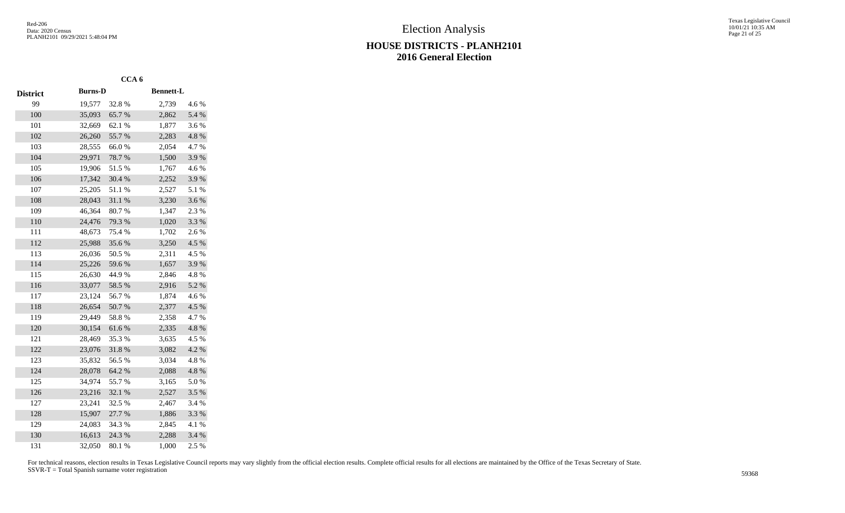|                 |                | CCA <sub>6</sub> |                  |          |
|-----------------|----------------|------------------|------------------|----------|
| <b>District</b> | <b>Burns-D</b> |                  | <b>Bennett-L</b> |          |
| 99              | 19,577         | 32.8%            | 2,739            | 4.6 %    |
| 100             | 35,093         | 65.7%            | 2,862            | 5.4 %    |
| 101             | 32,669         | 62.1 %           | 1,877            | 3.6 %    |
| 102             | 26,260         | 55.7%            | 2,283            | 4.8 %    |
| 103             | 28,555         | 66.0%            | 2,054            | 4.7%     |
| 104             | 29,971         | 78.7%            | 1,500            | 3.9%     |
| 105             | 19,906         | 51.5%            | 1,767            | 4.6%     |
| 106             | 17,342         | 30.4 %           | 2,252            | 3.9%     |
| 107             | 25,205         | 51.1%            | 2,527            | 5.1 %    |
| 108             | 28,043         | 31.1%            | 3,230            | 3.6%     |
| 109             | 46,364         | 80.7%            | 1,347            | 2.3 %    |
| 110             | 24,476         | 79.3 %           | 1,020            | 3.3 %    |
| 111             | 48,673         | 75.4 %           | 1,702            | 2.6 %    |
| 112             | 25,988         | 35.6%            | 3,250            | 4.5 %    |
| 113             | 26,036         | 50.5 %           | 2,311            | 4.5 %    |
| 114             | 25,226         | 59.6%            | 1,657            | 3.9%     |
| 115             | 26,630         | 44.9%            | 2,846            | 4.8 %    |
| 116             | 33,077         | 58.5 %           | 2,916            | 5.2 %    |
| 117             | 23,124         | 56.7%            | 1,874            | 4.6%     |
| 118             | 26,654         | 50.7%            | 2,377            | 4.5 %    |
| 119             | 29,449         | 58.8%            | 2,358            | 4.7%     |
| 120             | 30,154         | 61.6%            | 2,335            | 4.8%     |
| 121             | 28,469         | 35.3 %           | 3,635            | 4.5 %    |
| 122             | 23,076         | 31.8%            | 3,082            | 4.2 %    |
| 123             | 35,832         | 56.5 %           | 3,034            | 4.8 %    |
| 124             | 28,078         | 64.2 %           | 2,088            | 4.8 %    |
| 125             | 34,974         | 55.7%            | 3,165            | 5.0%     |
| 126             | 23,216         | 32.1 %           | 2,527            | 3.5 %    |
| 127             | 23,241         | 32.5 %           | 2,467            | 3.4 %    |
| 128             | 15,907         | 27.7 %           | 1,886            | 3.3 %    |
| 129             | 24,083         | 34.3 %           | 2,845            | $4.1~\%$ |
| 130             | 16,613         | 24.3 %           | 2,288            | 3.4 %    |
| 131             | 32,050         | 80.1 %           | 1,000            | 2.5 %    |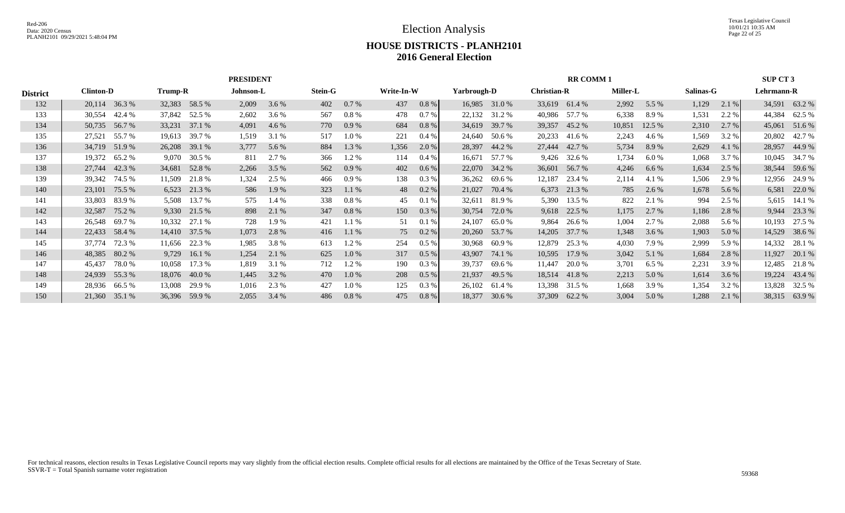Texas Legislative Council 10/01/21 10:35 AM Page 22 of 25

### **HOUSE DISTRICTS - PLANH2101 2016 General Election**

|                 |                  |               |         |               | <b>PRESIDENT</b> |       |                |          |            |          |             |               |                    | <b>RR COMM1</b> |                 |        |           |       | SUP CT 3   |               |
|-----------------|------------------|---------------|---------|---------------|------------------|-------|----------------|----------|------------|----------|-------------|---------------|--------------------|-----------------|-----------------|--------|-----------|-------|------------|---------------|
| <b>District</b> | <b>Clinton-D</b> |               | Trump-R |               | Johnson-L        |       | <b>Stein-G</b> |          | Write-In-W |          | Yarbrough-D |               | <b>Christian-R</b> |                 | <b>Miller-L</b> |        | Salinas-G |       | Lehrmann-R |               |
| 132             |                  | 20,114 36.3 % |         | 32,383 58.5 % | 2,009            | 3.6 % | 402            | 0.7 %    | 437        | $0.8 \%$ |             | 16,985 31.0 % |                    | 33,619 61.4 %   | 2,992           | 5.5 %  | 1,129     | 2.1%  |            | 34,591 63.2 % |
| 133             | 30,554           | 42.4 %        | 37,842  | 52.5 %        | 2,602            | 3.6 % | 567            | $0.8 \%$ | 478        | 0.7%     | 22,132      | 31.2 %        | 40,986             | 57.7 %          | 6,338           | 8.9%   | 1,531     | 2.2 % | 44,384     | 62.5 %        |
| 134             |                  | 50,735 56.7 % | 33,231  | 37.1 %        | 4,091            | 4.6 % | 770            | $0.9\%$  | 684        | 0.8 %    | 34,619      | 39.7 %        |                    | 39,357 45.2 %   | 10,851          | 12.5 % | 2,310     | 2.7 % | 45,061     | 51.6 %        |
| 135             | 27,521           | 55.7 %        | 19,613  | 39.7 %        | 1,519            | 3.1%  | 517            | 1.0 %    | 221        | $0.4\%$  |             | 24,640 50.6 % | 20,233             | 41.6 %          | 2,243           | 4.6 %  | 1,569     | 3.2 % | 20,802     | 42.7 %        |
| 136             |                  | 34,719 51.9 % | 26,208  | 39.1 %        | 3,777            | 5.6 % | 884            | 1.3 %    | 1,356      | 2.0 %    |             | 28,397 44.2 % |                    | 27,444 42.7 %   | 5,734           | 8.9%   | 2,629     | 4.1 % |            | 28,957 44.9 % |
| 137             | 19,372           | 65.2%         | 9,070   | 30.5 %        | 811              | 2.7 % | 366            | 1.2 %    | 114        | $0.4\%$  | 16,671      | 57.7 %        | 9,426              | 32.6 %          | 1,734           | 6.0 %  | 1,068     | 3.7 % | 10,045     | 34.7 %        |
| 138             |                  | 27,744 42.3 % |         | 34,681 52.8 % | 2,266            | 3.5 % | 562            | 0.9%     | 402        | $0.6\%$  |             | 22,070 34.2 % | 36,601             | 56.7 %          | 4,246           | 6.6%   | 1,634     | 2.5 % |            | 38,544 59.6 % |
| 139             | 39,342           | 74.5 %        | 11,509  | 21.8%         | 1,324            | 2.5 % | 466            | 0.9%     | 138        | $0.3\%$  | 36,262      | 69.6 %        | 12,187             | 23.4 %          | 2,114           | 4.1 %  | 1,506     | 2.9 % | 12,956     | 24.9 %        |
| 140             |                  | 23,101 75.5 % |         | 6,523 21.3 %  | 586              | 1.9 % | 323            | 1.1%     | 48         | $0.2\%$  | 21,027      | 70.4 %        |                    | 6,373 21.3 %    | 785             | 2.6 %  | 1,678     | 5.6 % | 6,581      | 22.0 %        |
| 141             | 33,803           | 83.9%         | 5,508   | 13.7 %        | 575              | 1.4 % | 338            | $0.8 \%$ | 45         | 0.1%     | 32,611      | 81.9 %        | 5,390              | 13.5 %          | 822             | 2.1 %  | 994       | 2.5 % | 5,615      | 14.1 %        |
| 142             | 32,587           | 75.2 %        |         | 9,330 21.5 %  | 898              | 2.1 % | 347            | $0.8\%$  | 150        | 0.3 %    | 30,754      | 72.0 %        | 9,618              | 22.5 %          | 1,175           | 2.7 %  | 1,186     | 2.8 % | 9,944      | 23.3 %        |
| 143             | 26,548           | 69.7%         | 10,332  | 27.1 %        | 728              | 1.9 % | 421            | 1.1%     | 51         | 0.1%     | 24,107      | 65.0%         | 9,864              | 26.6 %          | 1,004           | 2.7 %  | 2,088     | 5.6 % | 10,193     | 27.5 %        |
| 144             |                  | 22,433 58.4 % |         | 14,410 37.5 % | 1,073            | 2.8 % | 416            | 1.1%     | 75         | 0.2 %    |             | 20,260 53.7 % |                    | 14,205 37.7 %   | 1,348           | 3.6 %  | 1,903     | 5.0 % |            | 14,529 38.6 % |
| 145             | 37,774           | 72.3 %        | 11,656  | 22.3 %        | 1,985            | 3.8%  | 613            | 1.2 %    | 254        | $0.5\%$  | 30,968      | 60.9 %        | 12,879             | 25.3 %          | 4,030           | 7.9 %  | 2,999     | 5.9%  | 14,332     | 28.1 %        |
| 146             | 48,385           | 80.2 %        | 9,729   | 16.1 $%$      | 1,254            | 2.1 % | 625            | $1.0\%$  | 317        | $0.5\%$  | 43,907      | 74.1 %        | 10,595             | 17.9 %          | 3,042           | 5.1 %  | 1,684     | 2.8 % | 11,927     | 20.1 %        |
| 147             | 45,437           | 78.0%         | 10,058  | 17.3 %        | 1,819            | 3.1%  | 712            | 1.2 %    | 190        | $0.3\%$  | 39,737      | 69.6 %        | 11,447             | 20.0 %          | 3,701           | 6.5%   | 2,231     | 3.9%  | 12,485     | 21.8%         |
| 148             |                  | 24,939 55.3 % |         | 18,076 40.0 % | 1,445            | 3.2 % | 470            | $1.0\%$  | 208        | $0.5\%$  | 21,937      | 49.5 %        |                    | 18,514 41.8 %   | 2,213           | 5.0 %  | 1,614     | 3.6%  | 19,224     | 43.4 %        |
| 149             | 28,936           | 66.5 %        | 13,008  | 29.9 %        | 1,016            | 2.3 % | 427            | 1.0 %    | 125        | 0.3 %    | 26,102      | 61.4 %        | 13,398             | 31.5 %          | 1,668           | 3.9%   | 1,354     | 3.2 % | 13,828     | 32.5 %        |
| 150             | 21,360           | 35.1 %        | 36,396  | 59.9 %        | 2,055            | 3.4 % | 486            | $0.8\%$  | 475        | $0.8\%$  | 18,377      | 30.6 %        | 37,309             | 62.2 %          | 3,004           | 5.0 %  | 1,288     | 2.1%  |            | 38,315 63.9 % |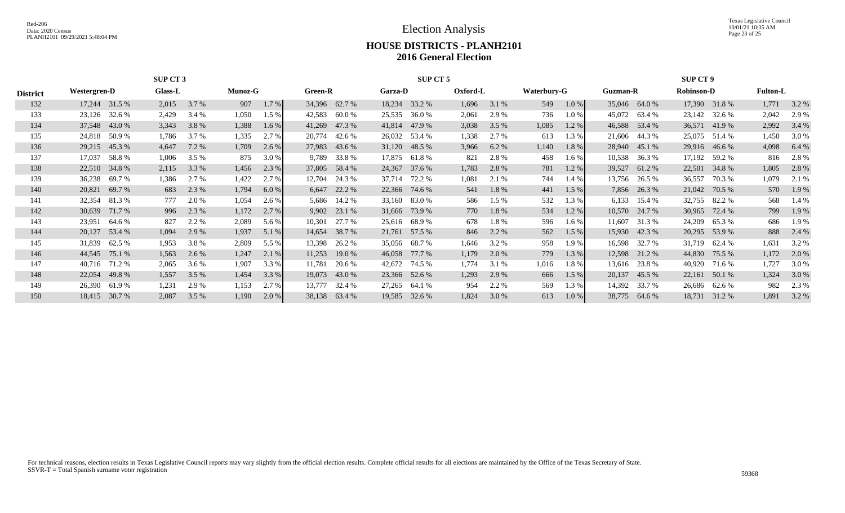Texas Legislative Council 10/01/21 10:35 AM Page 23 of 25

### **HOUSE DISTRICTS - PLANH2101 2016 General Election**

|                 |                                                      |                                                                   | SUP CT 3 |       |       |         |        |                |         | SUP CT 5      |          |         |             |       |          |              | SUP CT 9          |               |                 |       |
|-----------------|------------------------------------------------------|-------------------------------------------------------------------|----------|-------|-------|---------|--------|----------------|---------|---------------|----------|---------|-------------|-------|----------|--------------|-------------------|---------------|-----------------|-------|
| <b>District</b> |                                                      | <b>Glass-L</b><br><b>Munoz-G</b><br>Westergren-D<br>17,244 31.5 % |          |       |       |         |        | <b>Green-R</b> | Garza-D |               | Oxford-L |         | Waterbury-G |       | Guzman-R |              | <b>Robinson-D</b> |               | <b>Fulton-L</b> |       |
| 132             |                                                      |                                                                   | 2,015    | 3.7 % | 907   | 1.7 %   |        | 34,396 62.7 %  | 18,234  | 33.2 %        | 1,696    | 3.1 %   | 549         | 1.0%  | 35,046   | 64.0 %       |                   | 17,390 31.8 % | 1.771           | 3.2 % |
| 133             | 23,126                                               | 32.6 %                                                            | 2,429    | 3.4 % | 1,050 | 1.5 %   | 42,583 | 60.0%          | 25,535  | 36.0 %        | 2,061    | 2.9 %   | 736         | 1.0%  | 45,072   | 63.4 %       | 23,142            | 32.6 %        | 2,042           | 2.9 % |
| 134             | 37,548 43.0 %                                        |                                                                   | 3,343    | 3.8%  | 1,388 | $1.6\%$ | 41,269 | 47.3 %         | 41,814  | 47.9 %        | 3,038    | 3.5 %   | 1,085       | 1.2%  | 46,588   | 53.4 %       | 36,571            | 41.9%         | 2,992           | 3.4 % |
| 135             | 24,818                                               | 50.9 %                                                            | 1,786    | 3.7 % | 1,335 | 2.7 %   | 20,774 | 42.6 %         |         | 26,032 53.4 % | 1,338    | 2.7 %   | 613         | 1.3%  | 21,606   | 44.3 %       |                   | 25,075 51.4 % | 1,450           | 3.0 % |
| 136             | 29,215                                               | 45.3 %                                                            | 4,647    | 7.2 % | 1,709 | 2.6 %   | 27,983 | 43.6 %         | 31,120  | 48.5 %        | 3,966    | 6.2 %   | 1,140       | 1.8%  | 28,940   | 45.1 %       | 29,916            | 46.6 %        | 4,098           | 6.4 % |
| 137             | 17,037                                               | 58.8 %                                                            | 1,006    | 3.5 % | 875   | 3.0 %   | 9,789  | 33.8%          |         | 17,875 61.8 % | 821      | 2.8 %   | 458         | 1.6%  | 10,538   | 36.3 %       | 17,192            | 59.2 %        | 816             | 2.8 % |
| 138             | 22,510                                               | 34.8 %                                                            | 2,115    | 3.3 % | 1,456 | 2.3 %   |        | 37,805 58.4 %  | 24,367  | 37.6 %        | 1,783    | 2.8 %   | 781         | 1.2%  | 39,527   | 61.2 %       | 22,501            | 34.8 %        | 1,805           | 2.8 % |
| 139             | 36,238                                               | 69.7 %                                                            | 1,386    | 2.7 % | 1,422 | 2.7 %   | 12,704 | 24.3 %         | 37,714  | 72.2 %        | 1,081    | 2.1 %   | 744         | 1.4%  | 13,756   | 26.5 %       | 36,557            | 70.3 %        | 1,079           | 2.1 % |
| 140             | 20,821                                               | 69.7 %                                                            | 683      | 2.3 % | 1,794 | 6.0%    |        | 6,647 22.2 %   | 22,366  | 74.6 %        | 541      | 1.8%    | 441         | 1.5 % |          | 7,856 26.3 % | 21,042            | 70.5 %        | 570             | 1.9%  |
| 141             | 32,354                                               | 81.3 %                                                            | 777      | 2.0 % | 1,054 | 2.6 %   |        | 5,686 14.2 %   | 33,160  | 83.0 %        | 586      | $1.5\%$ | 532         | 1.3 % | 6,133    | 15.4 %       | 32,755            | 82.2 %        | 568             | 1.4 % |
| 142             | 30,639                                               | 71.7 %                                                            | 996      | 2.3 % | 1,172 | 2.7 %   |        | 9,902 23.1 %   | 31,666  | 73.9 %        | 770      | 1.8%    | 534         | 1.2%  | 10,570   | 24.7 %       | 30,965            | 72.4 %        | 799             | 1.9 % |
| 143             | 23,951                                               | 64.6 %                                                            | 827      | 2.2 % | 2,089 | 5.6 %   | 10,301 | 27.7 %         |         | 25,616 68.9 % | 678      | 1.8%    | 596         | 1.6%  | 11,607   | 31.3 %       | 24,209            | 65.3 %        | 686             | 1.9 % |
| 144             | 20,127 53.4 %                                        |                                                                   | 1,094    | 2.9 % | 1,937 | 5.1 %   |        | 14,654 38.7 %  |         | 21,761 57.5 % | 846      | 2.2 %   | 562         | 1.5%  | 15,930   | 42.3 %       |                   | 20,295 53.9 % | 888             | 2.4 % |
| 145             | 31,839                                               | 62.5 %                                                            | 1,953    | 3.8%  | 2,809 | 5.5 %   | 13,398 | 26.2 %         | 35,056  | 68.7 %        | 1,646    | 3.2 %   | 958         | 1.9%  | 16,598   | 32.7 %       | 31,719            | 62.4 %        | 1,631           | 3.2 % |
| 146             | 44,545                                               | 75.1 %                                                            | 1,563    | 2.6 % | 1,247 | 2.1 %   | 11,253 | 19.0 %         | 46,058  | 77.7 %        | 1,179    | 2.0 %   | 779         | 1.3%  | 12,598   | 21.2 %       | 44,830            | 75.5 %        | 1,172           | 2.0 % |
| 147             | 40,716                                               | 71.2 %                                                            | 2,065    | 3.6 % | 1,907 | 3.3 %   | 11,781 | 20.6 %         | 42,672  | 74.5 %        | 1,774    | 3.1 %   | 1,016       | 1.8%  | 13,616   | 23.8 %       | 40,920            | 71.6 %        | 1,727           | 3.0 % |
| 148             | 22,054                                               | 49.8 %                                                            | 1,557    | 3.5 % | 1,454 | 3.3 %   |        | 19,073 43.0 %  |         | 23,366 52.6 % | 1,293    | 2.9 %   | 666         | 1.5 % | 20,137   | 45.5 %       | 22,161            | 50.1 %        | 1,324           | 3.0 % |
| 149             | 26,390                                               | 61.9 %                                                            | 1,231    | 2.9%  | 1,153 | 2.7 %   | 13,777 | 32.4 %         | 27,265  | 64.1 %        | 954      | 2.2 %   | 569         | 1.3 % | 14,392   | 33.7 %       | 26,686            | 62.6 %        | 982             | 2.3 % |
| 150             | 2,087<br>3.5 %<br>2.0 %<br>18,415<br>30.7 %<br>1,190 |                                                                   |          |       |       |         | 38,138 | 63.4 %         | 19,585  | 32.6 %        | 1,824    | 3.0 %   | 613         | 1.0%  | 38,775   | 64.6 %       | 18,731            | 31.2 %        | 1,891           | 3.2 % |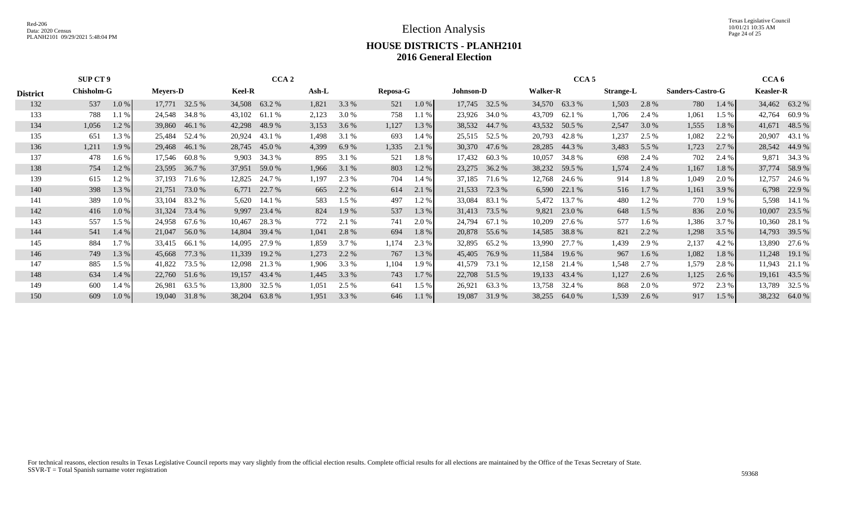Election Analysis

Texas Legislative Council 10/01/21 10:35 AM Page 24 of 25

#### **HOUSE DISTRICTS - PLANH2101 2016 General Election**

|                 | SUP CT 9          |         |                 |               |               | CCA <sub>2</sub> |       |         |                 |         |                  |               |                 | CCA <sub>5</sub> |                  |         |                  |         | CCA <sub>6</sub> |               |
|-----------------|-------------------|---------|-----------------|---------------|---------------|------------------|-------|---------|-----------------|---------|------------------|---------------|-----------------|------------------|------------------|---------|------------------|---------|------------------|---------------|
| <b>District</b> | <b>Chisholm-G</b> |         | <b>Meyers-D</b> |               | <b>Keel-R</b> |                  | Ash-L |         | <b>Reposa-G</b> |         | <b>Johnson-D</b> |               | <b>Walker-R</b> |                  | <b>Strange-L</b> |         | Sanders-Castro-G |         | <b>Keasler-R</b> |               |
| 132             | 537               | 1.0%    |                 | 17,771 32.5 % |               | 34,508 63.2 %    | 1,821 | 3.3 %   | 521             | 1.0%    |                  | 17,745 32.5 % |                 | 34,570 63.3 %    | 1,503            | 2.8 %   | 780              | 1.4%    |                  | 34,462 63.2 % |
| 133             | 788               | 1.1 %   | 24,548          | 34.8%         | 43,102        | 61.1 %           | 2,123 | 3.0 %   | 758             | 1.1%    | 23,926           | 34.0 %        | 43,709          | 62.1 %           | 1,706            | 2.4 %   | 1,061            | 1.5%    | 42,764           | 60.9%         |
| 134             | 1,056             | 1.2%    |                 | 39,860 46.1 % |               | 42,298 48.9 %    | 3,153 | 3.6 %   | 1,127           | 1.3 %   |                  | 38,532 44.7 % |                 | 43,532 50.5 %    | 2,547            | 3.0 %   | 1,555            | 1.8%    |                  | 41,671 48.5 % |
| 135             | 651               | 1.3 %   | 25,484          | 52.4 %        | 20,924        | 43.1 %           | 1,498 | 3.1 %   | 693             | $1.4\%$ | 25,515           | 52.5 %        | 20,793          | 42.8 %           | 1,237            | 2.5 %   | 1,082            | 2.2 %   | 20,907           | 43.1 %        |
| 136             | 1,211             | 1.9 %   |                 | 29,468 46.1 % |               | 28,745 45.0 %    | 4,399 | 6.9%    | 1,335           | 2.1 %   | 30,370           | 47.6 %        | 28,285          | 44.3 %           | 3,483            | 5.5 %   | 1,723            | 2.7%    |                  | 28,542 44.9 % |
| 137             | 478               | $1.6\%$ | 17,546          | 60.8 %        | 9,903         | 34.3 %           | 895   | 3.1 %   | 521             | 1.8%    | 17,432           | 60.3 %        | 10,057          | 34.8 %           | 698              | 2.4 %   | 702              | 2.4 %   | 9,871            | 34.3 %        |
| 138             | 754               | 1.2%    |                 | 23,595 36.7 % | 37,951        | 59.0%            | 1,966 | 3.1 %   | 803             | 1.2%    | 23,275           | 36.2 %        |                 | 38,232 59.5 %    | 1,574            | 2.4 %   | 1,167            | 1.8 %   | 37,774           | 58.9%         |
| 139             | 615               | 1.2 %   | 37,193          | 71.6 %        | 12,825        | 24.7 %           | 1,197 | 2.3 %   | 704             | 1.4%    | 37,185           | 71.6 %        | 12,768          | 24.6 %           | 914              | 1.8%    | 1,049            | 2.0 %   | 12,757           | 24.6 %        |
| 140             | 398               | 1.3 %   | 21,751          | 73.0 %        | 6,771         | 22.7 %           | 665   | 2.2 %   | 614             | 2.1 %   | 21,533           | 72.3 %        |                 | 6,590 22.1 %     | 516              | 1.7 %   | 1,161            | 3.9 %   |                  | 6,798 22.9 %  |
| 141             | 389               | 1.0%    | 33,104          | 83.2 %        | 5,620         | 14.1 %           | 583   | $1.5\%$ | 497             | 1.2%    | 33,084           | 83.1 %        | 5,472           | 13.7 %           | 480              | 1.2 %   | 770              | 1.9 %   | 5,598            | 14.1 %        |
| 142             | 416               | 1.0%    |                 | 31,324 73.4 % | 9,997         | 23.4 %           | 824   | 1.9 %   | 537             | 1.3 %   | 31,413           | 73.5 %        | 9,821           | 23.0 %           | 648              | $1.5\%$ | 836              | 2.0%    | 10,007           | 23.5 %        |
| 143             | 557               | 1.5%    | 24,958          | 67.6 %        | 10,467        | 28.3 %           | 772   | 2.1 %   | 741             | $2.0\%$ | 24,794           | 67.1 %        | 10,209          | 27.6 %           | 577              | 1.6 %   | 1,386            | 3.7%    | 10,360           | 28.1 %        |
| 144             | 541               | $1.4\%$ |                 | 21,047 56.0 % | 14,804        | 39.4 %           | 1,041 | 2.8 %   | 694             | 1.8%    |                  | 20,878 55.6 % |                 | 14,585 38.8 %    | 821              | 2.2 %   | 1,298            | 3.5%    |                  | 14,793 39.5 % |
| 145             | 884               | $1.7\%$ | 33,415          | 66.1%         | 14,095        | 27.9 %           | 1,859 | 3.7 %   | 1,174           | 2.3 %   | 32,895           | 65.2 %        | 13,990          | 27.7 %           | 1,439            | 2.9 %   | 2,137            | 4.2 %   | 13,890           | 27.6 %        |
| 146             | 749               | 1.3 %   | 45,668          | 77.3 %        | 11,339        | 19.2 %           | 1,273 | 2.2 %   | 767             | 1.3 %   | 45,405           | 76.9 %        | 11,584          | 19.6 %           | 967              | 1.6 %   | 1,082            | 1.8%    | 11,248           | 19.1 %        |
| 147             | 885               | 1.5%    | 41,822          | 73.5 %        | 12,098        | 21.3 %           | 1,906 | 3.3 %   | 1,104           | 1.9%    | 41,579           | 73.1 %        | 12,158          | 21.4 %           | 1,548            | 2.7 %   | 1,579            | 2.8 %   | 11,943           | 21.1 %        |
| 148             | 634               | 1.4 %   |                 | 22,760 51.6 % | 19,157        | 43.4 %           | 1,445 | 3.3 %   | 743             | $1.7\%$ |                  | 22,708 51.5 % |                 | 19,133 43.4 %    | 1,127            | 2.6 %   | 1,125            | $2.6\%$ |                  | 19,161 43.5 % |
| 149             | 600               | 1.4%    | 26,981          | 63.5 %        | 13,800        | 32.5 %           | 1,051 | 2.5 %   | 641             | 1.5%    | 26,921           | 63.3 %        | 13,758          | 32.4 %           | 868              | 2.0 %   | 972              | 2.3 %   | 13,789           | 32.5 %        |
| 150             | 609               | $1.0\%$ |                 | 19,040 31.8 % | 38,204        | 63.8%            | 1,951 | 3.3 %   | 646             | $1.1\%$ | 19,087           | 31.9%         | 38,255          | 64.0 %           | 1,539            | 2.6 %   | 917              | 1.5%    |                  | 38,232 64.0 % |